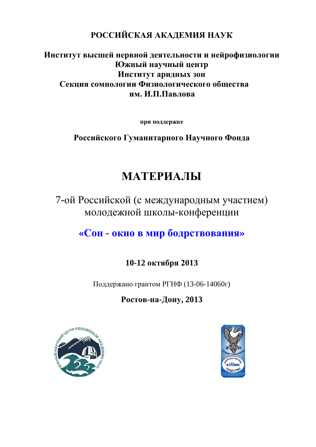## **РОССИЙСКАЯ АКАДЕМИЯ НАУК**

## **Институт высшей нервной деятельности и нейрофизиологии Южный научный центр Институт аридных зон Секция сомнологии Физиологического общества им. И.П.Павлова**

**при поддержке**

**Российского Гуманитарного Научного Фонда**

# **МАТЕРИАЛЫ**

7-ой Российской (с международным участием) молодежной школы-конференции

# **«Сон - окно в мир бодрствования»**

## **10-12 октября 2013**

Поддержано грантом РГНФ (13-06-14060г)

**Ростов-на-Дону, 2013** 



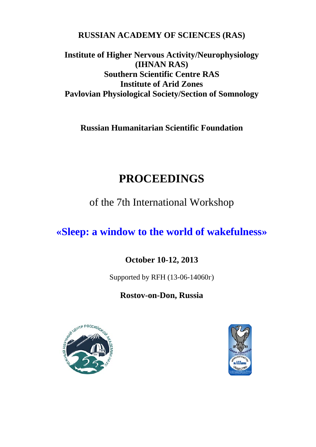**RUSSIAN ACADEMY OF SCIENCES (RAS)**

**Institute of Higher Nervous Activity/Neurophysiology (IHNAN RAS) Southern Scientific Centre RAS Institute of Arid Zones Pavlovian Physiological Society/Section of Somnology**

**Russian Humanitarian Scientific Foundation**

# **PROCEEDINGS**

of the 7th International Workshop

**«Sleep: a window to the world of wakefulness»**

# **October 10-12, 2013**

Supported by RFH (13-06-14060г)

**Rostov-on-Don, Russia**



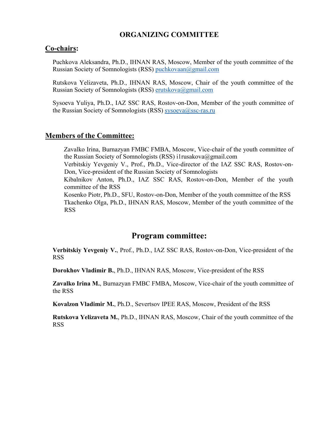## **ORGANIZING COMMITTEE**

#### **Co-chairs:**

 Puchkova Aleksandra, Ph.D., IHNAN RAS, Moscow, Member of the youth committee of the Russian Society of Somnologists (RSS) puchkovaan@gmail.com

 Rutskova Yelizaveta, Ph.D., IHNAN RAS, Moscow, Chair of the youth committee of the Russian Society of Somnologists (RSS) erutskova@gmail.com

 Sysoeva Yuliya, Ph.D., IAZ SSC RAS, Rostov-on-Don, Member of the youth committee of the Russian Society of Somnologists (RSS) sysoeva@ssc-ras.ru

#### **Members of the Committee:**

 Zavalko Irina, Burnazyan FMBC FMBA, Moscow, Vice-chair of the youth committee of the Russian Society of Somnologists (RSS) i1rusakova@gmail.com

 Verbitskiy Yevgeniy V., Prof., Ph.D., Vice-director of the IAZ SSC RAS, Rostov-on-Don, Vice-president of the Russian Society of Somnologists

 Kibalnikov Anton, Ph.D., IAZ SSC RAS, Rostov-on-Don, Member of the youth committee of the RSS

 Kosenko Piotr, Ph.D., SFU, Rostov-on-Don, Member of the youth committee of the RSS Tkachenko Olga, Ph.D., IHNAN RAS, Moscow, Member of the youth committee of the RSS

## **Program committee:**

 **Verbitskiy Yevgeniy V.**, Prof., Ph.D., IAZ SSC RAS, Rostov-on-Don, Vice-president of the RSS

**Dorokhov Vladimir B.**, Ph.D., IHNAN RAS, Moscow, Vice-president of the RSS

 **Zavalko Irina M.**, Burnazyan FMBC FMBA, Moscow, Vice-chair of the youth committee of the RSS

**Kovalzon Vladimir M.**, Ph.D., Severtsov IPEE RAS, Moscow, President of the RSS

 **Rutskova Yelizaveta M.**, Ph.D., IHNAN RAS, Moscow, Chair of the youth committee of the RSS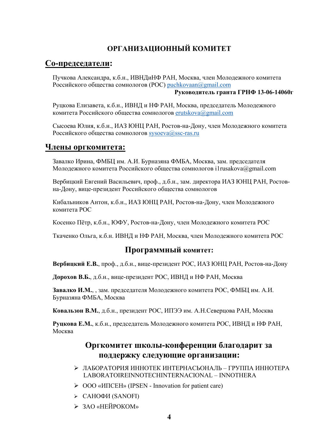## **ОРГАНИЗАЦИОННЫЙ КОМИТЕТ**

## **Co-председатели:**

 Пучкова Александра, к.б.н., ИВНДиНФ РАН, Москва, член Молодежного комитета Российского общества сомнологов (РОС) puchkovaan@gmail.com

#### **Руководитель гранта ГРНФ 13-06-14060г**

 Руцкова Елизавета, к.б.н., ИВНД и НФ РАН, Москва, председатель Молодежного комитета Российского общества сомнологов erutskova@gmail.com

 Сысоева Юлия, к.б.н., ИАЗ ЮНЦ РАН, Ростов-на-Дону, член Молодежного комитета Российского общества сомнологов sysoeva@ssc-ras.ru

## **Члены оргкомитета:**

 Завалко Ирина, ФМБЦ им. А.И. Бурназяна ФМБА, Москва, зам. председателя Молодежного комитета Российского общества сомнологов i1rusakova@gmail.com

 Вербицкий Евгений Васильевич, проф., д.б.н., зам. директора ИАЗ ЮНЦ РАН, Ростовна-Дону, вице-президент Российского общества сомнологов

 Кибальников Антон, к.б.н., ИАЗ ЮНЦ РАН, Ростов-на-Дону, член Молодежного комитета РОС

Косенко Пётр, к.б.н., ЮФУ, Ростов-на-Дону, член Молодежного комитета РОС

Ткаченко Ольга, к.б.н. ИВНД и НФ РАН, Москва, член Молодежного комитета РОС

## **Программный комитет:**

**Вербицкий Е.В.**, проф., д.б.н., вице-президент РОС, ИАЗ ЮНЦ РАН, Ростов-на-Дону

**Дорохов В.Б.**, д.б.н., вице-президент РОС, ИВНД и НФ РАН, Москва

 **Завалко И.М.**, , зам. председателя Молодежного комитета РОС, ФМБЦ им. А.И. Бурназяна ФМБА, Москва

**Ковальзон В.М.**, д.б.н., президент РОС, ИПЭЭ им. А.Н.Северцова РАН, Москва

 **Руцкова Е.М.**, к.б.н., председатель Молодежного комитета РОС, ИВНД и НФ РАН, Москва

## **Оргкомитет школы-конференции благодарит за поддержку следующие организации:**

- ЛАБОРАТОРИЯ ИННОТЕК ИНТЕРНАСЬОНАЛЬ ГРУППА ИННОТЕРА LABORATOIREINNOTECHINTERNACIONAL – INNOTHERA
- ООО «ИПСЕН» (IPSEN Innovation for patient care)
- $\triangleright$  САНОФИ (SANOFI)
- > ЗАО «НЕЙРОКОМ»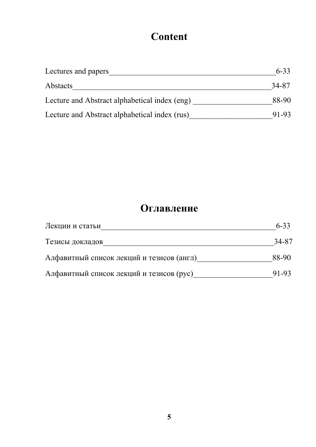# **Content**

| Lectures and papers                           | $6 - 33$ |
|-----------------------------------------------|----------|
| Abstacts                                      | 34-87    |
| Lecture and Abstract alphabetical index (eng) | 88-90    |
| Lecture and Abstract alphabetical index (rus) | 91-93    |

# **Оглавление**

| Лекции и статьи                           | $6 - 33$ |
|-------------------------------------------|----------|
| Тезисы докладов                           | 34-87    |
| Алфавитный список лекций и тезисов (англ) | 88-90    |
| Алфавитный список лекций и тезисов (рус)  | 91-93    |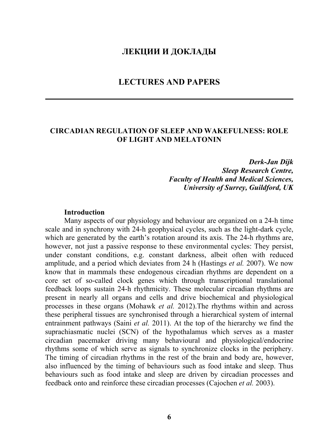## **ЛЕКЦИИ И ДОКЛАДЫ**

## **LECTURES AND PAPERS**

## **CIRCADIAN REGULATION OF SLEEP AND WAKEFULNESS: ROLE OF LIGHT AND MELATONIN**

*Derk-Jan Dijk Sleep Research Centre, Faculty of Health and Medical Sciences, University of Surrey, Guildford, UK* 

#### **Introduction**

Many aspects of our physiology and behaviour are organized on a 24-h time scale and in synchrony with 24-h geophysical cycles, such as the light-dark cycle, which are generated by the earth's rotation around its axis. The 24-h rhythms are, however, not just a passive response to these environmental cycles: They persist, under constant conditions, e.g. constant darkness, albeit often with reduced amplitude, and a period which deviates from 24 h (Hastings *et al.* 2007). We now know that in mammals these endogenous circadian rhythms are dependent on a core set of so-called clock genes which through transcriptional translational feedback loops sustain 24-h rhythmicity. These molecular circadian rhythms are present in nearly all organs and cells and drive biochemical and physiological processes in these organs (Mohawk *et al.* 2012).The rhythms within and across these peripheral tissues are synchronised through a hierarchical system of internal entrainment pathways (Saini *et al.* 2011). At the top of the hierarchy we find the suprachiasmatic nuclei (SCN) of the hypothalamus which serves as a master circadian pacemaker driving many behavioural and physiological/endocrine rhythms some of which serve as signals to synchronize clocks in the periphery. The timing of circadian rhythms in the rest of the brain and body are, however, also influenced by the timing of behaviours such as food intake and sleep. Thus behaviours such as food intake and sleep are driven by circadian processes and feedback onto and reinforce these circadian processes (Cajochen *et al.* 2003).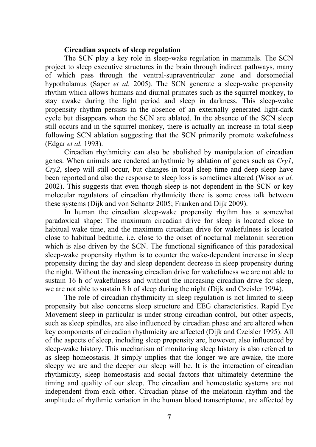#### **Circadian aspects of sleep regulation**

The SCN play a key role in sleep-wake regulation in mammals. The SCN project to sleep executive structures in the brain through indirect pathways, many of which pass through the ventral-supraventricular zone and dorsomedial hypothalamus (Saper *et al.* 2005). The SCN generate a sleep-wake propensity rhythm which allows humans and diurnal primates such as the squirrel monkey, to stay awake during the light period and sleep in darkness. This sleep-wake propensity rhythm persists in the absence of an externally generated light-dark cycle but disappears when the SCN are ablated. In the absence of the SCN sleep still occurs and in the squirrel monkey, there is actually an increase in total sleep following SCN ablation suggesting that the SCN primarily promote wakefulness (Edgar *et al.* 1993).

Circadian rhythmicity can also be abolished by manipulation of circadian genes. When animals are rendered arrhythmic by ablation of genes such as *Cry1*, *Cry2*, sleep will still occur, but changes in total sleep time and deep sleep have been reported and also the response to sleep loss is sometimes altered (Wisor *et al.* 2002). This suggests that even though sleep is not dependent in the SCN or key molecular regulators of circadian rhythmicity there is some cross talk between these systems (Dijk and von Schantz 2005; Franken and Dijk 2009).

In human the circadian sleep-wake propensity rhythm has a somewhat paradoxical shape: The maximum circadian drive for sleep is located close to habitual wake time, and the maximum circadian drive for wakefulness is located close to habitual bedtime, i.e. close to the onset of nocturnal melatonin secretion which is also driven by the SCN. The functional significance of this paradoxical sleep-wake propensity rhythm is to counter the wake-dependent increase in sleep propensity during the day and sleep dependent decrease in sleep propensity during the night. Without the increasing circadian drive for wakefulness we are not able to sustain 16 h of wakefulness and without the increasing circadian drive for sleep, we are not able to sustain 8 h of sleep during the night (Dijk and Czeisler 1994).

The role of circadian rhythmicity in sleep regulation is not limited to sleep propensity but also concerns sleep structure and EEG characteristics. Rapid Eye Movement sleep in particular is under strong circadian control, but other aspects, such as sleep spindles, are also influenced by circadian phase and are altered when key components of circadian rhythmicity are affected (Dijk and Czeisler 1995). All of the aspects of sleep, including sleep propensity are, however, also influenced by sleep-wake history. This mechanism of monitoring sleep history is also referred to as sleep homeostasis. It simply implies that the longer we are awake, the more sleepy we are and the deeper our sleep will be. It is the interaction of circadian rhythmicity, sleep homeostasis and social factors that ultimately determine the timing and quality of our sleep. The circadian and homeostatic systems are not independent from each other. Circadian phase of the melatonin rhythm and the amplitude of rhythmic variation in the human blood transcriptome, are affected by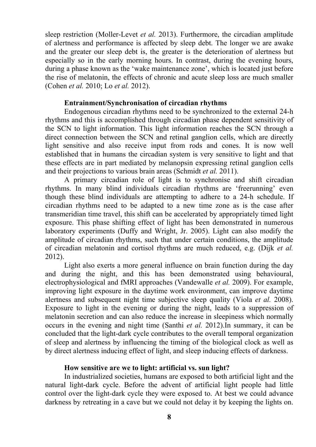sleep restriction (Moller-Levet *et al.* 2013). Furthermore, the circadian amplitude of alertness and performance is affected by sleep debt. The longer we are awake and the greater our sleep debt is, the greater is the deterioration of alertness but especially so in the early morning hours. In contrast, during the evening hours, during a phase known as the 'wake maintenance zone', which is located just before the rise of melatonin, the effects of chronic and acute sleep loss are much smaller (Cohen *et al.* 2010; Lo *et al.* 2012).

#### **Entrainment/Synchronisation of circadian rhythms**

Endogenous circadian rhythms need to be synchronized to the external 24-h rhythms and this is accomplished through circadian phase dependent sensitivity of the SCN to light information. This light information reaches the SCN through a direct connection between the SCN and retinal ganglion cells, which are directly light sensitive and also receive input from rods and cones. It is now well established that in humans the circadian system is very sensitive to light and that these effects are in part mediated by melanopsin expressing retinal ganglion cells and their projections to various brain areas (Schmidt *et al.* 2011).

A primary circadian role of light is to synchronise and shift circadian rhythms. In many blind individuals circadian rhythms are 'freerunning' even though these blind individuals are attempting to adhere to a 24-h schedule. If circadian rhythms need to be adapted to a new time zone as is the case after transmeridian time travel, this shift can be accelerated by appropriately timed light exposure. This phase shifting effect of light has been demonstrated in numerous laboratory experiments (Duffy and Wright, Jr. 2005). Light can also modify the amplitude of circadian rhythms, such that under certain conditions, the amplitude of circadian melatonin and cortisol rhythms are much reduced, e.g. (Dijk *et al.* 2012).

Light also exerts a more general influence on brain function during the day and during the night, and this has been demonstrated using behavioural, electrophysiological and fMRI approaches (Vandewalle *et al.* 2009). For example, improving light exposure in the daytime work environment, can improve daytime alertness and subsequent night time subjective sleep quality (Viola *et al.* 2008). Exposure to light in the evening or during the night, leads to a suppression of melatonin secretion and can also reduce the increase in sleepiness which normally occurs in the evening and night time (Santhi *et al.* 2012).In summary, it can be concluded that the light-dark cycle contributes to the overall temporal organization of sleep and alertness by influencing the timing of the biological clock as well as by direct alertness inducing effect of light, and sleep inducing effects of darkness.

#### **How sensitive are we to light: artificial vs. sun light?**

In industrialized societies, humans are exposed to both artificial light and the natural light-dark cycle. Before the advent of artificial light people had little control over the light-dark cycle they were exposed to. At best we could advance darkness by retreating in a cave but we could not delay it by keeping the lights on.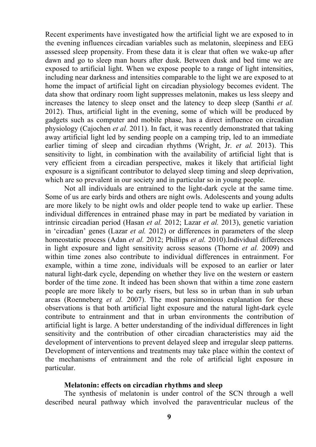Recent experiments have investigated how the artificial light we are exposed to in the evening influences circadian variables such as melatonin, sleepiness and EEG assessed sleep propensity. From these data it is clear that often we wake-up after dawn and go to sleep man hours after dusk. Between dusk and bed time we are exposed to artificial light. When we expose people to a range of light intensities, including near darkness and intensities comparable to the light we are exposed to at home the impact of artificial light on circadian physiology becomes evident. The data show that ordinary room light suppresses melatonin, makes us less sleepy and increases the latency to sleep onset and the latency to deep sleep (Santhi *et al.* 2012). Thus, artificial light in the evening, some of which will be produced by gadgets such as computer and mobile phase, has a direct influence on circadian physiology (Cajochen *et al.* 2011). In fact, it was recently demonstrated that taking away artificial light led by sending people on a camping trip, led to an immediate earlier timing of sleep and circadian rhythms (Wright, Jr. *et al.* 2013). This sensitivity to light, in combination with the availability of artificial light that is very efficient from a circadian perspective, makes it likely that artificial light exposure is a significant contributor to delayed sleep timing and sleep deprivation, which are so prevalent in our society and in particular so in young people.

Not all individuals are entrained to the light-dark cycle at the same time. Some of us are early birds and others are night owls. Adolescents and young adults are more likely to be night owls and older people tend to wake up earlier. These individual differences in entrained phase may in part be mediated by variation in intrinsic circadian period (Hasan *et al.* 2012; Lazar *et al.* 2013), genetic variation in 'circadian' genes (Lazar *et al.* 2012) or differences in parameters of the sleep homeostatic process (Adan *et al.* 2012; Phillips *et al.* 2010).Individual differences in light exposure and light sensitivity across seasons (Thorne *et al.* 2009) and within time zones also contribute to individual differences in entrainment. For example, within a time zone, individuals will be exposed to an earlier or later natural light-dark cycle, depending on whether they live on the western or eastern border of the time zone. It indeed has been shown that within a time zone eastern people are more likely to be early risers, but less so in urban than in sub urban areas (Roenneberg *et al.* 2007). The most parsimonious explanation for these observations is that both artificial light exposure and the natural light-dark cycle contribute to entrainment and that in urban environments the contribution of artificial light is large. A better understanding of the individual differences in light sensitivity and the contribution of other circadian characteristics may aid the development of interventions to prevent delayed sleep and irregular sleep patterns. Development of interventions and treatments may take place within the context of the mechanisms of entrainment and the role of artificial light exposure in particular.

#### **Melatonin: effects on circadian rhythms and sleep**

The synthesis of melatonin is under control of the SCN through a well described neural pathway which involved the paraventricular nucleus of the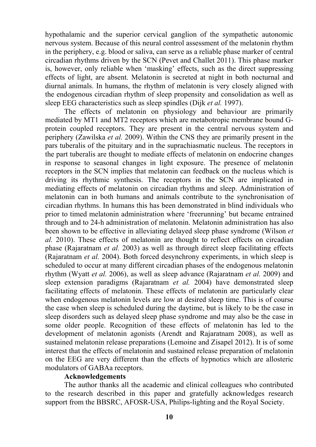hypothalamic and the superior cervical ganglion of the sympathetic autonomic nervous system. Because of this neural control assessment of the melatonin rhythm in the periphery, e.g. blood or saliva, can serve as a reliable phase marker of central circadian rhythms driven by the SCN (Pevet and Challet 2011). This phase marker is, however, only reliable when 'masking' effects, such as the direct suppressing effects of light, are absent. Melatonin is secreted at night in both nocturnal and diurnal animals. In humans, the rhythm of melatonin is very closely aligned with the endogenous circadian rhythm of sleep propensity and consolidation as well as sleep EEG characteristics such as sleep spindles (Dijk *et al.* 1997).

The effects of melatonin on physiology and behaviour are primarily mediated by MT1 and MT2 receptors which are metabotropic membrane bound Gprotein coupled receptors. They are present in the central nervous system and periphery (Zawilska *et al.* 2009). Within the CNS they are primarily present in the pars tuberalis of the pituitary and in the suprachiasmatic nucleus. The receptors in the part tuberalis are thought to mediate effects of melatonin on endocrine changes in response to seasonal changes in light exposure. The presence of melatonin receptors in the SCN implies that melatonin can feedback on the nucleus which is driving its rhythmic synthesis. The receptors in the SCN are implicated in mediating effects of melatonin on circadian rhythms and sleep. Administration of melatonin can in both humans and animals contribute to the synchronisation of circadian rhythms. In humans this has been demonstrated in blind individuals who prior to timed melatonin administration where 'freerunning' but became entrained through and to 24-h administration of melatonin. Melatonin administration has also been shown to be effective in alleviating delayed sleep phase syndrome (Wilson *et al.* 2010). These effects of melatonin are thought to reflect effects on circadian phase (Rajaratnam *et al.* 2003) as well as through direct sleep facilitating effects (Rajaratnam *et al.* 2004). Both forced desynchrony experiments, in which sleep is scheduled to occur at many different circadian phases of the endogenous melatonin rhythm (Wyatt *et al.* 2006), as well as sleep advance (Rajaratnam *et al.* 2009) and sleep extension paradigms (Rajaratnam *et al.* 2004) have demonstrated sleep facilitating effects of melatonin. These effects of melatonin are particularly clear when endogenous melatonin levels are low at desired sleep time. This is of course the case when sleep is scheduled during the daytime, but is likely to be the case in sleep disorders such as delayed sleep phase syndrome and may also be the case in some older people. Recognition of these effects of melatonin has led to the development of melatonin agonists (Arendt and Rajaratnam 2008), as well as sustained melatonin release preparations (Lemoine and Zisapel 2012). It is of some interest that the effects of melatonin and sustained release preparation of melatonin on the EEG are very different than the effects of hypnotics which are allosteric modulators of GABAa receptors.

#### **Acknowledgements**

The author thanks all the academic and clinical colleagues who contributed to the research described in this paper and gratefully acknowledges research support from the BBSRC, AFOSR-USA, Philips-lighting and the Royal Society.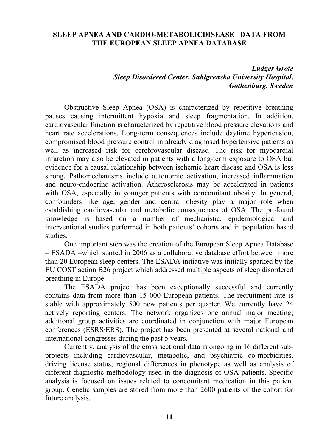#### **SLEEP APNEA AND CARDIO-METABOLICDISEASE –DATA FROM THE EUROPEAN SLEEP APNEA DATABASE**

## *Ludger Grote Sleep Disordered Center, Sahlgrenska University Hospital, Gothenburg, Sweden*

Obstructive Sleep Apnea (OSA) is characterized by repetitive breathing pauses causing intermittent hypoxia and sleep fragmentation. In addition, cardiovascular function is characterized by repetitive blood pressure elevations and heart rate accelerations. Long-term consequences include daytime hypertension, compromised blood pressure control in already diagnosed hypertensive patients as well as increased risk for cerebrovascular disease. The risk for myocardial infarction may also be elevated in patients with a long-term exposure to OSA but evidence for a causal relationship between ischemic heart disease and OSA is less strong. Pathomechanisms include autonomic activation, increased inflammation and neuro-endocrine activation. Atherosclerosis may be accelerated in patients with OSA, especially in younger patients with concomitant obesity. In general, confounders like age, gender and central obesity play a major role when establishing cardiovascular and metabolic consequences of OSA. The profound knowledge is based on a number of mechanistic, epidemiological and interventional studies performed in both patients' cohorts and in population based studies.

One important step was the creation of the European Sleep Apnea Database – ESADA –which started in 2006 as a collaborative database effort between more than 20 European sleep centers. The ESADA initiative was initially sparked by the EU COST action B26 project which addressed multiple aspects of sleep disordered breathing in Europe.

The ESADA project has been exceptionally successful and currently contains data from more than 15 000 European patients. The recruitment rate is stable with approximately 500 new patients per quarter. We currently have 24 actively reporting centers. The network organizes one annual major meeting; additional group activities are coordinated in conjunction with major European conferences (ESRS/ERS). The project has been presented at several national and international congresses during the past 5 years.

Currently, analysis of the cross sectional data is ongoing in 16 different subprojects including cardiovascular, metabolic, and psychiatric co-morbidities, driving license status, regional differences in phenotype as well as analysis of different diagnostic methodology used in the diagnosis of OSA patients. Specific analysis is focused on issues related to concomitant medication in this patient group. Genetic samples are stored from more than 2600 patients of the cohort for future analysis.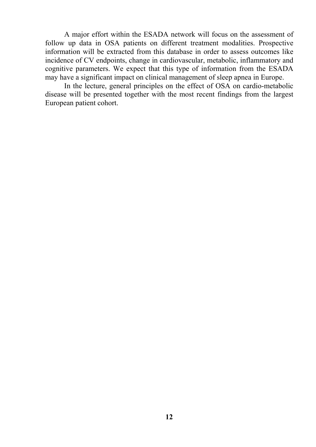A major effort within the ESADA network will focus on the assessment of follow up data in OSA patients on different treatment modalities. Prospective information will be extracted from this database in order to assess outcomes like incidence of CV endpoints, change in cardiovascular, metabolic, inflammatory and cognitive parameters. We expect that this type of information from the ESADA may have a significant impact on clinical management of sleep apnea in Europe.

In the lecture, general principles on the effect of OSA on cardio-metabolic disease will be presented together with the most recent findings from the largest European patient cohort.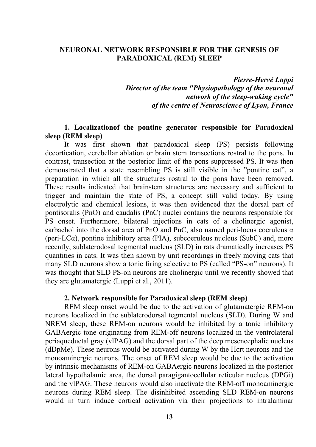#### **NEURONAL NETWORK RESPONSIBLE FOR THE GENESIS OF PARADOXICAL (REM) SLEEP**

*Pierre-Hervé Luppi Director of the team "Physiopathology of the neuronal network of the sleep-waking cycle" of the centre of Neuroscience of Lyon, France* 

#### **1. Localizationof the pontine generator responsible for Paradoxical sleep (REM sleep)**

It was first shown that paradoxical sleep (PS) persists following decortication, cerebellar ablation or brain stem transections rostral to the pons. In contrast, transection at the posterior limit of the pons suppressed PS. It was then demonstrated that a state resembling PS is still visible in the "pontine cat", a preparation in which all the structures rostral to the pons have been removed. These results indicated that brainstem structures are necessary and sufficient to trigger and maintain the state of PS, a concept still valid today. By using electrolytic and chemical lesions, it was then evidenced that the dorsal part of pontisoralis (PnO) and caudalis (PnC) nuclei contains the neurons responsible for PS onset. Furthermore, bilateral injections in cats of a cholinergic agonist, carbachol into the dorsal area of PnO and PnC, also named peri-locus coeruleus  $\alpha$ (peri-LC $\alpha$ ), pontine inhibitory area (PIA), subcoeruleus nucleus (SubC) and, more recently, sublaterodosal tegmental nucleus (SLD) in rats dramatically increases PS quantities in cats. It was then shown by unit recordings in freely moving cats that many SLD neurons show a tonic firing selective to PS (called "PS-on" neurons). It was thought that SLD PS-on neurons are cholinergic until we recently showed that they are glutamatergic (Luppi et al., 2011).

#### **2. Network responsible for Paradoxical sleep (REM sleep)**

REM sleep onset would be due to the activation of glutamatergic REM-on neurons localized in the sublaterodorsal tegmental nucleus (SLD). During W and NREM sleep, these REM-on neurons would be inhibited by a tonic inhibitory GABAergic tone originating from REM-off neurons localized in the ventrolateral periaqueductal gray (vlPAG) and the dorsal part of the deep mesencephalic nucleus (dDpMe). These neurons would be activated during W by the Hcrt neurons and the monoaminergic neurons. The onset of REM sleep would be due to the activation by intrinsic mechanisms of REM-on GABAergic neurons localized in the posterior lateral hypothalamic area, the dorsal paragigantocellular reticular nucleus (DPGi) and the vlPAG. These neurons would also inactivate the REM-off monoaminergic neurons during REM sleep. The disinhibited ascending SLD REM-on neurons would in turn induce cortical activation via their projections to intralaminar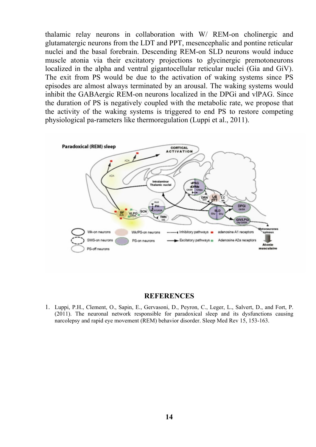thalamic relay neurons in collaboration with W/ REM-on cholinergic and glutamatergic neurons from the LDT and PPT, mesencephalic and pontine reticular nuclei and the basal forebrain. Descending REM-on SLD neurons would induce muscle atonia via their excitatory projections to glycinergic premotoneurons localized in the alpha and ventral gigantocellular reticular nuclei (Gia and GiV). The exit from PS would be due to the activation of waking systems since PS episodes are almost always terminated by an arousal. The waking systems would inhibit the GABAergic REM-on neurons localized in the DPGi and vlPAG. Since the duration of PS is negatively coupled with the metabolic rate, we propose that the activity of the waking systems is triggered to end PS to restore competing physiological pa-rameters like thermoregulation (Luppi et al., 2011).



#### **REFERENCES**

1. Luppi, P.H., Clement, O., Sapin, E., Gervasoni, D., Peyron, C., Leger, L., Salvert, D., and Fort, P. (2011). The neuronal network responsible for paradoxical sleep and its dysfunctions causing narcolepsy and rapid eye movement (REM) behavior disorder. Sleep Med Rev 15, 153-163.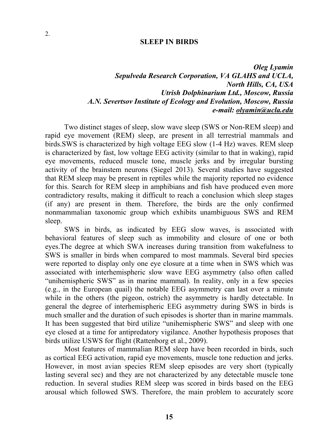#### **SLEEP IN BIRDS**

*Oleg Lyamin Sepulveda Research Corporation, VA GLAHS and UCLA, North Hills, CA, USA Utrish Dolphinarium Ltd., Moscow, Russia A.N. Severtsov Institute of Ecology and Evolution, Moscow, Russia e-mail: olyamin@ucla.edu* 

Two distinct stages of sleep, slow wave sleep (SWS or Non-REM sleep) and rapid eye movement (REM) sleep, are present in all terrestrial mammals and birds.SWS is characterized by high voltage EEG slow (1-4 Hz) waves. REM sleep is characterized by fast, low voltage EEG activity (similar to that in waking), rapid eye movements, reduced muscle tone, muscle jerks and by irregular bursting activity of the brainstem neurons (Siegel 2013). Several studies have suggested that REM sleep may be present in reptiles while the majority reported no evidence for this. Search for REM sleep in amphibians and fish have produced even more contradictory results, making it difficult to reach a conclusion which sleep stages (if any) are present in them. Therefore, the birds are the only confirmed nonmammalian taxonomic group which exhibits unambiguous SWS and REM sleep.

SWS in birds, as indicated by EEG slow waves, is associated with behavioral features of sleep such as immobility and closure of one or both eyes.The degree at which SWA increases during transition from wakefulness to SWS is smaller in birds when compared to most mammals. Several bird species were reported to display only one eye closure at a time when in SWS which was associated with interhemispheric slow wave EEG asymmetry (also often called "unihemispheric SWS" as in marine mammal). In reality, only in a few species (e.g., in the European quail) the notable EEG asymmetry can last over a minute while in the others (the pigeon, ostrich) the asymmetry is hardly detectable. In general the degree of interhemispheric EEG asymmetry during SWS in birds is much smaller and the duration of such episodes is shorter than in marine mammals. It has been suggested that bird utilize "unihemispheric SWS" and sleep with one eye closed at a time for antipredatory vigilance. Another hypothesis proposes that birds utilize USWS for flight (Rattenborg et al., 2009).

Most features of mammalian REM sleep have been recorded in birds, such as cortical EEG activation, rapid eye movements, muscle tone reduction and jerks. However, in most avian species REM sleep episodes are very short (typically lasting several sec) and they are not characterized by any detectable muscle tone reduction. In several studies REM sleep was scored in birds based on the EEG arousal which followed SWS. Therefore, the main problem to accurately score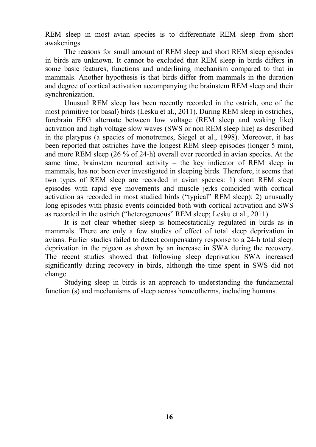REM sleep in most avian species is to differentiate REM sleep from short awakenings.

The reasons for small amount of REM sleep and short REM sleep episodes in birds are unknown. It cannot be excluded that REM sleep in birds differs in some basic features, functions and underlining mechanism compared to that in mammals. Another hypothesis is that birds differ from mammals in the duration and degree of cortical activation accompanying the brainstem REM sleep and their synchronization.

Unusual REM sleep has been recently recorded in the ostrich, one of the most primitive (or basal) birds (Lesku et al., 2011). During REM sleep in ostriches, forebrain EEG alternate between low voltage (REM sleep and waking like) activation and high voltage slow waves (SWS or non REM sleep like) as described in the platypus (a species of monotremes, Siegel et al., 1998). Moreover, it has been reported that ostriches have the longest REM sleep episodes (longer 5 min), and more REM sleep (26 % of 24-h) overall ever recorded in avian species. At the same time, brainstem neuronal activity  $-$  the key indicator of REM sleep in mammals, has not been ever investigated in sleeping birds. Therefore, it seems that two types of REM sleep are recorded in avian species: 1) short REM sleep episodes with rapid eye movements and muscle jerks coincided with cortical activation as recorded in most studied birds ("typical" REM sleep); 2) unusually long episodes with phasic events coincided both with cortical activation and SWS as recorded in the ostrich ("heterogeneous" REM sleep; Lesku et al., 2011).

It is not clear whether sleep is homeostatically regulated in birds as in mammals. There are only a few studies of effect of total sleep deprivation in avians. Earlier studies failed to detect compensatory response to a 24-h total sleep deprivation in the pigeon as shown by an increase in SWA during the recovery. The recent studies showed that following sleep deprivation SWA increased significantly during recovery in birds, although the time spent in SWS did not change.

Studying sleep in birds is an approach to understanding the fundamental function (s) and mechanisms of sleep across homeotherms, including humans.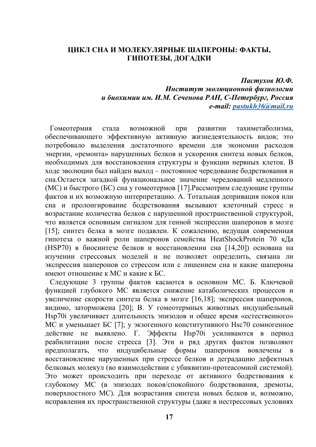#### **ЦИКЛ СНА И МОЛЕКУЛЯРНЫЕ ШАПЕРОНЫ: ФАКТЫ, ГИПОТЕЗЫ, ДОГАДКИ**

*Пастухов Ю.Ф. Институт эволюционной физиологии и биохимии им. И.М. Сеченова РАН, С-Петербург, Россия e-mail: pastukh36@mail.ru*

Гомеотермия стала возможной при развитии тахиметаболизма, обеспечивающего эффективную активную жизнедеятельность видов; это потребовало выделения достаточного времени для экономии расходов энергии, «ремонта» нарушенных белков и ускорения синтеза новых белков, необходимых для восстановления структуры и функции нервных клеток. В ходе эволюции был найден выход – постоянное чередование бодрствования и сна.Остается загадкой функциональное значение чередований медленного (МС) и быстрого (БС) сна у гомеотермов [17].Рассмотрим следующие группы фактов и их возможную интерпретацию. А. Тотальная депривация покоя или сна и пролонгирование бодрствования вызывают клеточный стресс и возрастание количества белков с нарушенной пространственной структурой, что является основным сигналом для генной экспрессии шаперонов в мозге [15]; синтез белка в мозге подавлен. К сожалению, ведущая современная гипотеза о важной роли шаперонов семейства HeatShockProtein 70 кДа (HSP70) в биосинтезе белков и восстановлении сна [14,20]) основана на изучении стрессовых моделей и не позволяет определить, связана ли экспрессия шаперонов со стрессом или с лишением сна и какие шапероны имеют отношение к МС и какие к БС.

Следующие 3 группы фактов касаются в основном МС. Б. Ключевой функцией глубокого МС является снижение катаболических процессов и увеличение скорости синтеза белка в мозге [16,18]; экспрессия шаперонов, видимо, заторможена [20]; В. У гомеотермных животных индуцибельный Hsp70i увеличивает длительность эпизодов и общее время «естественного» МС и уменьшает БС [7]; у экзогенного конститутивного Hsc70 сомногенное действие не выявлено. Г. Эффекты Hsp70i усиливаются в период реабилитации после стресса [3]. Эти и ряд других фактов позволяют предполагать, что индуцибельные формы шаперонов вовлечены в восстановление нарушенных при стрессе белков и деградацию дефектных белковых молекул (во взаимодействии с убиквитин-протеасомной системой). Это может происходить при переходе от активного бодрствования к глубокому МС (в эпизодах покоя/спокойного бодрствования, дремоты, поверхностного МС). Для возрастания синтеза новых белков и, возможно, исправления их пространственной структуры (даже в нестрессовых условиях

**17**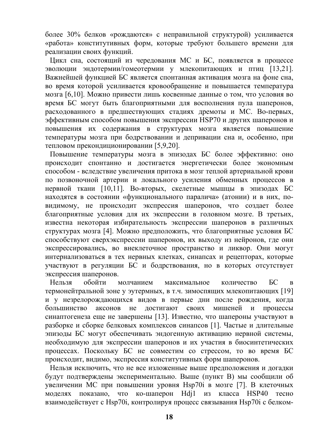более 30% белков «рождаются» с неправильной структурой) усиливается «работа» конститутивных форм, которые требуют большего времени для реализации своих функций.

Цикл сна, состоящий из чередования МС и БС, появляется в процессе эволюции эндотермии/гомеотермии у млекопитающих и птиц [13,21]. Важнейшей функцией БС является спонтанная активация мозга на фоне сна, во время которой усиливается кровообращение и повышается температура мозга [6,10]. Можно привести лишь косвенные данные о том, что условия во время БС могут быть благоприятными для восполнения пула шаперонов, расходованного в предшествующих стадиях дремоты и МС. Во-первых, эффективным способом повышения экспрессии HSP70 и других шаперонов и повышения их содержания в структурах мозга является повышение температуры мозга при бодрствовании и депривации сна и, особенно, при тепловом прекондиционировании [5,9,20].

Повышение температуры мозга в эпизодах БС более эффективно: оно происходит спонтанно и достигается энергетически более экономным способом - вследствие увеличения притока в мозг теплой артериальной крови по позвоночной артерии и локального усиления обменных процессов в нервной ткани [10,11]. Во-вторых, скелетные мышцы в эпизодах БС находятся в состоянии «функционального паралича» (атонии) и в них, повидимому, не происходит экспрессия шаперонов, что создает более благоприятные условия для их экспрессии в головном мозге. В третьих, известна некоторая избирательность экспрессии шаперонов в различных структурах мозга [4]. Можно предположить, что благоприятные условия БС способствуют сверхэкспрессии шаперонов, их выходу из нейронов, где они экспрессировались, во внеклеточное пространство и ликвор. Они могут интернализоваться в тех нервных клетках, синапсах и рецепторах, которые участвуют в регуляции БС и бодрствования, но в которых отсутствует экспрессия шаперонов.

Нельзя обойти молчанием максимальное количество БС в термонейтральной зоне у эутермных, в т.ч. зимоспящих млекопитающих [19] и у незрелорождающихся видов в первые дни после рождения, когда большинство аксонов не достигают своих мишеней и процессы синаптогенеза еще не завершены [13]. Известно, что шапероны участвуют в разборке и сборке белковых комплексов синапсов [1]. Частые и длительные эпизоды БС могут обеспечивать эндогенную активацию нервной системы, необходимую для экспрессии шаперонов и их участия в биосинтетических процессах. Поскольку БС не совместим со стрессом, то во время БС происходит, видимо, экспрессия конститутивных форм шаперонов.

Нельзя исключить, что не все изложенные выше предположения и догадки будут подтверждены экспериментально. Выше (пункт В) мы сообщили об увеличении МС при повышении уровня Hsp70i в мозге [7]. В клеточных моделях показано, что ко-шаперон Hdj1 из класса HSP40 тесно взаимодействует с Hsp70i, контролируя процесс связывания Hsp70i с белком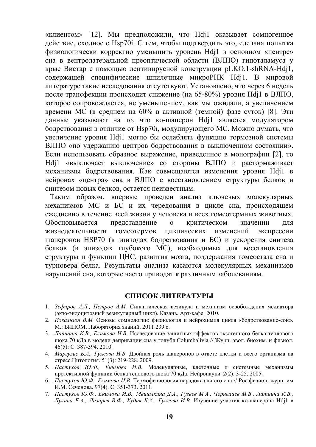«клиентом» [12]. Мы предположили, что Hdj1 оказывает сомногенное действие, сходное с Hsp70i. С тем, чтобы подтвердить это, сделана попытка физиологически корректно уменьшить уровень Hdj1 в основном «центре» сна в вентролатеральной преоптической области (ВЛПО) гипоталамуса у крыс Вистар с помощью лентивирусной конструкции pLKO.1-shRNA-Hdj1, содержащей специфические шпилечные микроРНК Hdj1. В мировой литературе такие исследования отсутствуют. Установлено, что через 6 недель после трансфекции происходит снижение (на 65-80%) уровня Hdj1 в ВЛПО, которое сопровождается, не уменьшением, как мы ожидали, а увеличением времени МС (в среднем на 60% в активной (темной) фазе суток) [8]. Эти данные указывают на то, что ко-шаперон Hdj1 является модулятором бодрствования в отличие от Hsp70i, модулирующего МС. Можно думать, что увеличение уровня Hdj1 могло бы ослаблять функцию тормозной системы ВЛПО «по удержанию центров бодрствования в выключенном состоянии». Если использовать образное выражение, приведенное в монографии [2], то Hdj1 «выключает выключение» со стороны ВЛПО и растормаживает механизмы бодрствования. Как совмещаются изменения уровня Hdj1 в нейронах «центра» сна в ВЛПО с восстановлением структуры белков и синтезом новых белков, остается неизвестным.

Таким образом, впервые проведен анализ ключевых молекулярных механизмов МС и БС и их чередования в цикле сна, происходящем ежедневно в течение всей жизни у человека и всех гомеотермных животных. Обосновывается представление о критическом значении для жизнедеятельности гомеотермов циклических изменений экспрессии шаперонов HSP70 (в эпизодах бодрствования и БС) и ускорения синтеза белков (в эпизодах глубокого МС), необходимых для восстановления структуры и функции ЦНС, развития мозга, поддержания гомеостаза сна и турновера белка. Результаты анализа касаются молекулярных механизмов нарушений сна, которые часто приводят к различным заболеваниям.

#### **СПИСОК ЛИТЕРАТУРЫ**

- 1. *Зефиров А.Л., Петров А.М.* Синаптическая везикула и механизм освобождения медиатора (экзо-эндоцитозный везикулярный цикл). Казань. Арт-кафе. 2010.
- 2. *Ковальзон В.М.* Основы сомнологии: физиология и нейрохимия цикла «бодрствование-сон». М.: БИНОМ. Лаборатория знаний. 2011 239 с.
- 3. *Лапшина К.В., Екимова И.В.* Исследование защитных эффектов экзогенного белка теплового шока 70 кДа в модели депривации сна у голубя Columbalivia // Журн. эвол. биохим. и физиол. 46(5): С. 387-394. 2010.
- 4. *Маргулис Б.А., Гужова И.В.* Двойная роль шаперонов в ответе клетки и всего организма на стресс.Цитология. 51(3): 219-228. 2009.
- 5. *Пастухов Ю.Ф., Екимова И.В.* Молекулярные, клеточные и системные механизмы протективной функции белка теплового шока 70 кДа. Нейронауки. 2(2): 3-25. 2005.
- 6. *Пастухов Ю.Ф., Екимова И.В.* Термофизиология парадоксального сна // Рос.физиол. журн. им И.М. Сеченова. 97(4). С. 351-373. 2011.
- 7. Пастухов Ю.Ф., Екимова И.В., Мешалкина Д.А., Гузеев М.А., Чернышев М.В., Лапшина К.В., Лукина Е.А., Лазарев В.Ф., Худик К.А., Гужова И.В. Изучение участия ко-шаперона Hdj1 в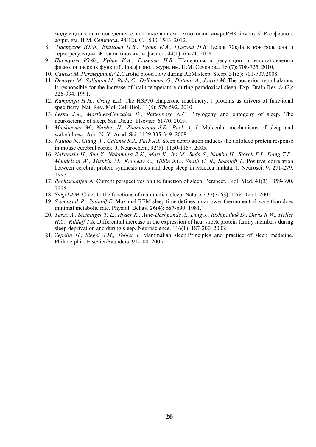модуляции сна и поведения с использованием технологии микроРНК invivo // Рос.физиол. журн. им. И.М. Сеченова. 98(12). С. 1530-1543. 2012.

- 8. *Пастухов Ю.Ф., Екимова И.В., Худик К.А., Гужова И.В.* Белок 70кДа в контроле сна и терморегуляции. Ж. эвол. биохим. и физиол. 44(1): 65-71. 2008.
- 9. *Пастухов Ю.Ф., Худик К.А., Екимова И.В.* Шапероны в регуляции и восстановлении физиологических функций. Рос.физиол. журн. им. И.М. Сеченова. 96 (7): 708-725. 2010.
- 10. *CalassoM.,ParmeggianiP.L.*Carotid blood flow during REM sleep. Sleep. 31(5): 701-707.2008.
- 11. *Denoyer M., Sallanon M., Buda C., Delhomme G., Dittmar A., Jouvet M.* The posterior hypothalamus is responsible for the increase of brain temperature during paradoxical sleep. Exp. Brain Res. 84(2): 326-334. 1991.
- 12. *Kampinga H.H., Craig E.A.* The HSP70 chaperone machinery: J proteins as drivers of functional specificity. Nat. Rev. Mol. Cell Biol. 11(8): 579-592. 2010.
- 13. *Lesku J.A., Martinez-Gonzales D., Rattenborg N.C.* Phylogeny and ontogeny of sleep. The neuroscience of sleep. San Diego. Elsevier. 61-70. 2009.
- 14. *Mackiewicz M., Naidoo N., Zimmerman J.E., Pack A. I.* Molecular mechanisms of sleep and wakefulness. Ann. N. Y. Acad. Sci. 1129 335-349. 2008.
- 15. *Naidoo N., Giang W., Galante R.J., Pack A.I.* Sleep deprivation induces the unfolded protein response in mouse cerebral cortex. J. Neurochem. 92(5): 1150-1157. 2005.
- 16. *Nakanishi H., Sun Y., Nakamura R.K., Mori K., Ito M., Suda S., Namba H., Storch F.I., Dang T.P., Mendelson W., Mishkin M., Kennedy C., Gillin J.C., Smith C. B., Sokoloff L. Positive correlation* between cerebral protein synthesis rates and deep sleep in Macaca mulata. J. Neurosci. 9: 271-279. 1997.
- 17. *Rechtschaffen* A. Current perspectives on the function of sleep. Perspect. Biol. Med. 41(3) : 359-390. 1998.
- 18. *Siegel J.M.* Clues to the functions of mammalian sleep. Nature. 437(7063): 1264-1271. 2005.
- 19. *Szymusiak R., Satinoff E.* Maximal REM sleep time defines a narrower thermoneutral zone than does minimal metabolic rate. Physiol. Behav. 26(4): 687-690. 1981.
- 20. *Terao A., Steininger T. L., Hyder K., Apte-Deshpande A., Ding J., Rishipathak D., Davis R.W., Heller H.C., Kilduff T.S.* Differential increase in the expression of heat shock protein family members during sleep deprivation and during sleep. Neuroscience. 116(1): 187-200. 2003.
- 21. *Zepelin H., Siegel J.M., Tobler I.* Mammalian sleep.Principles and practice of sleep medicine. Philadelphia. Elsevier/Saunders. 91-100. 2005.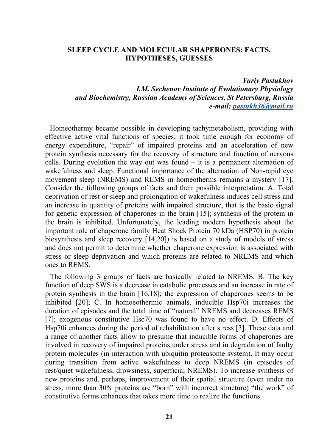#### **SLEEP CYCLE AND MOLECULAR SHAPERONES: FACTS, HYPOTHESES, GUESSES**

## *Yuriy Pastukhov I.M. Sechenov Institute of Evolutionary Physiology and Biochemistry, Russian Academy of Sciences, St Petersburg, Russia e-mail: pastukh36@mail.ru*

Homeothermy became possible in developing tachymetabolism, providing with effective active vital functions of species; it took time enough for economy of energy expenditure, "repair" of impaired proteins and an acceleration of new protein synthesis necessary for the recovery of structure and function of nervous cells. During evolution the way out was found – it is a permanent alternation of wakefulness and sleep. Functional importance of the alternation of Non-rapid eye movement sleep (NREMS) and REMS in homeotherms remains a mystery [17]. Consider the following groups of facts and their possible interpretation. A. Total deprivation of rest or sleep and prolongation of wakefulness induces cell stress and an increase in quantity of proteins with impaired structure, that is the basic signal for genetic expression of chaperones in the brain [15]; synthesis of the protein in the brain is inhibited. Unfortunately, the leading modern hypothesis about the important role of chaperone family Heat Shock Protein 70 kDa (HSP70) in protein biosynthesis and sleep recovery [14,20]) is based on a study of models of stress and does not permit to determine whether chaperone expression is associated with stress or sleep deprivation and which proteins are related to NREMS and which ones to REMS.

The following 3 groups of facts are basically related to NREMS. B. The key function of deep SWS is a decrease in catabolic processes and an increase in rate of protein synthesis in the brain [16,18]; the expression of chaperones seems to be inhibited [20]; C. In homoeothermic animals, inducible Hsp70i increases the duration of episodes and the total time of "natural" NREMS and decreases REMS [7]; exogenous constitutive Hsc70 was found to have no effect. D. Effects of Hsp70i enhances during the period of rehabilitation after stress [3]. These data and a range of another facts allow to presume that inducible forms of chaperones are involved in recovery of impaired proteins under stress and in degradation of faulty protein molecules (in interaction with ubiquitin proteasome system). It may occur during transition from active wakefulness to deep NREMS (in episodes of rest/quiet wakefulness, drowsiness, superficial NREMS). To increase synthesis of new proteins and, perhaps, improvement of their spatial structure (even under no stress, more than 30% proteins are "born" with incorrect structure) "the work" of constitutive forms enhances that takes more time to realize the functions.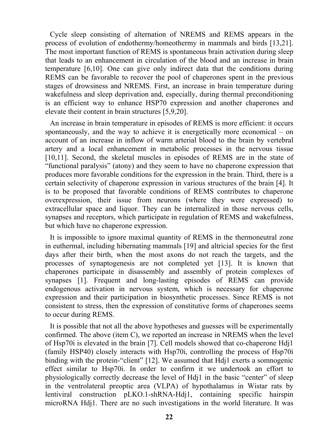Cycle sleep consisting of alternation of NREMS and REMS appears in the process of evolution of endothermy/homeothermy in mammals and birds [13,21]. The most important function of REMS is spontaneous brain activation during sleep that leads to an enhancement in circulation of the blood and an increase in brain temperature [6,10]. One can give only indirect data that the conditions during REMS can be favorable to recover the pool of chaperones spent in the previous stages of drowsiness and NREMS. First, an increase in brain temperature during wakefulness and sleep deprivation and, especially, during thermal preconditioning is an efficient way to enhance HSP70 expression and another chaperones and elevate their content in brain structures [5,9,20].

An increase in brain temperature in episodes of REMS is more efficient: it occurs spontaneously, and the way to achieve it is energetically more economical – on account of an increase in inflow of warm arterial blood to the brain by vertebral artery and a local enhancement in metabolic processes in the nervous tissue [10,11]. Second, the skeletal muscles in episodes of REMS are in the state of "functional paralysis" (atony) and they seem to have no chaperone expression that produces more favorable conditions for the expression in the brain. Third, there is a certain selectivity of chaperone expression in various structures of the brain [4]. It is to be proposed that favorable conditions of REMS contributes to chaperone overexpression, their issue from neurons (where they were expressed) to extracellular space and liquor. They can be internalized in those nervous cells, synapses and receptors, which participate in regulation of REMS and wakefulness, but which have no chaperone expression.

It is impossible to ignore maximal quantity of REMS in the thermoneutral zone in euthermal, including hibernating mammals [19] and altricial species for the first days after their birth, when the most axons do not reach the targets, and the processes of synaptogenesis are not completed yet [13]. It is known that chaperones participate in disassembly and assembly of protein complexes of synapses [1]. Frequent and long-lasting episodes of REMS can provide endogenous activation in nervous system, which is necessary for chaperone expression and their participation in biosynthetic processes. Since REMS is not consistent to stress, then the expression of constitutive forms of chaperones seems to occur during REMS.

It is possible that not all the above hypotheses and guesses will be experimentally confirmed. The above (item C), we reported an increase in NREMS when the level of Hsp70i is elevated in the brain [7]. Cell models showed that co-chaperone Hdj1 (family HSP40) closely interacts with Hsp70i, controlling the process of Hsp70i binding with the protein-"client" [12]. We assumed that Hdj1 exerts a somnogenic effect similar to Hsp70i. In order to confirm it we undertook an effort to physiologically correctly decrease the level of Hdj1 in the basic "center" of sleep in the ventrolateral preoptic area (VLPA) of hypothalamus in Wistar rats by lentiviral construction pLKO.1-shRNA-Hdj1, containing specific hairspin microRNA Hdj1. There are no such investigations in the world literature. It was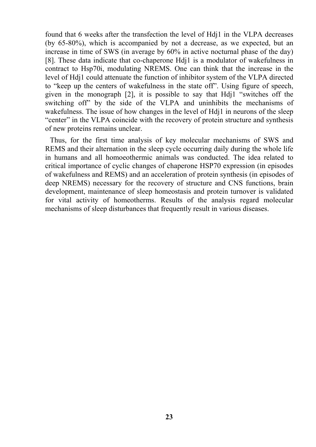found that 6 weeks after the transfection the level of Hdj1 in the VLPA decreases (by 65-80%), which is accompanied by not a decrease, as we expected, but an increase in time of SWS (in average by 60% in active nocturnal phase of the day) [8]. These data indicate that co-chaperone Hdj1 is a modulator of wakefulness in contract to Hsp70i, modulating NREMS. One can think that the increase in the level of Hdj1 could attenuate the function of inhibitor system of the VLPA directed to "keep up the centers of wakefulness in the state off". Using figure of speech, given in the monograph [2], it is possible to say that Hdj1 "switches off the switching off" by the side of the VLPA and uninhibits the mechanisms of wakefulness. The issue of how changes in the level of Hdj1 in neurons of the sleep "center" in the VLPA coincide with the recovery of protein structure and synthesis of new proteins remains unclear.

Thus, for the first time analysis of key molecular mechanisms of SWS and REMS and their alternation in the sleep cycle occurring daily during the whole life in humans and all homoeothermic animals was conducted. The idea related to critical importance of cyclic changes of chaperone HSP70 expression (in episodes of wakefulness and REMS) and an acceleration of protein synthesis (in episodes of deep NREMS) necessary for the recovery of structure and CNS functions, brain development, maintenance of sleep homeostasis and protein turnover is validated for vital activity of homeotherms. Results of the analysis regard molecular mechanisms of sleep disturbances that frequently result in various diseases.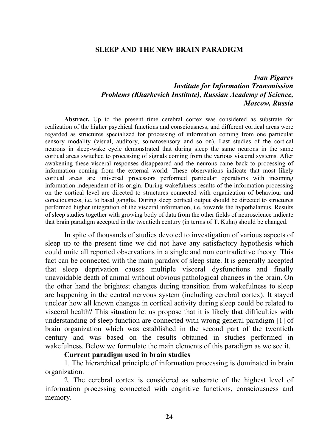#### **SLEEP AND THE NEW BRAIN PARADIGM**

## *Ivan Pigarev Institute for Information Transmission Problems (Kharkevich Institute), Russian Academy of Science, Moscow, Russia*

**Abstract.** Up to the present time cerebral cortex was considered as substrate for realization of the higher psychical functions and consciousness, and different cortical areas were regarded as structures specialized for processing of information coming from one particular sensory modality (visual, auditory, somatosensory and so on). Last studies of the cortical neurons in sleep-wake cycle demonstrated that during sleep the same neurons in the same cortical areas switched to processing of signals coming from the various visceral systems. After awakening these visceral responses disappeared and the neurons came back to processing of information coming from the external world. These observations indicate that most likely cortical areas are universal processors performed particular operations with incoming information independent of its origin. During wakefulness results of the information processing on the cortical level are directed to structures connected with organization of behaviour and consciousness, i.e. to basal ganglia. During sleep cortical output should be directed to structures performed higher integration of the visceral information, i.e. towards the hypothalamus. Results of sleep studies together with growing body of data from the other fields of neuroscience indicate that brain paradigm accepted in the twentieth century (in terms of T. Kuhn) should be changed.

In spite of thousands of studies devoted to investigation of various aspects of sleep up to the present time we did not have any satisfactory hypothesis which could unite all reported observations in a single and non contradictive theory. This fact can be connected with the main paradox of sleep state. It is generally accepted that sleep deprivation causes multiple visceral dysfunctions and finally unavoidable death of animal without obvious pathological changes in the brain. On the other hand the brightest changes during transition from wakefulness to sleep are happening in the central nervous system (including cerebral cortex). It stayed unclear how all known changes in cortical activity during sleep could be related to visceral health? This situation let us propose that it is likely that difficulties with understanding of sleep function are connected with wrong general paradigm [1] of brain organization which was established in the second part of the twentieth century and was based on the results obtained in studies performed in wakefulness. Below we formulate the main elements of this paradigm as we see it.

#### **Current paradigm used in brain studies**

1. The hierarchical principle of information processing is dominated in brain organization.

2. The cerebral cortex is considered as substrate of the highest level of information processing connected with cognitive functions, consciousness and memory.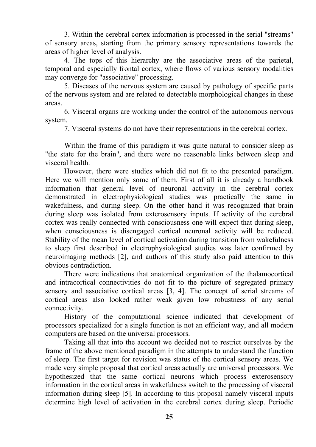3. Within the cerebral cortex information is processed in the serial "streams" of sensory areas, starting from the primary sensory representations towards the areas of higher level of analysis.

4. The tops of this hierarchy are the associative areas of the parietal, temporal and especially frontal cortex, where flows of various sensory modalities may converge for "associative" processing.

5. Diseases of the nervous system are caused by pathology of specific parts of the nervous system and are related to detectable morphological changes in these areas.

6. Visceral organs are working under the control of the autonomous nervous system.

7. Visceral systems do not have their representations in the cerebral cortex.

Within the frame of this paradigm it was quite natural to consider sleep as "the state for the brain", and there were no reasonable links between sleep and visceral health.

However, there were studies which did not fit to the presented paradigm. Here we will mention only some of them. First of all it is already a handbook information that general level of neuronal activity in the cerebral cortex demonstrated in electrophysiological studies was practically the same in wakefulness, and during sleep. On the other hand it was recognized that brain during sleep was isolated from exterosensory inputs. If activity of the cerebral cortex was really connected with consciousness one will expect that during sleep, when consciousness is disengaged cortical neuronal activity will be reduced. Stability of the mean level of cortical activation during transition from wakefulness to sleep first described in electrophysiological studies was later confirmed by neuroimaging methods [2], and authors of this study also paid attention to this obvious contradiction.

There were indications that anatomical organization of the thalamocortical and intracortical connectivities do not fit to the picture of segregated primary sensory and associative cortical areas [3, 4]. The concept of serial streams of cortical areas also looked rather weak given low robustness of any serial connectivity.

History of the computational science indicated that development of processors specialized for a single function is not an efficient way, and all modern computers are based on the universal processors.

Taking all that into the account we decided not to restrict ourselves by the frame of the above mentioned paradigm in the attempts to understand the function of sleep. The first target for revision was status of the cortical sensory areas. We made very simple proposal that cortical areas actually are universal processors. We hypothesized that the same cortical neurons which process exterosensory information in the cortical areas in wakefulness switch to the processing of visceral information during sleep [5]. In according to this proposal namely visceral inputs determine high level of activation in the cerebral cortex during sleep. Periodic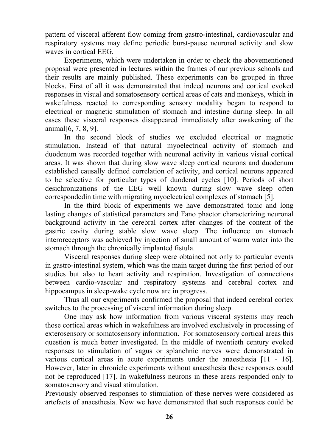pattern of visceral afferent flow coming from gastro-intestinal, cardiovascular and respiratory systems may define periodic burst-pause neuronal activity and slow waves in cortical EEG.

Experiments, which were undertaken in order to check the abovementioned proposal were presented in lectures within the frames of our previous schools and their results are mainly published. These experiments can be grouped in three blocks. First of all it was demonstrated that indeed neurons and cortical evoked responses in visual and somatosensory cortical areas of cats and monkeys, which in wakefulness reacted to corresponding sensory modality began to respond to electrical or magnetic stimulation of stomach and intestine during sleep. In all cases these visceral responses disappeared immediately after awakening of the animal[6, 7, 8, 9].

In the second block of studies we excluded electrical or magnetic stimulation. Instead of that natural myoelectrical activity of stomach and duodenum was recorded together with neuronal activity in various visual cortical areas. It was shown that during slow wave sleep cortical neurons and duodenum established causally defined correlation of activity, and cortical neurons appeared to be selective for particular types of duodenal cycles [10]. Periods of short desichronizations of the EEG well known during slow wave sleep often correspondedin time with migrating myoelectrical complexes of stomach [5].

In the third block of experiments we have demonstrated tonic and long lasting changes of statistical parameters and Fano phactor characterizing neuronal background activity in the cerebral cortex after changes of the content of the gastric cavity during stable slow wave sleep. The influence on stomach interoreceptors was achieved by injection of small amount of warm water into the stomach through the chronically implanted fistula.

Visceral responses during sleep were obtained not only to particular events in gastro-intestinal system, which was the main target during the first period of our studies but also to heart activity and respiration. Investigation of connections between cardio-vascular and respiratory systems and cerebral cortex and hippocampus in sleep-wake cycle now are in progress.

Thus all our experiments confirmed the proposal that indeed cerebral cortex switches to the processing of visceral information during sleep.

One may ask how information from various visceral systems may reach those cortical areas which in wakefulness are involved exclusively in processing of exterosensory or somatosensory information. For somatosensory cortical areas this question is much better investigated. In the middle of twentieth century evoked responses to stimulation of vagus or splanchnic nerves were demonstrated in various cortical areas in acute experiments under the anaesthesia [11 - 16]. However, later in chronicle experiments without anaesthesia these responses could not be reproduced [17]. In wakefulness neurons in these areas responded only to somatosensory and visual stimulation.

Previously observed responses to stimulation of these nerves were considered as artefacts of anaesthesia. Now we have demonstrated that such responses could be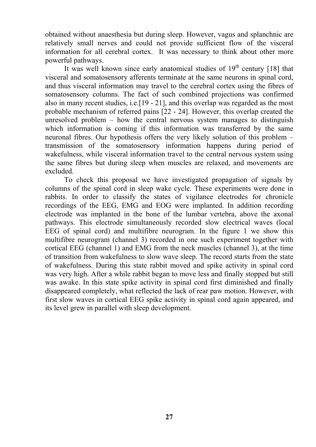obtained without anaesthesia but during sleep. However, vagus and splanchnic are relatively small nerves and could not provide sufficient flow of the visceral information for all cerebral cortex. It was necessary to think about other more powerful pathways.

It was well known since early anatomical studies of  $19<sup>th</sup>$  century [18] that visceral and somatosensory afferents terminate at the same neurons in spinal cord, and thus visceral information may travel to the cerebral cortex using the fibres of somatosensory columns. The fact of such combined projections was confirmed also in many recent studies, i.e.[19 - 21], and this overlap was regarded as the most probable mechanism of referred pains [22 - 24]. However, this overlap created the unresolved problem – how the central nervous system manages to distinguish which information is coming if this information was transferred by the same neuronal fibres. Our hypothesis offers the very likely solution of this problem – transmission of the somatosensory information happens during period of wakefulness, while visceral information travel to the central nervous system using the same fibres but during sleep when muscles are relaxed, and movements are excluded.

To check this proposal we have investigated propagation of signals by columns of the spinal cord in sleep wake cycle. These experiments were done in rabbits. In order to classify the states of vigilance electrodes for chronicle recordings of the EEG, EMG and EOG were implanted. In addition recording electrode was implanted in the bone of the lumbar vertebra, above the axonal pathways. This electrode simultaneously recorded slow electrical waves (local EEG of spinal cord) and multifibre neurogram. In the figure 1 we show this multifibre neurogram (channel 3) recorded in one such experiment together with cortical EEG (channel 1) and EMG from the neck muscles (channel 3), at the time of transition from wakefulness to slow wave sleep. The record starts from the state of wakefulness. During this state rabbit moved and spike activity in spinal cord was very high. After a while rabbit began to move less and finally stopped but still was awake. In this state spike activity in spinal cord first diminished and finally disappeared completely, what reflected the lack of rear paw motion. However, with first slow waves in cortical EEG spike activity in spinal cord again appeared, and its level grew in parallel with sleep development.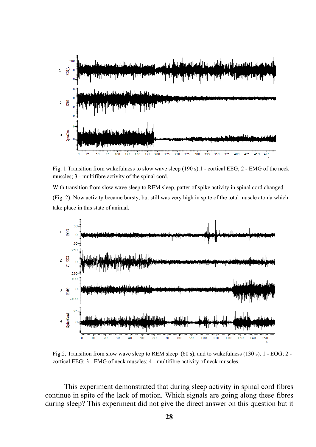

Fig. 1.Transition from wakefulness to slow wave sleep (190 s).1 - cortical EEG; 2 - EMG of the neck muscles; 3 - multifibre activity of the spinal cord.

With transition from slow wave sleep to REM sleep, patter of spike activity in spinal cord changed (Fig. 2). Now activity became bursty, but still was very high in spite of the total muscle atonia which take place in this state of animal.



Fig.2. Transition from slow wave sleep to REM sleep (60 s), and to wakefulness (130 s). 1 - EOG; 2 cortical EEG; 3 - EMG of neck muscles; 4 - multifibre activity of neck muscles.

This experiment demonstrated that during sleep activity in spinal cord fibres continue in spite of the lack of motion. Which signals are going along these fibres during sleep? This experiment did not give the direct answer on this question but it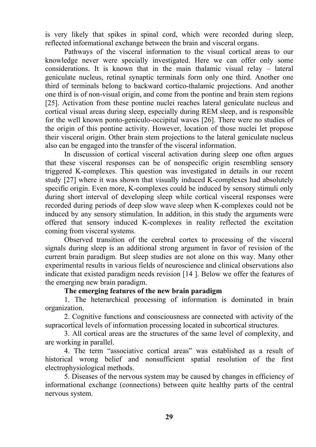is very likely that spikes in spinal cord, which were recorded during sleep, reflected informational exchange between the brain and visceral organs.

Pathways of the visceral information to the visual cortical areas to our knowledge never were specially investigated. Here we can offer only some considerations. It is known that in the main thalamic visual relay – lateral geniculate nucleus, retinal synaptic terminals form only one third. Another one third of terminals belong to backward cortico-thalamic projections. And another one third is of non-visual origin, and come from the pontine and brain stem regions [25]. Activation from these pontine nuclei reaches lateral geniculate nucleus and cortical visual areas during sleep, especially during REM sleep, and is responsible for the well known ponto-geniculo-occipital waves [26]. There were no studies of the origin of this pontine activity. However, location of those nuclei let propose their visceral origin. Other brain stem projections to the lateral geniculate nucleus also can be engaged into the transfer of the visceral information.

In discussion of cortical visceral activation during sleep one often argues that these visceral responses can be of nonspecific origin resembling sensory triggered K-complexes. This question was investigated in details in our recent study [27] where it was shown that visually induced K-complexes had absolutely specific origin. Even more, K-complexes could be induced by sensory stimuli only during short interval of developing sleep while cortical visceral responses were recorded during periods of deep slow wave sleep when K-complexes could not be induced by any sensory stimulation. In addition, in this study the arguments were offered that sensory induced K-complexes in reality reflected the excitation coming from visceral systems.

Observed transition of the cerebral cortex to processing of the visceral signals during sleep is an additional strong argument in favor of revision of the current brain paradigm. But sleep studies are not alone on this way. Many other experimental results in various fields of neuroscience and clinical observations also indicate that existed paradigm needs revision [14 ]. Below we offer the features of the emerging new brain paradigm.

## **The emerging features of the new brain paradigm**

1. The heterarchical processing of information is dominated in brain organization.

2. Cognitive functions and consciousness are connected with activity of the supracortical levels of information processing located in subcortical structures.

3. All cortical areas are the structures of the same level of complexity, and are working in parallel.

4. The term "associative cortical areas" was established as a result of historical wrong belief and nonsufficient spatial resolution of the first electrophysiological methods.

5. Diseases of the nervous system may be caused by changes in efficiency of informational exchange (connections) between quite healthy parts of the central nervous system.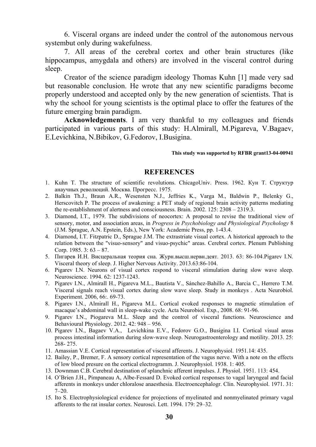6. Visceral organs are indeed under the control of the autonomous nervous systembut only during wakefulness.

7. All areas of the cerebral cortex and other brain structures (like hippocampus, amygdala and others) are involved in the visceral control during sleep.

Creator of the science paradigm ideology Thomas Kuhn [1] made very sad but reasonable conclusion. He wrote that any new scientific paradigms become properly understood and accepted only by the new generation of scientists. That is why the school for young scientists is the optimal place to offer the features of the future emerging brain paradigm.

**Acknowledgements**. I am very thankful to my colleagues and friends participated in various parts of this study: H.Almirall, M.Pigareva, V.Bagaev, Е.Levichkina, N.Bibikov, G.Fedorov, I.Busigina.

#### **This study was supported by RFBR grant13-04-00941**

#### **REFERENCES**

- 1. Kuhn T. The structure of scientific revolutions. ChicagoUniv. Press. 1962. Кун Т. Структур анаучных революций. Москва. Прогресс. 1975.
- 2. Balkin Th.J., Braun A.R., Wesensten N.J., Jeffries K., Varga M., Baldwin P., Belenky G., Herscovitch P. The process of awakening: a PET study of regional brain activity patterns mediating the re-establishment of alertness and consciousness. Brain. 2002. 125: 2308 – 2319.3.
- 3. Diamond, I.T., 1979. The subdivisions of neocortex: A proposal to revise the traditional view of sensory, motor, and association areas, in *Progress in Psychobiology and Physiological Psychology* 8 (J.M. Sprague, A.N. Epstein, Eds.), New York: Academic Press, pp. 1-43.4.
- 4. Diamond, I.T. Fitzpatric D., Sprague J.M. The extrastriate visual cortex. A historical approach to the relation between the "visuo-sensory" and visuo-psychic" areas. Cerebral cortex. Plenum Publishing Corp. 1985.  $3: 63 - 87$ .
- 5. Пигарев И.Н. Висцеральная теория сна. Журн.высш.нервн.деят. 2013. 63: 86-104.Pigarev I.N. Visceral theory of sleep. J. Higher Nervous Activity. 2013.63:86-104.
- 6. Pigarev I.N. Neurons of visual cortex respond to visceral stimulation during slow wave sleep. Neuroscience. 1994. 62: 1237-1243.
- 7. Pigarev I.N., Almirall H., Pigareva M.L., Bautista V., Sánchez-Bahillo A., Barcia C., Herrero T.M. Visceral signals reach visual cortex during slow wave sleep. Study in monkeys . Acta Neurobiol. Experiment. 2006, 66:. 69-73.
- 8. Pigarev I.N., Almirall H., Pigareva M.L. Cortical evoked responses to magnetic stimulation of macaque's abdominal wall in sleep-wake cycle. Acta Neurobiol. Exp., 2008. 68: 91-96.
- 9. Pigarev I.N., Piogareva M.L. Sleep and the control of visceral functions. Neuroscience and Behavioural Physiology. 2012. 42: 948 – 956.
- 10. Pigarev I.N., Bagaev V.A., Levichkina E.V., Fedorov G.O., Busigina I.I. Cortical visual areas process intestinal information during slow-wave sleep. Neurogastroenterology and motility. 2013. 25: 268- 275.
- 11. Amassian V.E. Cortical representation of visceral afferents. J. Neurophysiol. 1951.14: 435.
- 12. Bailey, P., Bremer, F. A sensory cortical representation of the vagus nerve. With a note on the effects of low blood presure on the cortical electrogramm. J. Neurophysiol. 1938. 1: 405.
- 13. Downman C.B. Cerebral destination of splanchnic afferent impulses. J. Physiol. 1951. 113: 454.
- 14. O'Brien J.H., Pimpaneau A, Albe-Fessard D. Evoked cortical responses to vagal laryngeal and facial afferents in monkeys under chloralose anaesthesia. Electroencephalogr. Clin. Neurophysiol. 1971. 31:  $7-20.$
- 15. Ito S. Electrophysiological evidence for projections of myelinated and nonmyelinated primary vagal afferents to the rat insular cortex. Neurosci. Lett. 1994. 179: 29–32.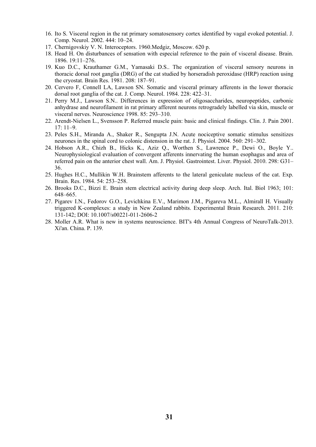- 16. Ito S. Visceral region in the rat primary somatosensory cortex identified by vagal evoked potential. J. Comp. Neurol. 2002. 444: 10–24.
- 17. Chernigovskiy V. N. Interoceptors. 1960.Medgiz, Moscow. 620 p.
- 18. Head H. On disturbances of sensation with especial reference to the pain of visceral disease. Brain. 1896. 19:11–276.
- 19. Kuo D.C., Krauthamer G.M., Yamasaki D.S.. The organization of visceral sensory neurons in thoracic dorsal root ganglia (DRG) of the cat studied by horseradish peroxidase (HRP) reaction using the cryostat. Brain Res. 1981. 208: 187–91.
- 20. Cervero F, Connell LA, Lawson SN. Somatic and visceral primary afferents in the lower thoracic dorsal root ganglia of the cat. J. Comp. Neurol. 1984. 228: 422–31.
- 21. Perry M.J., Lawson S.N.. Differences in expression of oligosaccharides, neuropeptides, carbonic anhydrase and neurofilament in rat primary afferent neurons retrogradely labelled via skin, muscle or visceral nerves. Neuroscience 1998. 85: 293–310.
- 22. Arendt-Nielsen L., Svensson P. Referred muscle pain: basic and clinical findings. Clin. J. Pain 2001. 17: 11–9.
- 23. Peles S.H., Miranda A., Shaker R., Sengupta J.N. Acute nociceptive somatic stimulus sensitizes neurones in the spinal cord to colonic distension in the rat. J. Physiol. 2004. 560: 291–302.
- 24. Hobson A.R., Chizh B., Hicks K., Aziz Q., Worthen S., Lawrence P., Dewi O., Boyle Y.. Neurophysiological evaluation of convergent afferents innervating the human esophagus and area of referred pain on the anterior chest wall. Am. J. Physiol. Gastrointest. Liver. Physiol. 2010. 298: G31– 36.
- 25. Hughes H.C., Mullikin W.H. Brainstem afferents to the lateral geniculate nucleus of the cat. Exp. Brain. Res. 1984. 54: 253–258.
- 26. Brooks D.C., Bizzi E. Brain stem electrical activity during deep sleep. Arch. Ital. Biol 1963; 101: 648–665.
- 27. Pigarev I.N., Fedorov G.O., Levichkina E.V., Marimon J.M., Pigareva M.L., Almirall H. Visually triggered K-complexes: a study in New Zealand rabbits. Experimental Brain Research. 2011. 210: 131-142; DOI: 10.1007/s00221-011-2606-2
- 28. Moller A.R. What is new in systems neuroscience. BIT's 4th Annual Congress of NeuroTalk-2013. Xi'an. China. P. 139.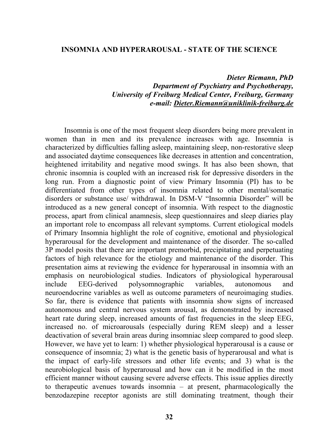#### **INSOMNIA AND HYPERAROUSAL - STATE OF THE SCIENCE**

#### *Dieter Riemann, PhD Department of Psychiatry and Psychotherapy, University of Freiburg Medical Center, Freiburg, Germany e-mail: Dieter.Riemann@uniklinik-freiburg.de*

Insomnia is one of the most frequent sleep disorders being more prevalent in women than in men and its prevalence increases with age. Insomnia is characterized by difficulties falling asleep, maintaining sleep, non-restorative sleep and associated daytime consequences like decreases in attention and concentration, heightened irritability and negative mood swings. It has also been shown, that chronic insomnia is coupled with an increased risk for depressive disorders in the long run. From a diagnostic point of view Primary Insomnia (PI) has to be differentiated from other types of insomnia related to other mental/somatic disorders or substance use/ withdrawal. In DSM-V "Insomnia Disorder" will be introduced as a new general concept of insomnia. With respect to the diagnostic process, apart from clinical anamnesis, sleep questionnaires and sleep diaries play an important role to encompass all relevant symptoms. Current etiological models of Primary Insomnia highlight the role of cognitive, emotional and physiological hyperarousal for the development and maintenance of the disorder. The so-called 3P model posits that there are important premorbid, precipitating and perpetuating factors of high relevance for the etiology and maintenance of the disorder. This presentation aims at reviewing the evidence for hyperarousal in insomnia with an emphasis on neurobiological studies. Indicators of physiological hyperarousal include EEG-derived polysomnographic variables, autonomous and neuroendocrine variables as well as outcome parameters of neuroimaging studies. So far, there is evidence that patients with insomnia show signs of increased autonomous and central nervous system arousal, as demonstrated by increased heart rate during sleep, increased amounts of fast frequencies in the sleep EEG, increased no. of microarousals (especially during REM sleep) and a lesser deactivation of several brain areas during insomniac sleep compared to good sleep. However, we have yet to learn: 1) whether physiological hyperarousal is a cause or consequence of insomnia; 2) what is the genetic basis of hyperarousal and what is the impact of early-life stressors and other life events; and 3) what is the neurobiological basis of hyperarousal and how can it be modified in the most efficient manner without causing severe adverse effects. This issue applies directly to therapeutic avenues towards insomnia – at present, pharmacologically the benzodazepine receptor agonists are still dominating treatment, though their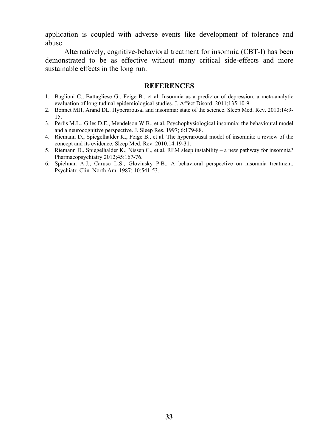application is coupled with adverse events like development of tolerance and abuse.

Alternatively, cognitive-behavioral treatment for insomnia (CBT-I) has been demonstrated to be as effective without many critical side-effects and more sustainable effects in the long run.

#### **REFERENCES**

- 1. Baglioni C., Battagliese G., Feige B., et al. Insomnia as a predictor of depression: a meta-analytic evaluation of longitudinal epidemiological studies. J. Affect Disord. 2011;135:10-9
- 2. Bonnet MH, Arand DL. Hyperarousal and insomnia: state of the science. Sleep Med. Rev. 2010;14:9- 15.
- 3. Perlis M.L., Giles D.E., Mendelson W.B., et al. Psychophysiological insomnia: the behavioural model and a neurocognitive perspective. J. Sleep Res. 1997; 6:179-88.
- 4. Riemann D., Spiegelhalder K., Feige B., et al. The hyperarousal model of insomnia: a review of the concept and its evidence. Sleep Med. Rev. 2010;14:19-31.
- 5. Riemann D., Spiegelhalder K., Nissen C., et al. REM sleep instability a new pathway for insomnia? Pharmacopsychiatry 2012;45:167-76.
- 6. Spielman A.J., Caruso L.S., Glovinsky P.B.. A behavioral perspective on insomnia treatment. Psychiatr. Clin. North Am. 1987; 10:541-53.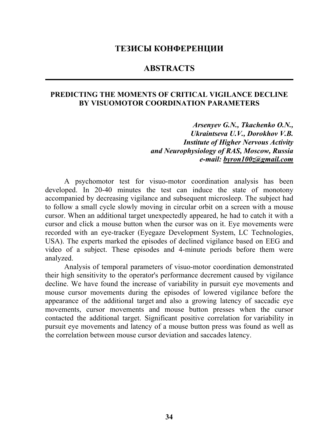#### **ТЕЗИСЫ КОНФЕРЕНЦИИ**

## **ABSTRACTS**

#### **PREDICTING THE MOMENTS OF CRITICAL VIGILANCE DECLINE BY VISUOMOTOR COORDINATION PARAMETERS**

*Arsenyev G.N., Tkachenko O.N., Ukraintseva U.V., Dorokhov V.B. Institute of Higher Nervous Activity and Neurophysiology of RAS, Moscow, Russia e-mail: byron100z@gmail.com* 

A psychomotor test for visuo-motor coordination analysis has been developed. In 20-40 minutes the test can induce the state of monotony accompanied by decreasing vigilance and subsequent microsleep. The subject had to follow a small cycle slowly moving in circular orbit on a screen with a mouse cursor. When an additional target unexpectedly appeared, he had to catch it with a cursor and click a mouse button when the cursor was on it. Eye movements were recorded with an eye-tracker (Eyegaze Development System, LC Technologies, USA). The experts marked the episodes of declined vigilance based on EEG and video of a subject. These episodes and 4-minute periods before them were analyzed.

Analysis of temporal parameters of visuo-motor coordination demonstrated their high sensitivity to the operator's performance decrement caused by vigilance decline. We have found the increase of variability in pursuit eye movements and mouse cursor movements during the episodes of lowered vigilance before the appearance of the additional target and also a growing latency of saccadic eye movements, cursor movements and mouse button presses when the cursor contacted the additional target. Significant positive correlation for variability in pursuit eye movements and latency of a mouse button press was found as well as the correlation between mouse cursor deviation and saccades latency.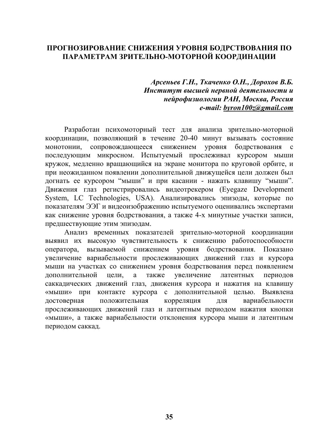## **ПРОГНОЗИРОВАНИЕ СНИЖЕНИЯ УРОВНЯ БОДРСТВОВАНИЯ ПО ПАРАМЕТРАМ ЗРИТЕЛЬНО-МОТОРНОЙ КООРДИНАЦИИ**

*Арсеньев Г.Н., Ткаченко О.Н., Дорохов В.Б. Институт высшей нервной деятельности и нейрофизиологии РАН, Москва, Россия e-mail: byron100z@gmail.com* 

Разработан психомоторный тест для анализа зрительно-моторной координации, позволяющий в течение 20-40 минут вызывать состояние монотонии, сопровождающееся снижением уровня бодрствования с последующим микросном. Испытуемый прослеживал курсором мыши кружок, медленно вращающийся на экране монитора по круговой орбите, и при неожиданном появлении дополнительной движущейся цели должен был догнать ее курсором "мыши" и при касании - нажать клавишу "мыши". Движения глаз регистрировались видеотрекером (Eyegaze Development System, LC Technologies, USA). Анализировались эпизоды, которые по показателям ЭЭГ и видеоизображению испытуемого оценивались экспертами как снижение уровня бодрствования, а также 4-х минутные участки записи, предшествующие этим эпизодам.

Анализ временных показателей зрительно-моторной координации выявил их высокую чувствительность к снижению работоспособности оператора, вызываемой снижением уровня бодрствования. Показано увеличение вариабельности прослеживающих движений глаз и курсора мыши на участках со снижением уровня бодрствования перед появлением дополнительной цели, а также увеличение латентных периодов саккадических движений глаз, движения курсора и нажатия на клавишу «мыши» при контакте курсора с дополнительной целью. Выявлена достоверная положительная корреляция для вариабельности прослеживающих движений глаз и латентным периодом нажатия кнопки «мыши», а также вариабельности отклонения курсора мыши и латентным периодом саккад.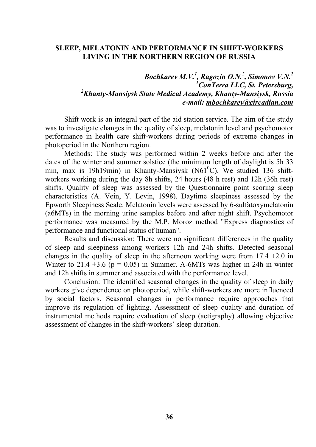#### **SLEEP, MELATONIN AND PERFORMANCE IN SHIFT-WORKERS LIVING IN THE NORTHERN REGION OF RUSSIA**

## *Bochkarev M.V.1 , Ragozin O.N.<sup>2</sup> , Simonov V.N.<sup>2</sup> 1 ConTerra LLC, St. Petersburg, 2 Khanty-Mansiysk State Medical Academy, Khanty-Mansiysk, Russia e-mail: mbochkarev@circadian.com*

Shift work is an integral part of the aid station service. The aim of the study was to investigate changes in the quality of sleep, melatonin level and psychomotor performance in health care shift-workers during periods of extreme changes in photoperiod in the Northern region.

Methods: The study was performed within 2 weeks before and after the dates of the winter and summer solstice (the minimum length of daylight is 5h 33 min, max is 19h19min) in Khanty-Mansiysk (N61<sup>o</sup>C). We studied 136 shiftworkers working during the day 8h shifts, 24 hours (48 h rest) and 12h (36h rest) shifts. Quality of sleep was assessed by the Questionnaire point scoring sleep characteristics (A. Vein, Y. Levin, 1998). Daytime sleepiness assessed by the Epworth Sleepiness Scale. Melatonin levels were assessed by 6-sulfatoxymelatonin (a6MTs) in the morning urine samples before and after night shift. Psychomotor performance was measured by the M.P. Moroz method "Express diagnostics of performance and functional status of human".

Results and discussion: There were no significant differences in the quality of sleep and sleepiness among workers 12h and 24h shifts. Detected seasonal changes in the quality of sleep in the afternoon working were from  $17.4 + 2.0$  in Winter to 21.4  $+3.6$  (p = 0.05) in Summer. A-6MTs was higher in 24h in winter and 12h shifts in summer and associated with the performance level.

Conclusion: The identified seasonal changes in the quality of sleep in daily workers give dependence on photoperiod, while shift-workers are more influenced by social factors. Seasonal changes in performance require approaches that improve its regulation of lighting. Assessment of sleep quality and duration of instrumental methods require evaluation of sleep (actigraphy) allowing objective assessment of changes in the shift-workers' sleep duration.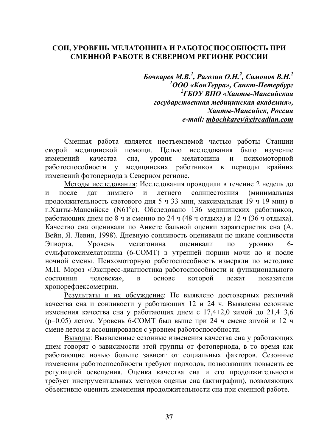#### **СОН, УРОВЕНЬ МЕЛАТОНИНА И РАБОТОСПОСОБНОСТЬ ПРИ СМЕННОЙ РАБОТЕ В СЕВЕРНОМ РЕГИОНЕ РОССИИ**

*Бочкарев М.В. 1 , Рагозин О.Н. 2 , Симонов В.Н. 2 1 ООО «КонТерра», Санкт-Петербург 2 ГБОУ ВПО «Ханты-Мансийская государственная медицинская академия», Ханты-Мансийск, Россия e-mail: mbochkarev@circadian.com* 

Сменная работа является неотъемлемой частью работы Станции скорой медицинской помощи. Целью исследования было изучение изменений качества сна, уровня мелатонина и психомоторной работоспособности у медицинских работников в периоды крайних изменений фотопериода в Северном регионе.

Методы исследования: Исследования проводили в течение 2 недель до и после дат зимнего и летнего солнцестояния (минимальная продолжительность светового дня 5 ч 33 мин, максимальная 19 ч 19 мин) в г. Ханты-Мансийске (N61<sup>°</sup>с). Обследовано 136 медицинских работников, работающих днем по 8 ч и сменно по 24 ч (48 ч отдыха) и 12 ч (36 ч отдыха). Качество сна оценивали по Анкете бальной оценки характеристик сна (А. Вейн, Я. Левин, 1998). Дневную сонливость оценивали по шкале сонливости Эпворта. Уровень мелатонина оценивали по уровню 6 сульфатоксимелатонина (6-СОМТ) в утренней порции мочи до и после ночной смены. Психомоторную работоспособность измеряли по методике М.П. Мороз «Экспресс-диагностика работоспособности и функционального состояния человека», в основе которой лежат показатели хронорефлексометрии.

Результаты и их обсуждение: Не выявлено достоверных различий качества сна и сонливости у работающих 12 и 24 ч. Выявлены сезонные изменения качества сна у работающих днем с  $17,4+2,0$  зимой до  $21,4+3,6$ (p=0.05) летом. Уровень 6-СОМТ был выше при 24 ч смене зимой и 12 ч смене летом и ассоциировался с уровнем работоспособности.

Выводы: Выявленные сезонные изменения качества сна у работающих днем говорят о зависимости этой группы от фотопериода, в то время как работающие ночью больше зависят от социальных факторов. Сезонные изменения работоспособности требуют подходов, позволяющих повысить ее регуляцией освещения. Оценка качества сна и его продолжительности требует инструментальных методов оценки сна (актиграфии), позволяющих объективно оценить изменения продолжительности сна при сменной работе.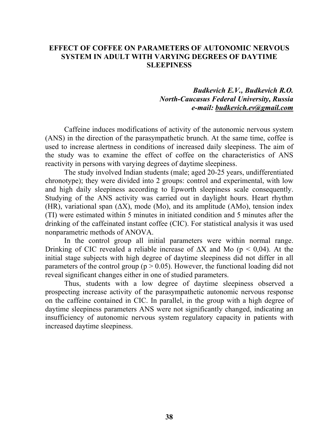### **EFFECT OF COFFEE ON PARAMETERS OF AUTONOMIC NERVOUS SYSTEM IN ADULT WITH VARYING DEGREES OF DAYTIME SLEEPINESS**

## *Budkevich E.V., Budkevich R.O. North-Caucasus Federal University, Russia e-mail: budkevich.ev@gmail.com*

Caffeine induces modifications of activity of the autonomic nervous system (ANS) in the direction of the parasympathetic brunch. At the same time, coffee is used to increase alertness in conditions of increased daily sleepiness. The aim of the study was to examine the effect of coffee on the characteristics of ANS reactivity in persons with varying degrees of daytime sleepiness.

The study involved Indian students (male; aged 20-25 years, undifferentiated chronotype); they were divided into 2 groups: control and experimental, with low and high daily sleepiness according to Epworth sleepiness scale consequently. Studying of the ANS activity was carried out in daylight hours. Heart rhythm (HR), variational span  $(\Delta X)$ , mode (Mo), and its amplitude (AMo), tension index (TI) were estimated within 5 minutes in initiated condition and 5 minutes after the drinking of the caffeinated instant coffee (CIC). For statistical analysis it was used nonparametric methods of ANOVA.

In the control group all initial parameters were within normal range. Drinking of CIC revealed a reliable increase of  $\Delta X$  and Mo (p < 0,04). At the initial stage subjects with high degree of daytime sleepiness did not differ in all parameters of the control group ( $p > 0.05$ ). However, the functional loading did not reveal significant changes either in one of studied parameters.

Thus, students with a low degree of daytime sleepiness observed a prospecting increase activity of the parasympathetic autonomic nervous response on the caffeine contained in CIC. In parallel, in the group with a high degree of daytime sleepiness parameters ANS were not significantly changed, indicating an insufficiency of autonomic nervous system regulatory capacity in patients with increased daytime sleepiness.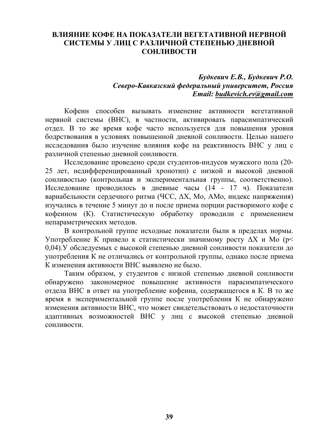# **ВЛИЯНИЕ КОФЕ НА ПОКАЗАТЕЛИ ВЕГЕТАТИВНОЙ НЕРВНОЙ СИСТЕМЫ У ЛИЦ С РАЗЛИЧНОЙ СТЕПЕНЬЮ ДНЕВНОЙ СОНЛИВОСТИ**

### *Будкевич Е.В., Будкевич Р.О. Северо-Кавказский федеральный университет, Россия Email: budkevich.ev@gmail.com*

Кофеин способен вызывать изменение активности вегетативной нервной системы (ВНС), в частности, активировать парасимпатический отдел. В то же время кофе часто используется для повышения уровня бодрствования в условиях повышенной дневной сонливости. Целью нашего исследования было изучение влияния кофе на реактивность ВНС у лиц с различной степенью дневной сонливости.

Исследование проведено среди студентов-индусов мужского пола (20- 25 лет, недифференцированный хронотип) с низкой и высокой дневной сонливостью (контрольная и экспериментальная группы, соответственно). Исследование проводилось в дневные часы (14 - 17 ч). Показатели вариабельности сердечного ритма (ЧСС, ΔX, Мо, АМо, индекс напряжения) изучались в течение 5 минут до и после приема порции растворимого кофе с кофеином (К). Статистическую обработку проводили с применением непараметрических методов.

В контрольной группе исходные показатели были в пределах нормы. Употребление К привело к статистически значимому росту  $\Delta X$  и Мо ( $p$ < 0,04).У обследуемых с высокой степенью дневной сонливости показатели до употребления К не отличались от контрольной группы, однако после приема К изменения активности ВНС выявлено не было.

Таким образом, у студентов с низкой степенью дневной сонливости обнаружено закономерное повышение активности парасимпатического отдела ВНС в ответ на употребление кофеина, содержащегося в К. В то же время в экспериментальной группе после употребления К не обнаружено изменения активности ВНС, что может свидетельствовать о недостаточности адаптивных возможностей ВНС у лиц с высокой степенью дневной сонливости.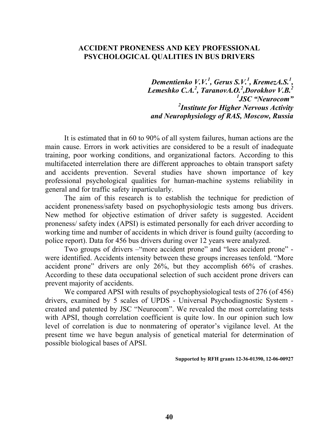## **ACCIDENT PRONENESS AND KEY PROFESSIONAL PSYCHOLOGICAL QUALITIES IN BUS DRIVERS**

*Dementienko V.V.1 , Gerus S.V.1 , KremezA.S.1 , Lemeshko C.A.2 , TaranovA.O.<sup>2</sup> ,Dorokhov V.B.2 1 JSC "Neurocom" 2 Institute for Higher Nervous Activity and Neurophysiology of RAS, Moscow, Russia* 

It is estimated that in 60 to 90% of all system failures, human actions are the main cause. Errors in work activities are considered to be a result of inadequate training, poor working conditions, and organizational factors. According to this multifaceted interrelation there are different approaches to obtain transport safety and accidents prevention. Several studies have shown importance of key professional psychological qualities for human-machine systems reliability in general and for traffic safety inparticularly.

The aim of this research is to establish the technique for prediction of accident proneness/safety based on psychophysiologic tests among bus drivers. New method for objective estimation of driver safety is suggested. Accident proneness/ safety index (APSI) is estimated personally for each driver according to working time and number of accidents in which driver is found guilty (according to police report). Data for 456 bus drivers during over 12 years were analyzed.

Two groups of drivers –"more accident prone" and "less accident prone" were identified. Accidents intensity between these groups increases tenfold. "More accident prone" drivers are only 26%, but they accomplish 66% of crashes. According to these data occupational selection of such accident prone drivers can prevent majority of accidents.

We compared APSI with results of psychophysiological tests of 276 (of 456) drivers, examined by 5 scales of UPDS - Universal Psychodiagnostic System created and patented by JSC "Neurocom". We revealed the most correlating tests with APSI, though correlation coefficient is quite low. In our opinion such low level of correlation is due to nonmatering of operator's vigilance level. At the present time we have begun analysis of genetical material for determination of possible biological bases of APSI.

**Supported by RFH grants 12-36-01390, 12-06-00927**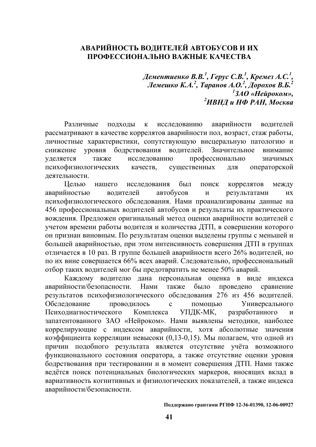# **АВАРИЙНОСТЬ ВОДИТЕЛЕЙ АВТОБУСОВ И ИХ ПРОФЕССИОНАЛЬНО ВАЖНЫЕ КАЧЕСТВА**

*Дементиенко В.В. 1 , Герус С.В. 1 , Кремез А.С. 1 , Лемешко К.А. 2 , Таранов А.О. 2 , Дорохов В.Б. 2 1 ЗАО «Нейроком», 2 ИВНД и НФ РАН, Москва*

Различные подходы к исследованию аварийности водителей рассматривают в качестве коррелятов аварийности пол, возраст, стаж работы, личностные характеристики, сопутствующую висцеральную патологию и снижение уровня бодрствования водителей. Значительное внимание уделяется также исследованию профессионально значимых психофизиологических качеств, существенных для операторской деятельности.

Целью нашего исследования был поиск коррелятов между аварийностью водителей автобусов и результатами их психофизиологического обследования. Нами проанализированы данные на 456 профессиональных водителей автобусов и результаты их практического вождения. Предложен оригинальный метод оценки аварийности водителей с учетом времени работы водителя и количества ДТП, в совершении которого он признан виновным. По результатам оценки выделены группы с меньшей и большей аварийностью, при этом интенсивность совершения ДТП в группах отличается в 10 раз. В группе большей аварийности всего 26% водителей, но по их вине совершается 66% всех аварий. Следовательно, профессиональный отбор таких водителей мог бы предотвратить не менее 50% аварий.

Каждому водителю дана персональная оценка в виде индекса аварийности/безопасности. Нами также было проведено сравнение результатов психофизиологического обследования 276 из 456 водителей. Обследование проводилось с помощью Универсального Психодиагностического Комплекса УПДК-МК, разработанного и запатентованного ЗАО «Нейроком». Нами выявлены методики, наиболее коррелирующие с индексом аварийности, хотя абсолютные значения коэффициента корреляции невысоки (0,13-0,15). Мы полагаем, что одной из причин подобного результата является отсутствие учёта возможного функционального состояния оператора, а также отсутствие оценки уровня бодрствования при тестировании и в момент совершения ДТП. Нами также ведётся поиск потенциальных биологических маркеров, вносящих вклад в вариативность когнитивных и физиологических показателей, а также индекса аварийности/безопасности.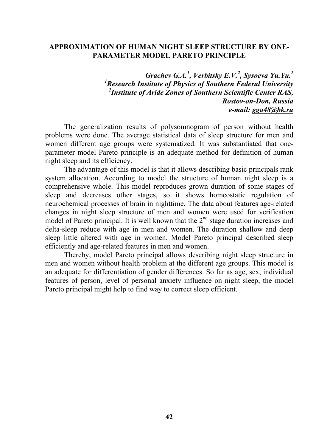#### **APPROXIMATION OF HUMAN NIGHT SLEEP STRUCTURE BY ONE-PARAMETER MODEL PARETO PRINCIPLE**

*Grachev G.A.1 , Verbitsky E.V.<sup>2</sup> , Sysoeva Yu.Yu.2 1 Research Institute of Physics of Southern Federal University 2 Institute of Aride Zones of Southern Scientific Center RAS, Rostov-on-Don, Russia e-mail: gga48@bk.ru* 

The generalization results of polysomnogram of person without health problems were done. The average statistical data of sleep structure for men and women different age groups were systematized. It was substantiated that oneparameter model Pareto principle is an adequate method for definition of human night sleep and its efficiency.

The advantage of this model is that it allows describing basic principals rank system allocation. According to model the structure of human night sleep is a comprehensive whole. This model reproduces grown duration of some stages of sleep and decreases other stages, so it shows homeostatic regulation of neurochemical processes of brain in nighttime. The data about features age-related changes in night sleep structure of men and women were used for verification model of Pareto principal. It is well known that the  $2<sup>nd</sup>$  stage duration increases and delta-sleep reduce with age in men and women. The duration shallow and deep sleep little altered with age in women. Model Pareto principal described sleep efficiently and age-related features in men and women.

Thereby, model Pareto principal allows describing night sleep structure in men and women without health problem at the different age groups. This model is an adequate for differentiation of gender differences. So far as age, sex, individual features of person, level of personal anxiety influence on night sleep, the model Pareto principal might help to find way to correct sleep efficient.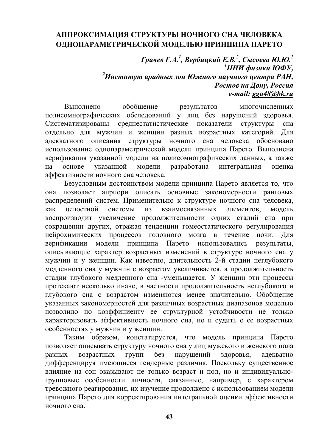# **АППРОКСИМАЦИЯ СТРУКТУРЫ НОЧНОГО СНА ЧЕЛОВЕКА ОДНОПАРАМЕТРИЧЕСКОЙ МОДЕЛЬЮ ПРИНЦИПА ПАРЕТО**

*Грачев Г.А. 1 , Вербицкий Е.В. 2 , Сысоева Ю.Ю. 2* <sup>1</sup>НИИ физики ЮФУ. *НИИ физики ЮФУ, 2 Институт аридных зон Южного научного центра РАН, Ростов на Дону, Россия e-mail: gga48@bk.ru* 

Выполнено обобщение результатов многочисленных полисомнографических обследований у лиц без нарушений здоровья. Систематизированы среднестатистические показатели структуры сна отдельно для мужчин и женщин разных возрастных категорий. Для адекватного описания структуры ночного сна человека обосновано использование однопараметрической модели принципа Парето. Выполнена верификация указанной модели на полисомнографических данных, а также на основе указанной модели разработана интегральная оценка эффективности ночного сна человека.

Безусловным достоинством модели принципа Парето является то, что она позволяет априори описать основные закономерности ранговых распределений систем. Применительно к структуре ночного сна человека, как целостной системы из взаимосвязанных элементов, модель воспроизводит увеличение продолжительности одних стадий сна при сокращении других, отражая тенденции гомеостатического регулирования нейрохимических процессов головного мозга в течение ночи. Для верификации модели принципа Парето использовались результаты, описывающие характер возрастных изменений в структуре ночного сна у мужчин и у женщин. Как известно, длительность 2-й стадии неглубокого медленного сна у мужчин с возрастом увеличивается, а продолжительность стадии глубокого медленного сна -уменьшается. У женщин эти процессы протекают несколько иначе, в частности продолжительность неглубокого и глубокого сна с возрастом изменяются менее значительно. Обобщение указанных закономерностей для различных возрастных диапазонов моделью позволило по коэффициенту ее структурной устойчивости не только характеризовать эффективность ночного сна, но и судить о ее возрастных особенностях у мужчин и у женщин.

Таким образом, констатируется, что модель принципа Парето позволяет описывать структуру ночного сна у лиц мужского и женского пола разных возрастных групп без нарушений здоровья, адекватно дифференцируя имеющиеся гендерные различия. Поскольку существенное влияние на сон оказывают не только возраст и пол, но и индивидуальногрупповые особенности личности, связанные, например, с характером тревожного реагирования, их изучение продолжено с использованием модели принципа Парето для корректирования интегральной оценки эффективности ночного сна.

**43**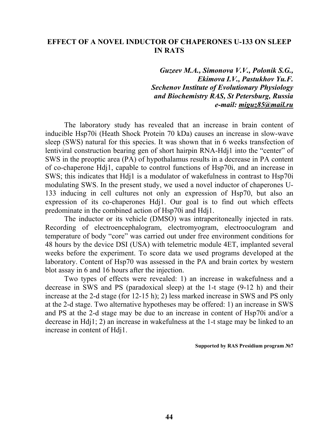### **EFFECT OF A NOVEL INDUCTOR OF CHAPERONES U-133 ON SLEEP IN RATS**

*Guzeev M.A., Simonova V.V., Polonik S.G., Ekimova I.V., Pastukhov Yu.F. Sechenov Institute of Evolutionary Physiology and Biochemistry RAS, St Petersburg, Russia e-mail: miguz85@mail.ru* 

The laboratory study has revealed that an increase in brain content of inducible Hsp70i (Heath Shock Protein 70 kDa) causes an increase in slow-wave sleep (SWS) natural for this species. It was shown that in 6 weeks transfection of lentiviral construction bearing gen of short hairpin RNA-Hdj1 into the "center" of SWS in the preoptic area (PA) of hypothalamus results in a decrease in PA content of co-chaperone Hdj1, capable to control functions of Hsp70i, and an increase in SWS; this indicates that Hdj1 is a modulator of wakefulness in contrast to Hsp70i modulating SWS. In the present study, we used a novel inductor of chaperones U-133 inducing in cell cultures not only an expression of Hsp70, but also an expression of its co-chaperones Hdj1. Our goal is to find out which effects predominate in the combined action of Hsp70i and Hdj1.

The inductor or its vehicle (DMSO) was intraperitoneally injected in rats. Recording of electroencephalogram, electromyogram, electrooculogram and temperature of body "core" was carried out under free environment conditions for 48 hours by the device DSI (USA) with telemetric module 4ET, implanted several weeks before the experiment. To score data we used programs developed at the laboratory. Content of Hsp70 was assessed in the PA and brain cortex by western blot assay in 6 and 16 hours after the injection.

Two types of effects were revealed: 1) an increase in wakefulness and a decrease in SWS and PS (paradoxical sleep) at the 1-t stage (9-12 h) and their increase at the 2-d stage (for 12-15 h); 2) less marked increase in SWS and PS only at the 2-d stage. Two alternative hypotheses may be offered: 1) an increase in SWS and PS at the 2-d stage may be due to an increase in content of Hsp70i and/or a decrease in Hdj1; 2) an increase in wakefulness at the 1-t stage may be linked to an increase in content of Hdj1.

**Supported by RAS Presidium program №7**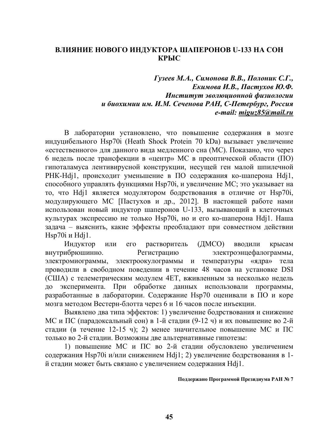## **ВЛИЯНИЕ НОВОГО ИНДУКТОРА ШАПЕРОНОВ U-133 НА СОН КРЫС**

*Гузеев М.А., Симонова В.В., Полоник С.Г., Екимова И.В., Пастухов Ю.Ф. Институт эволюционной физиологии и биохимии им. И.М. Сеченова РАН, С-Петербург, Россия e-mail: miguz85@mail.ru* 

В лаборатории установлено, что повышение содержания в мозге индуцибельного Hsp70i (Heath Shock Protein 70 kDa) вызывает увеличение «естественного» для данного вида медленного сна (МС). Показано, что через 6 недель после трансфекции в «центр» МС в преоптической области (ПО) гипоталамуса лентивирусной конструкции, несущей ген малой шпилечной РНК-Hdj1, происходит уменьшение в ПО содержания ко-шаперона Hdj1, способного управлять функциями Hsp70i, и увеличение МС; это указывает на то, что Hdj1 является модулятором бодрствования в отличие от Hsp70i, модулирующего МС [Пастухов и др., 2012]. В настоящей работе нами использован новый индуктор шаперонов U-133, вызывающий в клеточных культурах экспрессию не только Hsp70i, но и его ко-шаперона Hdj1. Наша задача – выяснить, какие эффекты преобладают при совместном действии Hsp70i и Hdj1.

Индуктор или его растворитель (ДМСО) вводили крысам внутрибрюшинно. Регистрацию электроэнцефалограммы, электромиограммы, электроокулограммы и температуры «ядра» тела проводили в свободном поведении в течение 48 часов на установке DSI (США) с телеметрическим модулем 4ET, вживленным за несколько недель до эксперимента. При обработке данных использовали программы, разработанные в лаборатории. Содержание Hsp70 оценивали в ПО и коре мозга методом Вестерн-блотта через 6 и 16 часов после инъекции.

Выявлено два типа эффектов: 1) увеличение бодрствования и снижение МС и ПС (парадоксальный сон) в 1-й стадии (9-12 ч) и их повышение во 2-й стадии (в течение 12-15 ч); 2) менее значительное повышение МС и ПС только во 2-й стадии. Возможны две альтернативные гипотезы:

1) повышение МС и ПС во 2-й стадии обусловлено увеличением содержания Hsp70i и/или снижением Hdj1; 2) увеличение бодрствования в 1 й стадии может быть связано с увеличением содержания Hdj1.

#### **Поддержано Программой Президиума РАН № 7**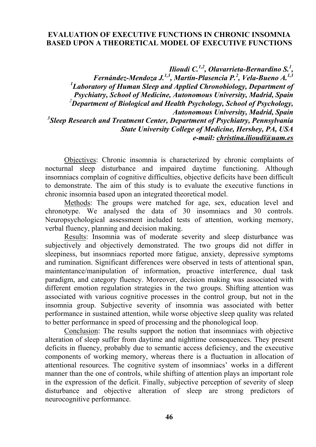# **EVALUATION OF EXECUTIVE FUNCTIONS IN CHRONIC INSOMNIA BASED UPON A THEORETICAL MODEL OF EXECUTIVE FUNCTIONS**

*Ilioudi C.1,2, Olavarrieta-Bernardino S.1 ,* 

*Fernández-Mendoza J.1,3, Martín-Plasencia P.2 , Vela-Bueno A.1,3 1 Laboratory of Human Sleep and Applied Chronobiology, Department of Psychiatry, School of Medicine, Autonomous University, Madrid, Spain 2 Department of Biological and Health Psychology, School of Psychology, Autonomous University, Madrid, Spain*  <sup>3</sup>Sleep Research and Treatment Center, Department of Psychiatry, Pennsylvania *State University College of Medicine, Hershey, PA, USA e-mail: christina.ilioudi@uam.es* 

Objectives: Chronic insomnia is characterized by chronic complaints of nocturnal sleep disturbance and impaired daytime functioning. Although insomniacs complain of cognitive difficulties, objective deficits have been difficult to demonstrate. The aim of this study is to evaluate the executive functions in chronic insomnia based upon an integrated theoretical model.

Methods: The groups were matched for age, sex, education level and chronotype. We analysed the data of 30 insomniacs and 30 controls. Neuropsychological assessment included tests of attention, working memory, verbal fluency, planning and decision making.

Results: Insomnia was of moderate severity and sleep disturbance was subjectively and objectively demonstrated. The two groups did not differ in sleepiness, but insomniacs reported more fatigue, anxiety, depressive symptoms and rumination. Significant differences were observed in tests of attentional span, maintentance/manipulation of information, proactive interference, dual task paradigm, and category fluency. Moreover, decision making was associated with different emotion regulation strategies in the two groups. Shifting attention was associated with various cognitive processes in the control group, but not in the insomnia group. Subjective severity of insomnia was associated with better performance in sustained attention, while worse objective sleep quality was related to better performance in speed of processing and the phonological loop.

Conclusion: The results support the notion that insomniacs with objective alteration of sleep suffer from daytime and nighttime consequences. They present deficits in fluency, probably due to semantic access deficiency, and the executive components of working memory, whereas there is a fluctuation in allocation of attentional resources. The cognitive system of insomniacs' works in a different manner than the one of controls, while shifting of attention plays an important role in the expression of the deficit. Finally, subjective perception of severity of sleep disturbance and objective alteration of sleep are strong predictors of neurocognitive performance.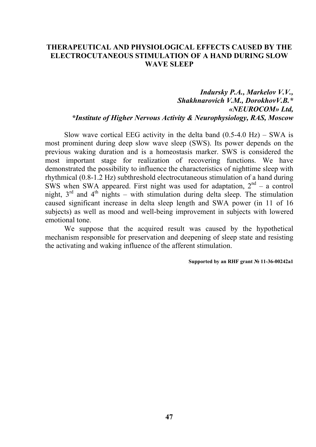## **THERAPEUTICAL AND PHYSIOLOGICAL EFFECTS CAUSED BY THE ELECTROCUTANEOUS STIMULATION OF A HAND DURING SLOW WAVE SLEEP**

# *Indursky P.A., Markelov V.V., Shakhnarovich V.M., DorokhovV.B.\* «NEUROCOM» Ltd, \*Institute of Higher Nervous Activity & Neurophysiology, RAS, Moscow*

Slow wave cortical EEG activity in the delta band  $(0.5-4.0 \text{ Hz})$  – SWA is most prominent during deep slow wave sleep (SWS). Its power depends on the previous waking duration and is a homeostasis marker. SWS is considered the most important stage for realization of recovering functions. We have demonstrated the possibility to influence the characteristics of nighttime sleep with rhythmical (0.8-1.2 Hz) subthreshold electrocutaneous stimulation of a hand during SWS when SWA appeared. First night was used for adaptation,  $2<sup>nd</sup> - a$  control night,  $3<sup>rd</sup>$  and  $4<sup>th</sup>$  nights – with stimulation during delta sleep. The stimulation caused significant increase in delta sleep length and SWA power (in 11 of 16 subjects) as well as mood and well-being improvement in subjects with lowered emotional tone.

We suppose that the acquired result was caused by the hypothetical mechanism responsible for preservation and deepening of sleep state and resisting the activating and waking influence of the afferent stimulation.

#### **Supported by an RHF grant № 11-36-00242а1**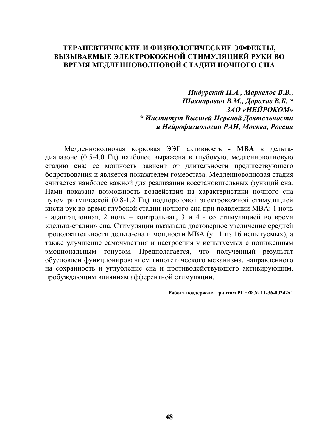#### **ТЕРАПЕВТИЧЕСКИЕ И ФИЗИОЛОГИЧЕСКИЕ ЭФФЕКТЫ, ВЫЗЫВАЕМЫЕ ЭЛЕКТРОКОЖНОЙ СТИМУЛЯЦИЕЙ РУКИ ВО ВРЕМЯ МЕДЛЕННОВОЛНОВОЙ СТАДИИ НОЧНОГО СНА**

*Индурский П.А., Маркелов В.В., Шахнарович В.М., Дорохов В.Б. \* ЗАО «НЕЙРОКОМ» \* Институт Высшей Нервной Деятельности и Нейрофизиологии РАН, Москва, Россия*

Медленноволновая корковая ЭЭГ активность - **МВА** в дельтадиапазоне (0.5-4.0 Гц) наиболее выражена в глубокую, медленноволновую стадию сна; ее мощность зависит от длительности предшествующего бодрствования и является показателем гомеостаза. Медленноволновая стадия считается наиболее важной для реализации восстановительных функций сна. Нами показана возможность воздействия на характеристики ночного сна путем ритмической (0.8-1.2 Гц) подпороговой электрокожной стимуляцией кисти рук во время глубокой стадии ночного сна при появлении МВА: 1 ночь - адаптационная, 2 ночь – контрольная, 3 и 4 - со стимуляцией во время «дельта-стадии» сна. Стимуляции вызывала достоверное увеличение средней продолжительности дельта-сна и мощности МВА (у 11 из 16 испытуемых), а также улучшение самочувствия и настроения у испытуемых с пониженным эмоциональным тонусом. Предполагается, что полученный результат обусловлен функционированием гипотетического механизма, направленного на сохранность и углубление сна и противодействующего активирующим, пробуждающим влияниям афферентной стимуляции.

**Работа поддержана грантом РГНФ № 11-36-00242а1**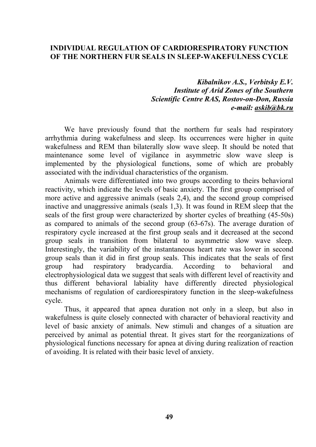#### **INDIVIDUAL REGULATION OF CARDIORESPIRATORY FUNCTION OF THE NORTHERN FUR SEALS IN SLEEP-WAKEFULNESS CYCLE**

*Kibalnikov A.S., Verbitsky E.V. Institute of Arid Zones of the Southern Scientific Centre RAS, Rostov-on-Don, Russia e-mail: askib@bk.ru* 

We have previously found that the northern fur seals had respiratory arrhythmia during wakefulness and sleep. Its occurrences were higher in quite wakefulness and REM than bilaterally slow wave sleep. It should be noted that maintenance some level of vigilance in asymmetric slow wave sleep is implemented by the physiological functions, some of which are probably associated with the individual characteristics of the organism.

Animals were differentiated into two groups according to theirs behavioral reactivity, which indicate the levels of basic anxiety. The first group comprised of more active and aggressive animals (seals 2,4), and the second group comprised inactive and unaggressive animals (seals 1,3). It was found in REM sleep that the seals of the first group were characterized by shorter cycles of breathing (45-50s) as compared to animals of the second group (63-67s). The average duration of respiratory cycle increased at the first group seals and it decreased at the second group seals in transition from bilateral to asymmetric slow wave sleep. Interestingly, the variability of the instantaneous heart rate was lower in second group seals than it did in first group seals. This indicates that the seals of first group had respiratory bradycardia. According to behavioral and electrophysiological data we suggest that seals with different level of reactivity and thus different behavioral labiality have differently directed physiological mechanisms of regulation of cardiorespiratory function in the sleep-wakefulness cycle.

Thus, it appeared that apnea duration not only in a sleep, but also in wakefulness is quite closely connected with character of behavioral reactivity and level of basic anxiety of animals. New stimuli and changes of a situation are perceived by animal as potential threat. It gives start for the reorganizations of physiological functions necessary for apnea at diving during realization of reaction of avoiding. It is related with their basic level of anxiety.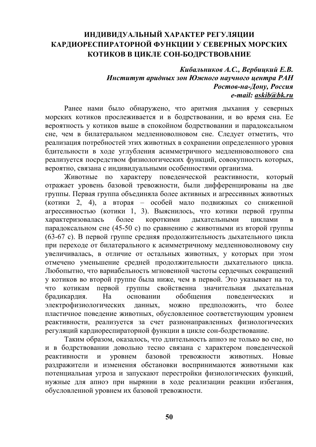# **ИНДИВИДУАЛЬНЫЙ ХАРАКТЕР РЕГУЛЯЦИИ КАРДИОРЕСПИРАТОРНОЙ ФУНКЦИИ У СЕВЕРНЫХ МОРСКИХ КОТИКОВ В ЦИКЛЕ СОН-БОДРСТВОВАНИЕ**

# *Кибальников А.С., Вербицкий Е.В. Институт аридных зон Южного научного центра РАН Ростов-на-Дону, Россия e-mail: askib@bk.ru*

Ранее нами было обнаружено, что аритмия дыхания у северных морских котиков прослеживается и в бодрствовании, и во время сна. Ее вероятность у котиков выше в спокойном бодрствовании и парадоксальном сне, чем в билатеральном медленноволновом сне. Следует отметить, что реализация потребностей этих животных в сохранении определенного уровня бдительности в ходе углубления асимметричного медленноволнового сна реализуется посредством физиологических функций, совокупность которых, вероятно, связана с индивидуальными особенностями организма.

Животные по характеру поведенческой реактивности, который отражает уровень базовой тревожности, были дифференцированы на две группы. Первая группа объединяла более активных и агрессивных животных (котики 2, 4), а вторая – особей мало подвижных со сниженной агрессивностью (котики 1, 3). Выяснилось, что котики первой группы характеризовалась более короткими дыхательными циклами в парадоксальном сне (45-50 с) по сравнению с животными из второй группы (63-67 с). В первой группе средняя продолжительность дыхательного цикла при переходе от билатерального к асимметричному медленноволновому сну увеличивалась, в отличие от остальных животных, у которых при этом отмечено уменьшение средней продолжительности дыхательного цикла. Любопытно, что вариабельность мгновенной частоты сердечных сокращений у котиков во второй группе была ниже, чем в первой. Это указывает на то, что котикам первой группы свойственна значительная дыхательная брадикардия. На основании обобщения поведенческих и электрофизиологических данных, можно предположить, что более пластичное поведение животных, обусловленное соответствующим уровнем реактивности, реализуется за счет разнонаправленных физиологических регуляций кардиореспираторной функции в цикле сон-бодрствование.

Таким образом, оказалось, что длительность апноэ не только во сне, но и в бодрствовании довольно тесно связана с характером поведенческой реактивности и уровнем базовой тревожности животных. Новые раздражители и изменения обстановки воспринимаются животными как потенциальная угроза и запускают перестройки физиологических функций, нужные для апноэ при нырянии в ходе реализации реакции избегания, обусловленной уровнем их базовой тревожности.

**50**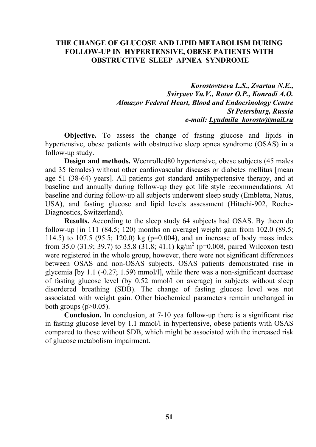#### **THE CHANGE OF GLUCOSE AND LIPID METABOLISM DURING FOLLOW-UP IN HYPERTENSIVE, OBESE PATIENTS WITH OBSTRUCTIVE SLEEP APNEA SYNDROME**

*Korostovtseva L.S., Zvartau N.E., Sviryaev Yu.V., Rotar O.P., Konradi A.O. Almazov Federal Heart, Blood and Endocrinology Centre St Petersburg, Russia e-mail: Lyudmila\_korosto@mail.ru* 

**Objective.** To assess the change of fasting glucose and lipids in hypertensive, obese patients with obstructive sleep apnea syndrome (OSAS) in a follow-up study.

**Design and methods.** Weenrolled80 hypertensive, obese subjects (45 males and 35 females) without other cardiovascular diseases or diabetes mellitus [mean age 51 (38-64) years]. All patients got standard antihypertensive therapy, and at baseline and annually during follow-up they got life style recommendations. At baseline and during follow-up all subjects underwent sleep study (Embletta, Natus, USA), and fasting glucose and lipid levels assessment (Hitachi-902, Roche-Diagnostics, Switzerland).

**Results.** According to the sleep study 64 subjects had OSAS. By theen do follow-up  $\left[ \text{in } 111 \right]$  (84.5; 120) months on average] weight gain from 102.0 (89.5; 114.5) to 107.5 (95.5; 120.0) kg (р=0.004), and an increase of body mass index from 35.0 (31.9; 39.7) to 35.8 (31.8; 41.1) kg/m<sup>2</sup> (p=0.008, paired Wilcoxon test) were registered in the whole group, however, there were not significant differences between OSAS and non-OSAS subjects. OSAS patients demonstrated rise in glycemia [by 1.1 (-0.27; 1.59) mmol/l], while there was a non-significant decrease of fasting glucose level (by 0.52 mmol/l on average) in subjects without sleep disordered breathing (SDB). The change of fasting glucose level was not associated with weight gain. Other biochemical parameters remain unchanged in both groups  $(p>0.05)$ .

**Conclusion.** In conclusion, at 7-10 yea follow-up there is a significant rise in fasting glucose level by 1.1 mmol/l in hypertensive, obese patients with OSAS compared to those without SDB, which might be associated with the increased risk of glucose metabolism impairment.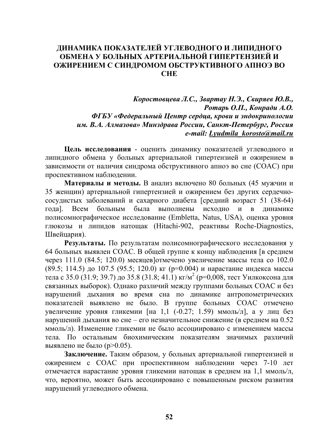# **ДИНАМИКА ПОКАЗАТЕЛЕЙ УГЛЕВОДНОГО И ЛИПИДНОГО ОБМЕНА У БОЛЬНЫХ АРТЕРИАЛЬНОЙ ГИПЕРТЕНЗИЕЙ И ОЖИРЕНИЕМ С СИНДРОМОМ ОБСТРУКТИВНОГО АПНОЭ ВО СНЕ**

# *Коростовцева Л.С., Звартау Н.Э., Свиряев Ю.В., Ротарь О.П., Конради А.О. ФГБУ «Федеральный Центр сердца, крови и эндокринологии им. В.А. Алмазова» Минздрава России, Санкт-Петербург, Россия e-mail: Lyudmila\_korosto@mail.ru*

**Цель исследования** - оценить динамику показателей углеводного и липидного обмена у больных артериальной гипертензией и ожирением в зависимости от наличия синдрома обструктивного апноэ во сне (СОАС) при проспективном наблюдении.

**Материалы и методы.** В анализ включено 80 больных (45 мужчин и 35 женщин) артериальной гипертензией и ожирением без других сердечнососудистых заболеваний и сахарного диабета [средний возраст 51 (38-64) года]. Всем больным была выполнены исходно и в динамике полисомнографическое исследование (Embletta, Natus, USA), оценка уровня глюкозы и липидов натощак (Hitachi-902, реактивы Roche-Diagnostics, Швейцария).

**Результаты.** По результатам полисомнографического исследования у 64 больных выявлен СОАС. В общей группе к концу наблюдения [в среднем через 111.0 (84.5; 120.0) месяцев]отмечено увеличение массы тела со 102.0 (89.5; 114.5) до 107.5 (95.5; 120.0) кг (р=0.004) и нарастание индекса массы тела с 35.0 (31.9; 39.7) до 35.8 (31.8; 41.1) кг/м<sup>2</sup> (р=0,008, тест Уилкоксона для связанных выборок). Однако различий между группами больных СОАС и без нарушений дыхания во время сна по динамике антропометрических показателей выявлено не было. В группе больных СОАС отмечено увеличение уровня гликемии [на 1,1 (-0.27; 1.59) ммоль/л], а у лиц без нарушений дыхания во сне – его незначительное снижение (в среднем на 0.52 ммоль/л). Изменение гликемии не было ассоциировано с изменением массы тела. По остальным биохимическим показателям значимых различий выявлено не было (р>0.05).

**Заключение.** Таким образом, у больных артериальной гипертензией и ожирением с СОАС при проспективном наблюдении через 7-10 лет отмечается нарастание уровня гликемии натощак в среднем на 1,1 ммоль/л, что, вероятно, может быть ассоциировано с повышенным риском развития нарушений углеводного обмена.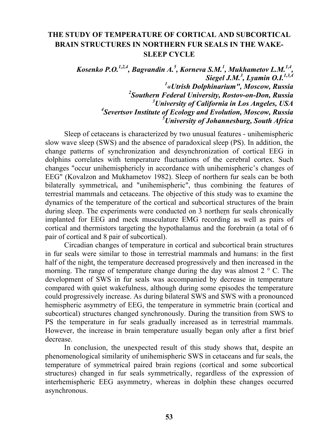# **THE STUDY OF TEMPERATURE OF CORTICAL AND SUBCORTICAL BRAIN STRUCTURES IN NORTHERN FUR SEALS IN THE WAKE-SLEEP CYCLE**

*Kosenko P.O.<sup>1,2,4</sup>, Bagvandin A.<sup>5</sup>, Korneva S.M.<sup>1</sup>, Mukhametov L.M.<sup>1,4</sup>, Siegel J.M.<sup>3</sup> , Lyamin O.I.1,3,4 «Utrish Dolphinarium", Moscow, Russia Southern Federal University, Rostov-on-Don, Russia University of California in Los Angeles, USA Severtsov Institute of Ecology and Evolution, Moscow, Russia University of Johannesburg, South Africa* 

Sleep of cetaceans is characterized by two unusual features - unihemispheric slow wave sleep (SWS) and the absence of paradoxical sleep (PS). In addition, the change patterns of synchronization and desynchronization of cortical EEG in dolphins correlates with temperature fluctuations of the cerebral cortex. Such changes "occur unihemisphericly in accordance with unihemispheric's changes of EEG" (Kovalzon and Mukhametov 1982). Sleep of northern fur seals can be both bilaterally symmetrical, and "unihemispheric", thus combining the features of terrestrial mammals and cetaceans. The objective of this study was to examine the dynamics of the temperature of the cortical and subcortical structures of the brain during sleep. The experiments were conducted on 3 northern fur seals chronically implanted for EEG and meck musculature EMG recording as well as pairs of cortical and thermistors targeting the hypothalamus and the forebrain (a total of 6 pair of cortical and 8 pair of subcortical).

Circadian changes of temperature in cortical and subcortical brain structures in fur seals were similar to those in terrestrial mammals and humans: in the first half of the night, the temperature decreased progressively and then increased in the morning. The range of temperature change during the day was almost  $2^\circ$  C. The development of SWS in fur seals was accompanied by decrease in temperature compared with quiet wakefulness, although during some episodes the temperature could progressively increase. As during bilateral SWS and SWS with a pronounced hemispheric asymmetry of EEG, the temperature in symmetric brain (cortical and subcortical) structures changed synchronously. During the transition from SWS to PS the temperature in fur seals gradually increased as in terrestrial mammals. However, the increase in brain temperature usually began only after a first brief decrease.

In conclusion, the unexpected result of this study shows that, despite an phenomenological similarity of unihemispheric SWS in cetaceans and fur seals, the temperature of symmetrical paired brain regions (cortical and some subcortical structures) changed in fur seals symmetrically, regardless of the expression of interhemispheric EEG asymmetry, whereas in dolphin these changes occurred asynchronous.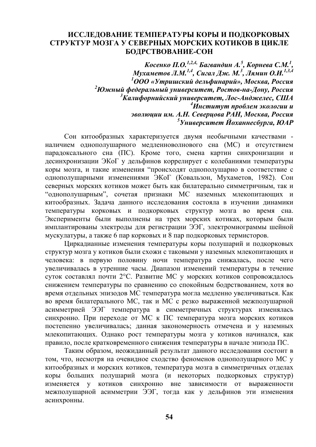#### **ИССЛЕДОВАНИЕ ТЕМПЕРАТУРЫ КОРЫ И ПОДКОРКОВЫХ СТРУКТУР МОЗГА У СЕВЕРНЫХ МОРСКИХ КОТИКОВ В ЦИКЛЕ БОДРСТВОВАНИЕ-СОН**

*Косенко П.О. 1,2,4, Багвандин А. 5 , Корнева С.М. 1 , Мухаметов Л.М. 1,4, Сигал Дж. М. 3 , Лямин О.И. 1,3,4 1 ООО «Утришский дельфинарий», Москва, Россия 2 Южный федеральный университет, Ростов-на-Дону, Россия 3 Калифорнийский университет, Лос-Анджелес, США 4 Институт проблем экологии и эволюции им. А.Н. Северцова РАН, Москва, Россия 5 Университет Йоханнесбурга, ЮАР*

Сон китообразных характеризуется двумя необычными качествами наличием однополушарного медленноволнового сна (МС) и отсутствием парадоксального сна (ПС). Кроме того, смена картин синхронизации и десинхронизации ЭКоГ у дельфинов коррелирует с колебаниями температуры коры мозга, и такие изменения "происходят однополушарно в соответствие с однополушарными изменениями ЭКоГ (Ковальзон, Мухаметов, 1982). Сон северных морских котиков может быть как билатерально симметричным, так и "однополушарным", сочетая признаки МС наземных млекопитающих и китообразных. Задача данного исследования состояла в изучении динамики температуры корковых и подкорковых структур мозга во время сна. Эксперименты были выполнены на трех морских котиках, которым были имплантированы электроды для регистрации ЭЭГ, электромиограммы шейной мускулатуры, а также 6 пар корковых и 8 пар подкорковых термисторов.

Циркадианные изменения температуры коры полушарий и подкорковых структур мозга у котиков были схожи с таковыми у наземных млекопитающих и человека: в первую половину ночи температура снижалась, после чего увеличивалась в утренние часы. Диапазон изменений температуры в течение суток составлял почти 2°С. Развитие МС у морских котиков сопровождалось снижением температуры по сравнению со спокойным бодрствованием, хотя во время отдельных эпизодов МС температура могла медленно увеличиваться. Как во время билатерального МС, так и МС с резко выраженной межполушарной асимметрией ЭЭГ температура в симметричных структурах изменялась синхронно. При переходе от МС к ПС температура мозга морских котиков постепенно увеличивалась; данная закономерность отмечена и у наземных млекопитающих. Однако рост температуры мозга у котиков начинался, как правило, после кратковременного снижения температуры в начале эпизода ПС.

Таким образом, неожиданный результат данного исследования состоит в том, что, несмотря на очевидное сходство феноменов однополушарного МС у китообразных и морских котиков, температура мозга в симметричных отделах коры больших полушарий мозга (и некоторых подкорковых структур) изменяется у котиков синхронно вне зависимости от выраженности межполушарной асимметрии ЭЭГ, тогда как у дельфинов эти изменения асинхронны.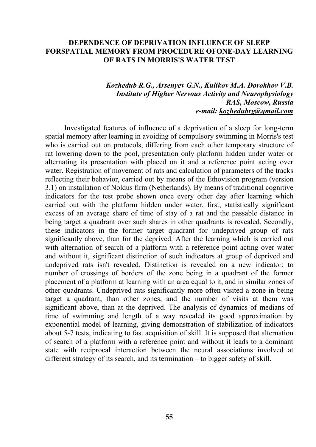#### **DEPENDENCE OF DEPRIVATION INFLUENCE OF SLEEP FORSPATIAL MEMORY FROM PROCEDURE OFONE-DAY LEARNING OF RATS IN MORRIS'S WATER TEST**

#### *Kozhedub R.G., Arsenyev G.N., Kulikov M.A. Dorokhov V.B. Institute of Higher Nervous Activity and Neurophysiology RAS, Moscow, Russia e-mail: kozhedubrg@qmail.com*

Investigated features of influence of a deprivation of a sleep for long-term spatial memory after learning in avoiding of compulsory swimming in Morris's test who is carried out on protocols, differing from each other temporary structure of rat lowering down to the pool, presentation only platform hidden under water or alternating its presentation with placed on it and a reference point acting over water. Registration of movement of rats and calculation of parameters of the tracks reflecting their behavior, carried out by means of the Ethovision program (version 3.1) on installation of Noldus firm (Netherlands). By means of traditional cognitive indicators for the test probe shown once every other day after learning which carried out with the platform hidden under water, first, statistically significant excess of an average share of time of stay of a rat and the passable distance in being target a quadrant over such shares in other quadrants is revealed. Secondly, these indicators in the former target quadrant for undeprived group of rats significantly above, than for the deprived. After the learning which is carried out with alternation of search of a platform with a reference point acting over water and without it, significant distinction of such indicators at group of deprived and undeprived rats isn't revealed. Distinction is revealed on a new indicator: to number of crossings of borders of the zone being in a quadrant of the former placement of a platform at learning with an area equal to it, and in similar zones of other quadrants. Undeprived rats significantly more often visited a zone in being target a quadrant, than other zones, and the number of visits at them was significant above, than at the deprived. The analysis of dynamics of medians of time of swimming and length of a way revealed its good approximation by exponential model of learning, giving demonstration of stabilization of indicators about 5-7 tests, indicating to fast acquisition of skill. It is supposed that alternation of search of a platform with a reference point and without it leads to a dominant state with reciprocal interaction between the neural associations involved at different strategy of its search, and its termination – to bigger safety of skill.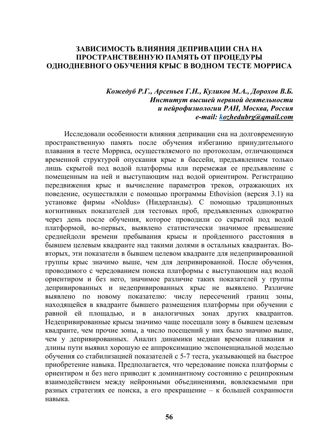## **ЗАВИСИМОСТЬ ВЛИЯНИЯ ДЕПРИВАЦИИ СНА НА ПРОСТРАНСТВЕННУЮ ПАМЯТЬ ОТ ПРОЦЕДУРЫ ОДНОДНЕВНОГО ОБУЧЕНИЯ КРЫС В ВОДНОМ ТЕСТЕ МОРРИСА**

### *Кожедуб Р.Г., Арсеньев Г.Н., Куликов М.А., Дорохов В.Б. Институт высшей нервной деятельности и нейрофизиологии РАН, Москва, Россия e-mail: kozhedubrg@qmail.com*

Исследовали особенности влияния депривации сна на долговременную пространственную память после обучения избеганию принудительного плавания в тесте Морриса, осуществляемого по протоколам, отличающимся временной структурой опускания крыс в бассейн, предъявлением только лишь скрытой под водой платформы или перемежая ее предъявление с помещенным на ней и выступающим над водой ориентиром. Регистрацию передвижения крыс и вычисление параметров треков, отражающих их поведение, осуществляли с помощью программы Ethovision (версия 3.1) на установке фирмы «Noldus» (Нидерланды). С помощью традиционных когнитивных показателей для тестовых проб, предъявленных однократно через день после обучения, которое проводили со скрытой под водой платформой, во-первых, выявлено статистически значимое превышение среднейдоли времени пребывания крысы и пройденного расстояния в бывшем целевым квадранте над такими долями в остальных квадрантах. Вовторых, эти показатели в бывшем целевом квадранте для недепривированной группы крыс значимо выше, чем для депривированной. После обучения, проводимого с чередованием поиска платформы с выступающим над водой ориентиром и без него, значимое различие таких показателей у группы депривированных и недепривированных крыс не выявлено. Различие выявлено по новому показателю: числу пересечений границ зоны, находящейся в квадранте бывшего размещения платформы при обучении с равной ей площадью, и в аналогичных зонах других квадрантов. Недепривированные крысы значимо чаще посещали зону в бывшем целевым квадранте, чем прочие зоны, а число посещений у них было значимо выше, чем у депривированных. Анализ динамики медиан времени плавания и длины пути выявил хорошую ее аппроксимацию экспоненциальной моделью обучения со стабилизацией показателей с 5-7 теста, указывающей на быстрое приобретение навыка. Предполагается, что чередование поиска платформы с ориентиром и без него приводит к доминантному состоянию с реципрокным взаимодействием между нейронными объединениями, вовлекаемыми при разных стратегиях ее поиска, а его прекращение – к большей сохранности навыка.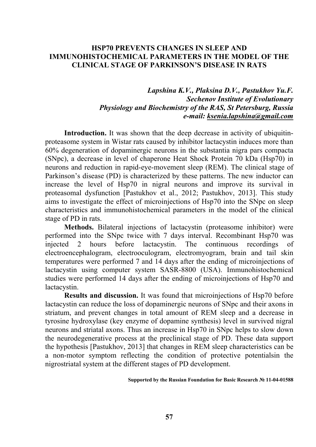### **HSP70 PREVENTS CHANGES IN SLEEP AND IMMUNOHISTOCHEMICAL PARAMETERS IN THE MODEL OF THE CLINICAL STAGE OF PARKINSON'S DISEASE IN RATS**

# *Lapshina K.V., Plaksina D.V., Pastukhov Yu.F. Sechenov Institute of Evolutionary Physiology and Biochemistry of the RAS, St Petersburg, Russia e-mail: ksenia.lapshina@gmail.com*

**Introduction.** It was shown that the deep decrease in activity of ubiquitinproteasome system in Wistar rats caused by inhibitor lactacystin induces more than 60% degeneration of dopaminergic neurons in the substantia nigra pars compacta (SNpc), a decrease in level of chaperone Heat Shock Protein 70 kDa (Hsp70) in neurons and reduction in rapid-eye-movement sleep (REM). The clinical stage of Parkinson's disease (PD) is characterized by these patterns. The new inductor can increase the level of Hsp70 in nigral neurons and improve its survival in proteasomal dysfunction [Pastukhov et al., 2012; Pastukhov, 2013]. This study aims to investigate the effect of microinjections of Hsp70 into the SNpc on sleep characteristics and immunohistochemical parameters in the model of the clinical stage of PD in rats.

**Methods.** Bilateral injections of lactacystin (proteasome inhibitor) were performed into the SNpc twice with 7 days interval. Recombinant Hsp70 was injected 2 hours before lactacystin. The continuous recordings of electroencephalogram, electrooculogram, electromyogram, brain and tail skin temperatures were performed 7 and 14 days after the ending of microinjections of lactacystin using computer system SASR-8800 (USA). Immunohistochemical studies were performed 14 days after the ending of microinjections of Hsp70 and lactacystin.

**Results and discussion.** It was found that microinjections of Hsp70 before lactacystin can reduce the loss of dopaminergic neurons of SNpc and their axons in striatum, and prevent changes in total amount of REM sleep and a decrease in tyrosine hydroxylase (key enzyme of dopamine synthesis) level in survived nigral neurons and striatal axons. Thus an increase in Hsp70 in SNpc helps to slow down the neurodegenerative process at the preclinical stage of PD. These data support the hypothesis [Pastukhov, 2013] that changes in REM sleep characteristics can be a non-motor symptom reflecting the condition of protective potentialsin the nigrostriatal system at the different stages of PD development.

**Supported by the Russian Foundation for Basic Research № 11-04-01588**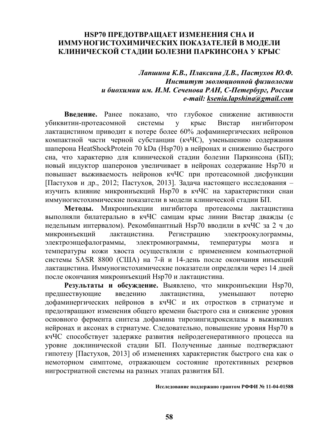## **HSP70 ПРЕДОТВРАЩАЕТ ИЗМЕНЕНИЯ СНА И ИММУНОГИСТОХИМИЧЕСКИХ ПОКАЗАТЕЛЕЙ В МОДЕЛИ КЛИНИЧЕСКОЙ СТАДИИ БОЛЕЗНИ ПАРКИНСОНА У КРЫС**

## *Лапшина К.В., Плаксина Д.В., Пастухов Ю.Ф. Институт эволюционной физиологии и биохимии им. И.М. Сеченова РАН, С-Петербург, Россия e-mail: ksenia.lapshina@gmail.com*

**Введение.** Ранее показано, что глубокое снижение активности убиквитин-протеасомной системы у крыс Вистар ингибитором лактацистином приводит к потере более 60% дофаминергических нейронов компактной части черной субстанции (кчЧС), уменьшению содержания шаперона HeatShockProtein 70 kDa (Hsp70) в нейронах и снижению быстрого сна, что характерно для клинической стадии болезни Паркинсона (БП); новый индуктор шаперонов увеличивает в нейронах содержание Hsp70 и повышает выживаемость нейронов кчЧС при протеасомной дисфункции [Пастухов и др., 2012; Пастухов, 2013]. Задача настоящего исследования – изучить влияние микроинъекций Hsp70 в кчЧС на характеристики снаи иммуногистохимические показатели в модели клинической стадии БП.

**Методы.** Микроинъекции ингибитора протеасомы лактацистина выполняли билатерально в кчЧС самцам крыс линии Вистар дважды (с недельным интервалом). Рекомбинантный Hsp70 вводили в кчЧС за 2 ч до микроинъекций лактацистина. Регистрацию электроокулограммы, электроэнцефалограммы, электромиограммы, температуры мозга и температуры кожи хвоста осуществляли с применением компьютерной системы SASR 8800 (США) на 7-й и 14-день после окончания инъекций лактацистина. Иммуногистохимические показатели определяли через 14 дней после окончания микроинъекций Hsp70 и лактацистина.

**Результаты и обсуждение.** Выявлено, что микроинъекции Hsp70, предшествующие введению лактацистина, уменьшают потерю дофаминергических нейронов в кчЧС и их отростков в стриатуме и предотвращают изменения общего времени быстрого сна и снижение уровня основного фермента синтеза дофамина тирозингидроксилазы в выживших нейронах и аксонах в стриатуме. Следовательно, повышение уровня Hsp70 в кчЧС способствует задержке развития нейродегенеративного процесса на уровне доклинической стадии БП. Полученные данные подтверждают гипотезу [Пастухов, 2013] об изменениях характеристик быстрого сна как о немоторном симптоме, отражающем состояние протективных резервов нигростриатной системы на разных этапах развития БП.

**Исследование поддержано грантом РФФИ № 11-04-01588**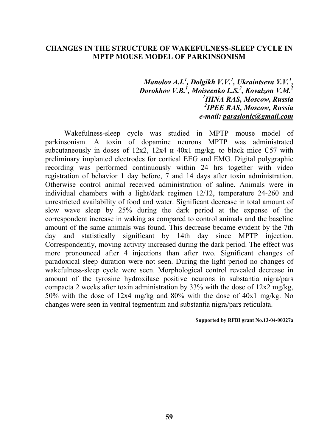#### **CHANGES IN THE STRUCTURE OF WAKEFULNESS-SLEEP CYCLE IN MPTP MOUSE MODEL OF PARKINSONISM**

*Manolov A.I.<sup>1</sup> , Dolgikh V.V.1 , Ukraintseva Y.V.<sup>1</sup> , Dorokhov V.B.<sup>1</sup> , Moiseenko L.S.2 , Kovalzon V.M.<sup>2</sup> 1 IHNA RAS, Moscow, Russia 2 IPEE RAS, Moscow, Russia e-mail: paraslonic@gmail.com* 

Wakefulness-sleep cycle was studied in MPTP mouse model of parkinsonism. A toxin of dopamine neurons MPTP was administrated subcutaneously in doses of 12x2, 12x4 и 40x1 mg/kg. to black mice C57 with preliminary implanted electrodes for cortical EEG and EMG. Digital polygraphic recording was performed continuously within 24 hrs together with video registration of behavior 1 day before, 7 and 14 days after toxin administration. Otherwise control animal received administration of saline. Animals were in individual chambers with a light/dark regimen 12/12, temperature 24-260 and unrestricted availability of food and water. Significant decrease in total amount of slow wave sleep by 25% during the dark period at the expense of the correspondent increase in waking as compared to control animals and the baseline amount of the same animals was found. This decrease became evident by the 7th day and statistically significant by 14th day since MPTP injection. Correspondently, moving activity increased during the dark period. The effect was more pronounced after 4 injections than after two. Significant changes of paradoxical sleep duration were not seen. During the light period no changes of wakefulness-sleep cycle were seen. Morphological control revealed decrease in amount of the tyrosine hydroxilase positive neurons in substantia nigra/pars compacta 2 weeks after toxin administration by 33% with the dose of 12x2 mg/kg, 50% with the dose of 12x4 mg/kg and 80% with the dose of 40x1 mg/kg. No changes were seen in ventral tegmentum and substantia nigra/pars reticulata.

#### **Supported by RFBI grant No.13-04-00327а**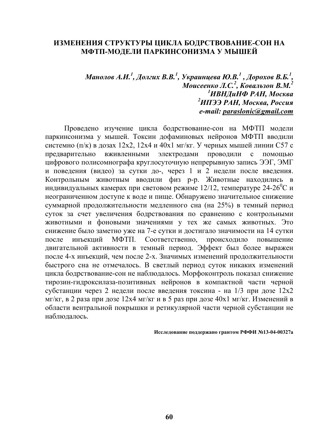#### **ИЗМЕНЕНИЯ СТРУКТУРЫ ЦИКЛА БОДРСТВОВАНИЕ-СОН НА МФТП-МОДЕЛИ ПАРКИНСОНИЗМА У МЫШЕЙ**

# Манолов А.И. <sup>1</sup>, Долгих В.В. <sup>1</sup>, Украинцева Ю.В. <sup>1</sup> , Дорохов В.Б. <sup>1</sup>, *Моисеенко Л.С. 2 , Ковальзон В.М. 2 1 ИВНДиНФ РАН, Москва 2 ИПЭЭ РАН, Москва, Россия e-mail: paraslonic@gmail.com*

Проведено изучение цикла бодрствование-сон на МФТП модели паркинсонизма у мышей. Токсин дофаминовых нейронов МФТП вводили системно (п/к) в дозах 12х2, 12х4 и 40х1 мг/кг. У черных мышей линии С57 с предварительно вживленными электродами проводили с помощью цифрового полисомнографа круглосуточную непрерывную запись ЭЭГ, ЭМГ и поведения (видео) за сутки до-, через 1 и 2 недели после введения. Контрольным животным вводили физ р-р. Животные находились в индивидуальных камерах при световом режиме 12/12, температуре 24-26<sup>°</sup>С и неограниченном доступе к воде и пище. Обнаружено значительное снижение суммарной продолжительности медленного сна (на 25%) в темный период суток за счет увеличения бодрствования по сравнению с контрольными животными и фоновыми значениями у тех же самых животных. Это снижение было заметно уже на 7-е сутки и достигало значимости на 14 сутки после инъекций МФТП. Соответственно, происходило повышение двигательной активности в темный период. Эффект был более выражен после 4-х инъекций, чем после 2-х. Значимых изменений продолжительности быстрого сна не отмечалось. В светлый период суток никаких изменений цикла бодрствование-сон не наблюдалось. Морфоконтроль показал снижение тирозин-гидроксилаза-позитивных нейронов в компактной части черной субстанции через 2 недели после введения токсина - на 1/3 при дозе 12х2 мг/кг, в 2 раза при дозе 12х4 мг/кг и в 5 раз при дозе 40х1 мг/кг. Изменений в области вентральной покрышки и ретикулярной части черной субстанции не наблюдалось.

**Исследование поддержано грантом РФФИ №13-04-00327а**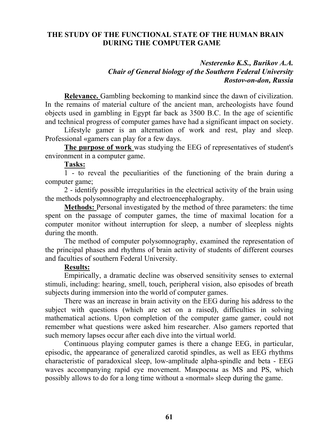# **THE STUDY OF THE FUNCTIONAL STATE OF THE HUMAN BRAIN DURING THE COMPUTER GAME**

#### *Nesterenko K.S., Burikov A.A. Chair of General biology of the Southern Federal University Rostov-on-don, Russia*

**Relevance.** Gambling beckoming to mankind since the dawn of civilization. In the remains of material culture of the ancient man, archeologists have found objects used in gambling in Egypt far back as 3500 B.C. In the age of scientific and technical progress of computer games have had a significant impact on society.

Lifestyle gamer is an alternation of work and rest, play and sleep. Professional «gamers can play for a few days.

**The purpose of work** was studying the EEG of representatives of student's environment in a computer game.

**Tasks:** 

1 - to reveal the peculiarities of the functioning of the brain during a computer game;

2 - identify possible irregularities in the electrical activity of the brain using the methods polysomnography and electroencephalography.

**Methods:** Personal investigated by the method of three parameters: the time spent on the passage of computer games, the time of maximal location for a computer monitor without interruption for sleep, a number of sleepless nights during the month.

The method of computer polysomnography, examined the representation of the principal phases and rhythms of brain activity of students of different courses and faculties of southern Federal University.

## **Results:**

Empirically, a dramatic decline was observed sensitivity senses to external stimuli, including: hearing, smell, touch, peripheral vision, also episodes of breath subjects during immersion into the world of computer games.

There was an increase in brain activity on the EEG during his address to the subject with questions (which are set on a raised), difficulties in solving mathematical actions. Upon completion of the computer game gamer, could not remember what questions were asked him researcher. Also gamers reported that such memory lapses occur after each dive into the virtual world.

Continuous playing computer games is there a change EEG, in particular, episodic, the appearance of generalized carotid spindles, as well as EEG rhythms characteristic of paradoxical sleep, low-amplitude alpha-spindle and beta - EEG waves accompanying rapid eye movement. Микросны as MS and PS, which possibly allows to do for a long time without a «normal» sleep during the game.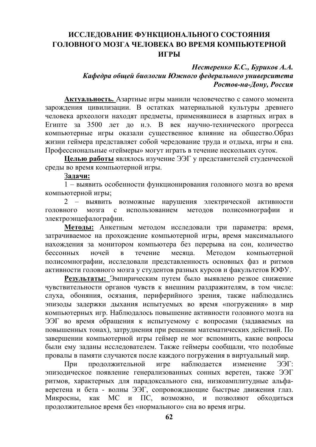# **ИССЛЕДОВАНИЕ ФУНКЦИОНАЛЬНОГО СОСТОЯНИЯ ГОЛОВНОГО МОЗГА ЧЕЛОВЕКА ВО ВРЕМЯ КОМПЬЮТЕРНОЙ ИГРЫ**

## *Нестеренко К.С., Буриков А.А. Кафедра общей биологии Южного федерального университета Ростов-на-Дону, Россия*

**Актуальность.** Азартные игры манили человечество с самого момента зарождения цивилизации. В остатках материальной культуры древнего человека археологи находят предметы, применявшиеся в азартных играх в Египте за 3500 лет до н.э. В век научно-технического прогресса компьютерные игры оказали существенное влияние на общество.Образ жизни геймера представляет собой чередование труда и отдыха, игры и сна. Профессиональные «геймеры» могут играть в течение нескольких суток.

**Целью работы** являлось изучение ЭЭГ у представителей студенческой среды во время компьютерной игры.

З**адачи:**

1 – выявить особенности функционирования головного мозга во время компьютерной игры;

2 – выявить возможные нарушения электрической активности головного мозга с использованием методов полисомнографии и электроэнцефалографии.

**Методы:** Анкетным методом исследовали три параметра: время, затрачиваемое на прохождение компьютерной игры, время максимального нахождения за монитором компьютера без перерыва на сон, количество бессонных ночей в течение месяца. Методом компьютерной полисомнографии, исследовали представленность основных фаз и ритмов активности головного мозга у студентов разных курсов и факультетов ЮФУ.

**Результаты:** Эмпирическим путем было выявлено резкое снижение чувствительности органов чувств к внешним раздражителям, в том числе: слуха, обоняния, осязания, периферийного зрения, также наблюдались эпизоды задержки дыхания испытуемых во время «погружения» в мир компьютерных игр. Наблюдалось повышение активности головного мозга на ЭЭГ во время обращения к испытуемому с вопросами (задаваемых на повышенных тонах), затруднения при решении математических действий. По завершении компьютерной игры геймер не мог вспомнить, какие вопросы были ему заданы исследователем. Также геймеры сообщали, что подобные провалы в памяти случаются после каждого погружения в виртуальный мир.

При продолжительной игре наблюдается изменение ЭЭГ: эпизодическое появление генерализованных сонных веретен, также ЭЭГ ритмов, характерных для парадоксального сна, низкоамплитудные альфаверетена и бета - волны ЭЭГ, сопровождающие быстрые движения глаз. Микросны, как МС и ПС, возможно, и позволяют обходиться продолжительное время без «нормального» сна во время игры.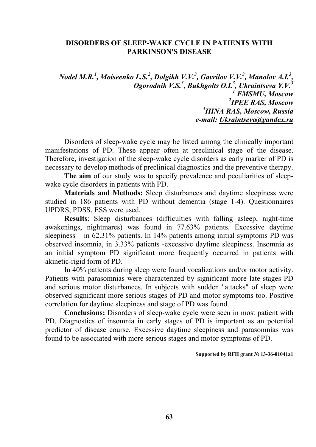#### **DISORDERS OF SLEEP-WAKE CYCLE IN PATIENTS WITH PARKINSON'S DISEASE**

*Nodel M.R.<sup>1</sup> , Moiseenko L.S.2 , Dolgikh V.V.<sup>3</sup> , Gavrilov V.V.<sup>3</sup> , Маnolov А.I.3 , Оgorodnik V.S.<sup>3</sup> , Bukhgolts О.I.3 , Ukraintseva Y.V.<sup>3</sup> 1 FMSMU, Moscow 2 IPEE RAS, Moscow 3 IHNA RAS, Moscow, Russia e-mail: Ukraintseva@yandex.ru* 

Disorders of sleep-wake cycle may be listed among the clinically important manifestations of PD. These appear often at preclinical stage of the disease. Therefore, investigation of the sleep-wake cycle disorders as early marker of PD is necessary to develop methods of preclinical diagnostics and the preventive therapy.

**The aim** of our study was to specify prevalence and peculiarities of sleepwake cycle disorders in patients with PD.

**Materials and Methods:** Sleep disturbances and daytime sleepiness were studied in 186 patients with PD without dementia (stage 1-4). Questionnaires UPDRS, PDSS, ESS were used.

**Results**: Sleep disturbances (difficulties with falling asleep, night-time awakenings, nightmares) was found in 77.63% patients. Excessive daytime sleepiness – in 62.31% patients. In 14% patients among initial symptoms PD was observed insomnia, in 3.33% patients -excessive daytime sleepiness. Insomnia as an initial symptom PD significant more frequently occurred in patients with akinetic-rigid form of PD.

In 40% patients during sleep were found vocalizations and/or motor activity. Patients with parasomnias were characterized by significant more late stages PD and serious motor disturbances. In subjects with sudden "attacks" of sleep were observed significant more serious stages of PD and motor symptoms too. Positive correlation for daytime sleepiness and stage of PD was found.

**Conclusions:** Disorders of sleep-wake cycle were seen in most patient with PD. Diagnostics of insomnia in early stages of PD is important as an potential predictor of disease course. Excessive daytime sleepiness and parasomnias was found to be associated with more serious stages and motor symptoms of PD.

#### **Supported by RFH grant № 13-36-01041а1**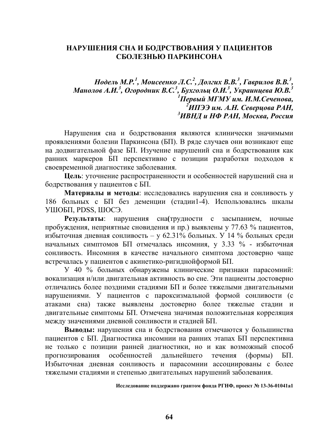## **НАРУШЕНИЯ СНА И БОДРСТВОВАНИЯ У ПАЦИЕНТОВ СБОЛЕЗНЬЮ ПАРКИНСОНА**

Нодель М.Р.<sup>1</sup>, Моисеенко Л.С.<sup>2</sup>, Долгих В.В.<sup>3</sup>, Гаврилов В.В.<sup>3</sup>, Манолов А.И. $^3$ , Огородник В.С. $^3$ , Бухгольц О.И. $^3$ , Украинцева Ю.В. $^3$ *1 Первый МГМУ им. И.М.Сеченова, 2 ИПЭЭ им. А.Н. Северцова РАН, 3 ИВНД и НФ РАН, Москва, Россия*

Нарушения сна и бодрствования являются клинически значимыми проявлениями болезни Паркинсона (БП). В ряде случаев они возникают еще на додвигательной фазе БП. Изучение нарушений сна и бодрствования как ранних маркеров БП перспективно с позиции разработки подходов к своевременной диагностике заболевания.

**Цель**: уточнение распространенности и особенностей нарушений сна и бодрствования у пациентов с БП.

**Материалы и методы**: исследовались нарушения сна и сонливость у 186 больных с БП без деменции (стадии1-4). Использовались шкалы УШОБП, PDSS, ШOCЭ.

**Результаты**: нарушения сна**(**трудности с засыпанием, ночные пробуждения, неприятные сновидения и пр.) выявлены у 77.63 % пациентов, избыточная дневная сонливость – у 62.31% больных. У 14 % больных среди начальных симптомов БП отмечалась инсомния, у 3.33 % - избыточная сонливость. Инсомния в качестве начального симптома достоверно чаще встречалась у пациентов с акинетико-ригиднойформой БП.

У 40 % больных обнаружены клинические признаки парасомний: вокализация и/или двигательная активность во сне. Эти пациенты достоверно отличались более поздними стадиями БП и более тяжелыми двигательными нарушениями. У пациентов с пароксизмальной формой сонливости (с атаками сна) также выявлены достоверно более тяжелые стадии и двигательные симптомы БП. Отмечена значимая положительная корреляция между значениями дневной сонливости и стадией БП.

**Выводы:** нарушения сна и бодрствования отмечаются у большинства пациентов с БП. Диагностика инсомнии на ранних этапах БП перспективна не только с позиции ранней диагностики, но и как возможный способ прогнозирования особенностей дальнейшего течения (формы) БП. Избыточная дневная сонливость и парасомнии ассоциированы с более тяжелыми стадиями и степенью двигательных нарушений заболевания.

**Исследование поддержано грантом фонда РГНФ, проект № 13-36-01041а1**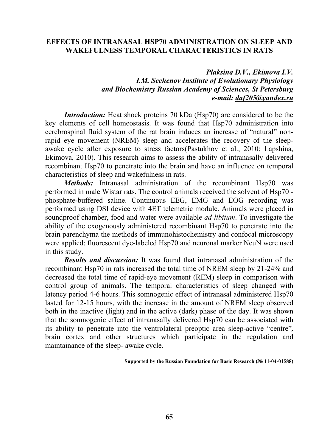#### **EFFECTS OF INTRANASAL HSP70 ADMINISTRATION ON SLEEP AND WAKEFULNESS TEMPORAL CHARACTERISTICS IN RATS**

## *Plaksina D.V., Ekimova I.V. I.M. Sechenov Institute of Evolutionary Physiology and Biochemistry Russian Academy of Sciences, St Petersburg e-mail: daf205@yandex.ru*

*Introduction:* Heat shock proteins 70 kDa (Hsp70) are considered to be the key elements of cell homeostasis. It was found that Hsp70 administration into cerebrospinal fluid system of the rat brain induces an increase of "natural" nonrapid eye movement (NREM) sleep and accelerates the recovery of the sleepawake cycle after exposure to stress factors(Pastukhov et al., 2010; Lapshina, Ekimova, 2010). This research aims to assess the ability of intranasally delivered recombinant Hsp70 to penetrate into the brain and have an influence on temporal characteristics of sleep and wakefulness in rats.

*Methods:* Intranasal administration of the recombinant Hsp70 was performed in male Wistar rats. The control animals received the solvent of Hsp70 phosphate-buffered saline. Continuous EEG, EMG and EOG recording was performed using DSI device with 4ET telemetric module. Animals were placed in soundproof chamber, food and water were available *ad libitum*. To investigate the ability of the exogenously administered recombinant Hsp70 to penetrate into the brain parenchyma the methods of immunohistochemistry and confocal microscopy were applied; fluorescent dye-labeled Hsp70 and neuronal marker NeuN were used in this study.

*Results and discussion:* It was found that intranasal administration of the recombinant Hsp70 in rats increased the total time of NREM sleep by 21-24% and decreased the total time of rapid-eye movement (REM) sleep in comparison with control group of animals. The temporal characteristics of sleep changed with latency period 4-6 hours. This somnogenic effect of intranasal administered Hsp70 lasted for 12-15 hours, with the increase in the amount of NREM sleep observed both in the inactive (light) and in the active (dark) phase of the day. It was shown that the somnogenic effect of intranasally delivered Hsp70 can be associated with its ability to penetrate into the ventrolateral preoptic area sleep-active "centre"*,* brain cortex and other structures which participate in the regulation and maintainance of the sleep- awake cycle.

**Supported by the Russian Foundation for Basic Research (№ 11-04-01588)**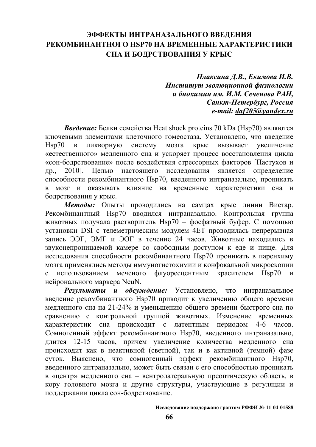# **ЭФФЕКТЫ ИНТРАНАЗАЛЬНОГО ВВЕДЕНИЯ РЕКОМБИНАНТНОГО HSP70 НА ВРЕМЕННЫЕ ХАРАКТЕРИСТИКИ СНА И БОДРСТВОВАНИЯ У КРЫС**

*Плаксина Д.В., Екимова И.В. Институт эволюционной физиологии и биохимии им. И.М. Сеченова РАН, Санкт-Петербург, Россия e-mail: daf205@yandex.ru* 

*Введение:* Белки семейства Heat shock proteins 70 kDa (Hsp70) являются ключевыми элементами клеточного гомеостаза. Установлено, что введение Hsp70 в ликворную систему мозга крыс вызывает увеличение «естественного» медленного сна и ускоряет процесс восстановления цикла «сон-бодрствование» после воздействия стрессорных факторов [Пастухов и др., 2010]. Целью настоящего исследования является определение способности рекомбинантного Hsp70, введенного интраназально, проникать в мозг и оказывать влияние на временные характеристики сна и бодрствования у крыс.

*Методы:* Опыты проводились на самцах крыс линии Вистар. Рекомбинантный Hsp70 вводился интраназально. Контрольная группа животных получала растворитель Hsp70 – фосфатный буфер. С помощью установки DSI с телеметрическим модулем 4ET проводилась непрерывная запись ЭЭГ, ЭМГ и ЭОГ в течение 24 часов. Животные находились в звуконепроницаемой камере со свободным доступом к еде и пище. Для исследования способности рекомбинантного Hsp70 проникать в паренхиму мозга применялись методы иммуногистохимии и конфокальной микроскопии с использованием меченого флуоресцентным красителем Hsp70 и нейронального маркера NeuN.

*Результаты и обсуждение:* Установлено, что интраназальное введение рекомбинантного Hsp70 приводит к увеличению общего времени медленного сна на 21-24% и уменьшению общего времени быстрого сна по сравнению с контрольной группой животных. Изменение временных характеристик сна происходит с латентным периодом 4-6 часов. Сомногенный эффект рекомбинантного Hsp70, введенного интраназально, длится 12-15 часов, причем увеличение количества медленного сна происходит как в неактивной (светлой), так и в активной (темной) фазе суток. Выяснено, что сомногенный эффект рекомбинантного Hsp70, введенного интраназально, может быть связан с его способностью проникать в «центр» медленного сна – вентролатеральную преоптическую область, в кору головного мозга и другие структуры, участвующие в регуляции и поддержании цикла сон-бодрствование.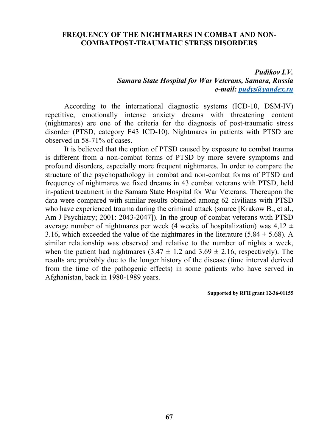#### **FREQUENCY OF THE NIGHTMARES IN COMBAT AND NON-COMBATPOST-TRAUMATIC STRESS DISORDERS**

#### *Pudikov I.V. Samara State Hospital for War Veterans, Samara, Russia e-mail: pudys@yandex.ru*

According to the international diagnostic systems (ICD-10, DSM-IV) repetitive, emotionally intense anxiety dreams with threatening content (nightmares) are one of the criteria for the diagnosis of post-traumatic stress disorder (PTSD, category F43 ICD-10). Nightmares in patients with PTSD are observed in 58-71% of cases.

It is believed that the option of PTSD caused by exposure to combat trauma is different from a non-combat forms of PTSD by more severe symptoms and profound disorders, especially more frequent nightmares. In order to compare the structure of the psychopathology in combat and non-combat forms of PTSD and frequency of nightmares we fixed dreams in 43 combat veterans with PTSD, held in-patient treatment in the Samara State Hospital for War Veterans. Thereupon the data were compared with similar results obtained among 62 civilians with PTSD who have experienced trauma during the criminal attack (source [Krakow B., et al., Am J Psychiatry; 2001: 2043-2047]). In the group of combat veterans with PTSD average number of nightmares per week (4 weeks of hospitalization) was  $4.12 \pm 1$ 3.16, which exceeded the value of the nightmares in the literature (5.84  $\pm$  5.68). A similar relationship was observed and relative to the number of nights a week, when the patient had nightmares  $(3.47 \pm 1.2 \text{ and } 3.69 \pm 2.16)$ , respectively). The results are probably due to the longer history of the disease (time interval derived from the time of the pathogenic effects) in some patients who have served in Afghanistan, back in 1980-1989 years.

**Supported by RFH grant 12-36-01155**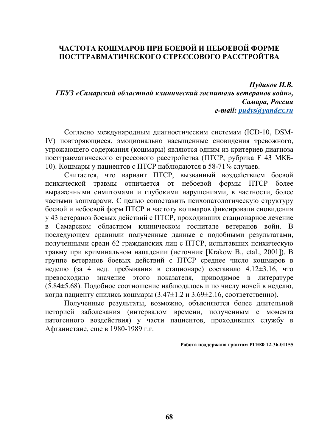# **ЧАСТОТА КОШМАРОВ ПРИ БОЕВОЙ И НЕБОЕВОЙ ФОРМЕ ПОСТТРАВМАТИЧЕСКОГО СТРЕССОВОГО РАССТРОЙТВА**

*Пудиков И.В. ГБУЗ «Самарский областной клинический госпиталь ветеранов войн», Самара, Россия e-mail: pudys@yandex.ru*

Согласно международным диагностическим системам (ICD-10, DSM-IV) повторяющиеся, эмоционально насыщенные сновидения тревожного, угрожающего содержания (кошмары) являются одним из критериев диагноза посттравматического стрессового расстройства (ПТСР, рубрика F 43 МКБ-10). Кошмары у пациентов с ПТСР наблюдаются в 58-71% случаев.

Считается, что вариант ПТСР, вызванный воздействием боевой психической травмы отличается от небоевой формы ПТСР более выраженными симптомами и глубокими нарушениями, в частности, более частыми кошмарами. С целью сопоставить психопатологическую структуру боевой и небоевой форм ПТСР и частоту кошмаров фиксировали сновидения у 43 ветеранов боевых действий с ПТСР, проходивших стационарное лечение в Самарском областном клиническом госпитале ветеранов войн. В последующем сравнили полученные данные с подобными результатами, полученными среди 62 гражданских лиц с ПТСР, испытавших психическую травму при криминальном нападении (источник [Krakow B., etal., 2001]). В группе ветеранов боевых действий с ПТСР среднее число кошмаров в неделю (за 4 нед. пребывания в стационаре) составило 4.12±3.16, что превосходило значение этого показателя, приводимое в литературе (5.84±5.68). Подобное соотношение наблюдалось и по числу ночей в неделю, когда пациенту снились кошмары (3.47±1.2 и 3.69±2.16, соответственно).

Полученные результаты, возможно, объясняются более длительной историей заболевания (интервалом времени, полученным с момента патогенного воздействия) у части пациентов, проходивших службу в Афганистане, еще в 1980-1989 г.г.

**Работа поддержана грантом РГНФ 12-36-01155**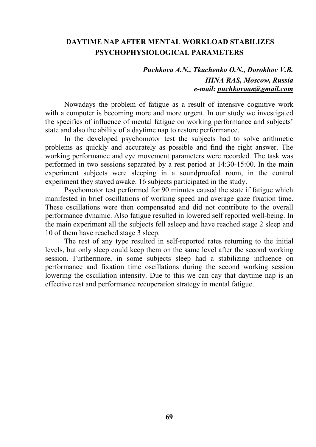# **DAYTIME NAP AFTER MENTAL WORKLOAD STABILIZES PSYCHOPHYSIOLOGICAL PARAMETERS**

# *Puchkova A.N., Tkachenko O.N., Dorokhov V.B. IHNA RAS, Moscow, Russia e-mail: puchkovaan@gmail.com*

Nowadays the problem of fatigue as a result of intensive cognitive work with a computer is becoming more and more urgent. In our study we investigated the specifics of influence of mental fatigue on working performance and subjects' state and also the ability of a daytime nap to restore performance.

In the developed psychomotor test the subjects had to solve arithmetic problems as quickly and accurately as possible and find the right answer. The working performance and eye movement parameters were recorded. The task was performed in two sessions separated by a rest period at 14:30-15:00. In the main experiment subjects were sleeping in a soundproofed room, in the control experiment they stayed awake. 16 subjects participated in the study.

Psychomotor test performed for 90 minutes caused the state if fatigue which manifested in brief oscillations of working speed and average gaze fixation time. These oscillations were then compensated and did not contribute to the overall performance dynamic. Also fatigue resulted in lowered self reported well-being. In the main experiment all the subjects fell asleep and have reached stage 2 sleep and 10 of them have reached stage 3 sleep.

The rest of any type resulted in self-reported rates returning to the initial levels, but only sleep could keep them on the same level after the second working session. Furthermore, in some subjects sleep had a stabilizing influence on performance and fixation time oscillations during the second working session lowering the oscillation intensity. Due to this we can cay that daytime nap is an effective rest and performance recuperation strategy in mental fatigue.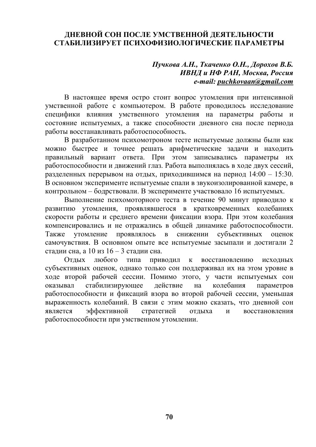# **ДНЕВНОЙ СОН ПОСЛЕ УМСТВЕННОЙ ДЕЯТЕЛЬНОСТИ СТАБИЛИЗИРУЕТ ПСИХОФИЗИОЛОГИЧЕСКИЕ ПАРАМЕТРЫ**

## *Пучкова А.Н., Ткаченко О.Н., Дорохов В.Б. ИВНД и НФ РАН, Москва, Россия e-mail: puchkovaan@gmail.com*

В настоящее время остро стоит вопрос утомления при интенсивной умственной работе с компьютером. В работе проводилось исследование специфики влияния умственного утомления на параметры работы и состояние испытуемых, а также способности дневного сна после периода работы восстанавливать работоспособность.

В разработанном психомотроном тесте испытуемые должны были как можно быстрее и точнее решать арифметические задачи и находить правильный вариант ответа. При этом записывались параметры их работоспособности и движений глаз. Работа выполнялась в ходе двух сессий, разделенных перерывом на отдых, приходившимся на период 14:00 – 15:30. В основном эксперименте испытуемые спали в звукоизолированной камере, в контрольном – бодрствовали. В эксперименте участвовало 16 испытуемых.

Выполнение психомоторного теста в течение 90 минут приводило к развитию утомления, проявлявшегося в кратковременных колебаниях скорости работы и среднего времени фиксации взора. При этом колебания компенсировались и не отражались в общей динамике работоспособности. Также утомление проявлялось в снижении субъективных оценок самочувствия. В основном опыте все испытуемые засыпали и достигали 2 стадии сна, а 10 из 16 – 3 стадии сна.

Отдых любого типа приводил к восстановлению исходных субъективных оценок, однако только сон поддерживал их на этом уровне в ходе второй рабочей сессии. Помимо этого, у части испытуемых сон оказывал стабилизирующее действие на колебания параметров работоспособности и фиксаций взора во второй рабочей сессии, уменьшая выраженность колебаний. В связи с этим можно сказать, что дневной сон является эффективной стратегией отдыха и восстановления работоспособности при умственном утомлении.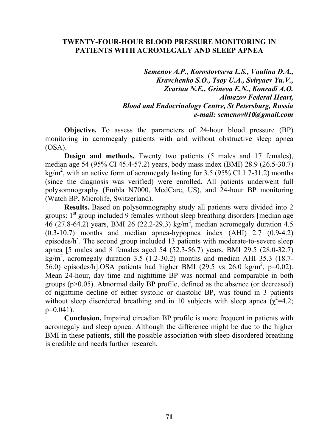#### **TWENTY-FOUR-HOUR BLOOD PRESSURE MONITORING IN PATIENTS WITH ACROMEGALY AND SLEEP APNEA**

*Semenov A.P., Korostovtseva L.S., Vaulina D.A., Kravchenko S.O., Tsoy U.A., Sviryaev Yu.V., Zvartau N.E., Grineva E.N., Konradi A.O. Almazov Federal Heart, Blood and Endocrinology Centre, St Petersburg, Russia e-mail: semenov010@gmail.com* 

**Objective.** To assess the parameters of 24-hour blood pressure (BP) monitoring in acromegaly patients with and without obstructive sleep apnea (OSA).

**Design and methods.** Twenty two patients (5 males and 17 females), median age 54 (95% CI 45.4-57.2) years, body mass index (BMI) 28.9 (26.5-30.7) kg/m<sup>2</sup>, with an active form of acromegaly lasting for 3.5 (95% CI 1.7-31.2) months (since the diagnosis was verified) were enrolled. All patients underwent full polysomnography (Embla N7000, MedCare, US), and 24-hour BP monitoring (Watch BP, Microlife, Switzerland).

**Results.** Based on polysomnography study all patients were divided into 2 groups:  $1<sup>st</sup>$  group included 9 females without sleep breathing disorders [median age 46 (27.8-64.2) years, BMI 26 (22.2-29.3) kg/m<sup>2</sup>, median acromegaly duration 4.5 (0.3-10.7) months and median apnea-hypopnea index (AHI) 2.7 (0.9-4.2) episodes/h]. The second group included 13 patients with moderate-to-severe sleep apnea [5 males and 8 females aged 54 (52.3-56.7) years, BMI 29.5 (28.0-32.7)  $kg/m<sup>2</sup>$ , acromegaly duration 3.5 (1.2-30.2) months and median AHI 35.3 (18.7-56.0) episodes/h].OSA patients had higher BMI (29.5 vs 26.0 kg/m<sup>2</sup>, p=0,02). Mean 24-hour, day time and nighttime BP was normal and comparable in both groups  $(p>0.05)$ . Abnormal daily BP profile, defined as the absence (or decreased) of nighttime decline of either systolic or diastolic BP, was found in 3 patients without sleep disordered breathing and in 10 subjects with sleep apnea  $\alpha^2 = 4.2$ ; p=0.041).

**Conclusion.** Impaired circadian BP profile is more frequent in patients with acromegaly and sleep apnea. Although the difference might be due to the higher BMI in these patients, still the possible association with sleep disordered breathing is credible and needs further research.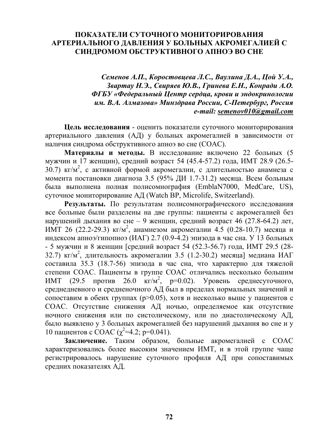### **ПОКАЗАТЕЛИ СУТОЧНОГО МОНИТОРИРОВАНИЯ АРТЕРИАЛЬНОГО ДАВЛЕНИЯ У БОЛЬНЫХ АКРОМЕГАЛИЕЙ С СИНДРОМОМ ОБСТРУКТИВНОГО АПНОЭ ВО СНЕ**

*Семенов А.П., Коростовцева Л.С., Ваулина Д.А., Цой У.А., Звартау Н.Э., Свиряев Ю.В., Гринева Е.Н., Конради А.О. ФГБУ «Федеральный Центр сердца, крови и эндокринологии им. В.А. Алмазова» Минздрава России, С-Петербург, Россия e-mail: semenov010@gmail.com* 

**Цель исследования** - оценить показатели суточного мониторирования артериального давления (АД) у больных акромегалией в зависимости от наличия синдрома обструктивного апноэ во сне (СОАС).

**Материалы и методы.** В исследование включено 22 больных (5 мужчин и 17 женщин), средний возраст 54 (45.4-57.2) года, ИМТ 28.9 (26.5- 30.7)  $\text{kr/m}^2$ , с активной формой акромегалии, с длительностью анамнеза с момента постановки диагноза 3.5 (95% ДИ 1.7-31.2) месяца. Всем больным была выполнена полная полисомнография (EmblaN7000, MedCare, US), суточное мониторирование АД (Watch BP, Microlife, Switzerland).

**Результаты.** По результатам полисомнографического исследования все больные были разделены на две группы: пациенты с акромегалией без нарушений дыхания во сне – 9 женщин, средний возраст 46 (27.8-64.2) лет, ИМТ 26 (22.2-29.3) кг/м<sup>2</sup>, анамнезом акромегалии 4.5 (0.28-10.7) месяца и индексом апноэ/гипопноэ (ИАГ) 2.7 (0.9-4.2) эпизода в час сна. У 13 больных - 5 мужчин и 8 женщин [средний возраст 54 (52.3-56.7) года, ИМТ 29.5 (28- 32.7) кг/м 2 , длительность акромегалии 3.5 (1.2-30.2) месяца] медиана ИАГ составила 35.3 (18.7-56) эпизода в час сна, что характерно для тяжелой степени СОАС. Пациенты в группе СОАС отличались несколько большим ИМТ (29.5 против 26.0  $Kr/m^2$ , p=0.02). Уровень среднесуточного, среднедневного и средненочного АД был в пределах нормальных значений и сопоставим в обеих группах (р>0.05), хотя и несколько выше у пациентов с СОАС. Отсутствие снижения АД ночью, определяемое как отсутствие ночного снижения или по систолическому, или по диастолическому АД, было выявлено у 3 больных акромегалией без нарушений дыхания во сне и у 10 пациентов с СОАС ( $\chi^2$ =4.2; p=0.041).

**Заключение.** Таким образом, больные акромегалией с СОАС характеризовались более высоким значением ИМТ, и в этой группе чаще регистрировалось нарушение суточного профиля АД при сопоставимых средних показателях АД.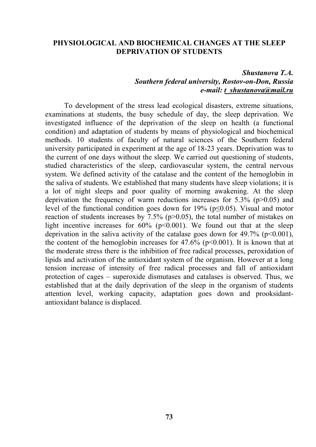#### **PHYSIOLOGICAL AND BIOCHEMICAL CHANGES AT THE SLEEP DEPRIVATION OF STUDENTS**

#### *Shustanova T.A. Southern federal university, Rostov-on-Don, Russia e-mail: t\_shustanova@mail.ru*

To development of the stress lead ecological disasters, extreme situations, examinations at students, the busy schedule of day, the sleep deprivation. We investigated influence of the deprivation of the sleep on health (a functional condition) and adaptation of students by means of physiological and biochemical methods. 10 students of faculty of natural sciences of the Southern federal university participated in experiment at the age of 18-23 years. Deprivation was to the current of one days without the sleep. We carried out questioning of students, studied characteristics of the sleep, cardiovascular system, the central nervous system. We defined activity of the catalase and the content of the hemoglobin in the saliva of students. We established that many students have sleep violations; it is a lot of night sleeps and poor quality of morning awakening. At the sleep deprivation the frequency of warm reductions increases for  $5.3\%$  (p $>0.05$ ) and level of the functional condition goes down for 19% ( $p \le 0.05$ ). Visual and motor reaction of students increases by  $7.5\%$  (p $>0.05$ ), the total number of mistakes on light incentive increases for  $60\%$  ( $p<0.001$ ). We found out that at the sleep deprivation in the saliva activity of the catalase goes down for 49.7% ( $p<0.001$ ), the content of the hemoglobin increases for  $47.6\%$  ( $p<0.001$ ). It is known that at the moderate stress there is the inhibition of free radical processes, peroxidation of lipids and activation of the antioxidant system of the organism. However at a long tension increase of intensity of free radical processes and fall of antioxidant protection of cages – superoxide dismutases and catalases is observed. Thus, we established that at the daily deprivation of the sleep in the organism of students attention level, working capacity, adaptation goes down and prooksidantantioxidant balance is displaced.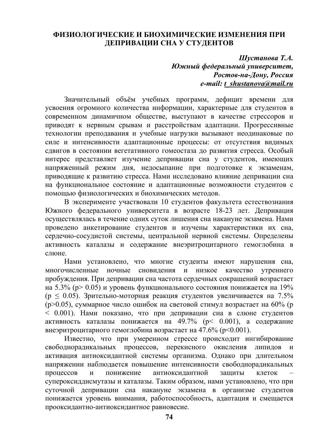#### **ФИЗИОЛОГИЧЕСКИЕ И БИОХИМИЧЕСКИЕ ИЗМЕНЕНИЯ ПРИ ДЕПРИВАЦИИ СНА У СТУДЕНТОВ**

*Шустанова Т.А. Южный федеральный университет, Ростов-на-Дону, Россия e-mail: t\_shustanova@mail.ru* 

Значительный объём учебных программ, дефицит времени для усвоения огромного количества информации, характерные для студентов в современном динамичном обществе, выступают в качестве стрессоров и приводят к нервным срывам и расстройствам адаптации. Прогрессивные технологии преподавания и учебные нагрузки вызывают неодинаковые по силе и интенсивности адаптационные процессы: от отсутствия видимых сдвигов в состоянии вегетативного гомеостаза до развития стресса. Особый интерес представляет изучение депривации сна у студентов, имеющих напряженный режим дня, недосыпание при подготовке к экзаменам, приводящие к развитию стресса. Нами исследовано влияние депривации сна на функциональное состояние и адаптационные возможности студентов с помощью физиологических и биохимических методов.

В эксперименте участвовали 10 студентов факультета естествознания Южного федерального университета в возрасте 18-23 лет. Депривация осуществлялась в течение одних суток лишения сна накануне экзамена. Нами проведено анкетирование студентов и изучены характеристики их сна, сердечно-сосудистой системы, центральной нервной системы. Определены активность каталазы и содержание внеэритроцитарного гемоглобина в слюне.

Нами установлено, что многие студенты имеют нарушения сна, многочисленные ночные сновидения и низкое качество утреннего пробуждения. При депривации сна частота сердечных сокращений возрастает на 5.3% (р> 0.05) и уровень функционального состояния понижается на 19%  $(p \le 0.05)$ . Зрительно-моторная реакция студентов увеличивается на 7.5% (р>0.05), суммарное число ошибок на световой стимул возрастает на 60% (р < 0.001). Нами показано, что при депривации сна в слюне студентов активность каталазы понижается на 49.7% (р< 0.001), а содержание внеэритроцитарного гемоглобина возрастает на 47.6% (р<0.001).

Известно, что при умеренном стрессе происходит ингибирование свободнорадикальных процессов, перекисного окисления липидов и активация антиоксидантной системы организма. Однако при длительном напряжении наблюдается повышение интенсивности свободнорадикальных процессов и понижение антиоксидантной защиты клеток супероксиддисмутазы и каталазы. Таким образом, нами установлено, что при суточной депривации сна накануне экзамена в организме студентов понижается уровень внимания, работоспособность, адаптация и смещается прооксидантно-антиоксидантное равновесие.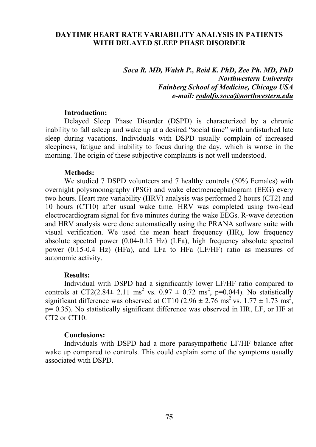#### **DAYTIME HEART RATE VARIABILITY ANALYSIS IN PATIENTS WITH DELAYED SLEEP PHASE DISORDER**

#### *Soca R. MD, Walsh P., Reid K. PhD, Zee Ph. MD, PhD Northwestern University Fainberg School of Medicine, Chicago USA e-mail: rodolfo.soca@northwestern.edu*

#### **Introduction:**

Delayed Sleep Phase Disorder (DSPD) is characterized by a chronic inability to fall asleep and wake up at a desired "social time" with undisturbed late sleep during vacations. Individuals with DSPD usually complain of increased sleepiness, fatigue and inability to focus during the day, which is worse in the morning. The origin of these subjective complaints is not well understood.

#### **Methods:**

We studied 7 DSPD volunteers and 7 healthy controls (50% Females) with overnight polysmonography (PSG) and wake electroencephalogram (EEG) every two hours. Heart rate variability (HRV) analysis was performed 2 hours (CT2) and 10 hours (CT10) after usual wake time. HRV was completed using two-lead electrocardiogram signal for five minutes during the wake EEGs. R-wave detection and HRV analysis were done automatically using the PRANA software suite with visual verification. We used the mean heart frequency (HR), low frequency absolute spectral power (0.04-0.15 Hz) (LFa), high frequency absolute spectral power (0.15-0.4 Hz) (HFa), and LFa to HFa (LF/HF) ratio as measures of autonomic activity.

#### **Results:**

Individual with DSPD had a significantly lower LF/HF ratio compared to controls at CT2(2.84 $\pm$  2.11 ms<sup>2</sup> vs. 0.97  $\pm$  0.72 ms<sup>2</sup>, p=0.044). No statistically significant difference was observed at CT10  $(2.96 \pm 2.76 \text{ ms}^2 \text{ vs. } 1.77 \pm 1.73 \text{ ms}^2)$ , p= 0.35). No statistically significant difference was observed in HR, LF, or HF at CT2 or CT10.

#### **Conclusions:**

Individuals with DSPD had a more parasympathetic LF/HF balance after wake up compared to controls. This could explain some of the symptoms usually associated with DSPD.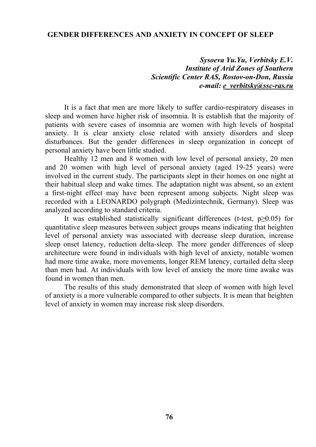#### **GENDER DIFFERENCES AND ANXIETY IN CONCEPT OF SLEEP**

*Sysoeva Yu.Yu, Verbitsky E.V. Institute of Arid Zones of Southern Scientific Center RAS, Rostov-on-Don, Russia e-mail: e\_verbitsky@ssc-ras.ru* 

It is a fact that men are more likely to suffer cardio-respiratory diseases in sleep and women have higher risk of insomnia. It is establish that the majority of patients with severe cases of insomnia are women with high levels of hospital anxiety. It is clear anxiety close related with anxiety disorders and sleep disturbances. But the gender differences in sleep organization in concept of personal anxiety have been little studied.

Healthy 12 men and 8 women with low level of personal anxiety, 20 men and 20 women with high level of personal anxiety (aged 19-25 years) were involved in the current study. The participants slept in their homes on one night at their habitual sleep and wake times. The adaptation night was absent, so an extent a first-night effect may have been represent among subjects. Night sleep was recorded with a LEONARDO polygraph (Medizintechnik, Germany). Sleep was analyzed according to standard criteria.

It was established statistically significant differences (t-test,  $p\geq 0.05$ ) for quantitative sleep measures between subject groups means indicating that heighten level of personal anxiety was associated with decrease sleep duration, increase sleep onset latency, reduction delta-sleep. The more gender differences of sleep architecture were found in individuals with high level of anxiety, notable women had more time awake, more movements, longer REM latency, curtailed delta sleep than men had. At individuals with low level of anxiety the more time awake was found in women than men.

The results of this study demonstrated that sleep of women with high level of anxiety is a more vulnerable compared to other subjects. It is mean that heighten level of anxiety in women may increase risk sleep disorders.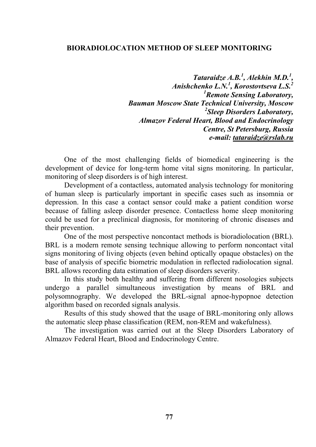#### **BIORADIOLOCATION METHOD OF SLEEP MONITORING**

*Tataraidze A.B.1 , Alekhin M.D.<sup>1</sup> , Anishchenko L.N.<sup>1</sup> , Korostovtseva L.S.2 1 Remote Sensing Laboratory, Bauman Moscow State Technical University, Moscow 2 Sleep Disorders Laboratory, Almazov Federal Heart, Blood and Endocrinology Centre, St Petersburg, Russia e-mail: tataraidze@rslab.ru* 

One of the most challenging fields of biomedical engineering is the development of device for long-term home vital signs monitoring. In particular, monitoring of sleep disorders is of high interest.

Development of a contactless, automated analysis technology for monitoring of human sleep is particularly important in specific cases such as insomnia or depression. In this case a contact sensor could make a patient condition worse because of falling asleep disorder presence. Contactless home sleep monitoring could be used for a preclinical diagnosis, for monitoring of chronic diseases and their prevention.

One of the most perspective noncontact methods is bioradiolocation (BRL). BRL is a modern remote sensing technique allowing to perform noncontact vital signs monitoring of living objects (even behind optically opaque obstacles) on the base of analysis of specific biometric modulation in reflected radiolocation signal. BRL allows recording data estimation of sleep disorders severity.

In this study both healthy and suffering from different nosologies subjects undergo a parallel simultaneous investigation by means of BRL and polysomnography. We developed the BRL-signal apnoe-hypopnoe detection algorithm based on recorded signals analysis.

Results of this study showed that the usage of BRL-monitoring only allows the automatic sleep phase classification (REM, non-REM and wakefulness).

The investigation was carried out at the Sleep Disorders Laboratory of Almazov Federal Heart, Blood and Endocrinology Centre.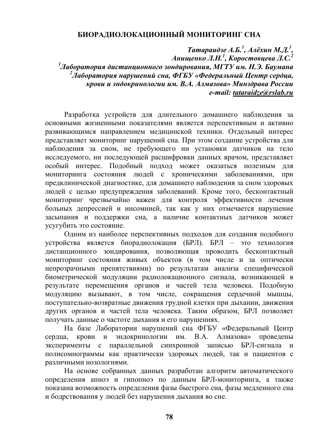### **БИОРАДИОЛОКАЦИОННЫЙ МОНИТОРИНГ СНА**

*Татараидзе А.Б. 1 , Алёхин М.Д. 1 , Анищенко Л.Н. 1 , Коростовцева Л.С. 2 1 Лаборатория дистанционного зондирования, МГТУ им. Н.Э. Баумана 2 Лаборатория нарушений сна, ФГБУ «Федеральный Центр сердца, крови и эндокринологии им. В.А. Алмазова» Минздрава России e-mail: tataraidze@rslab.ru* 

Разработка устройств для длительного домашнего наблюдения за основными жизненными показателями является перспективным и активно развивающимся направлением медицинской техники. Отдельный интерес представляет мониторинг нарушений сна. При этом создание устройства для наблюдения за сном, не требующего ни установки датчиков на тело исследуемого, ни последующей расшифровки данных врачом, представляет особый интерес. Подобный подход может оказаться полезным для мониторинга состояния людей с хроническими заболеваниями, при предклинической диагностике, для домашнего наблюдения за сном здоровых людей с целью предупреждения заболеваний. Кроме того, бесконтактный мониторинг чрезвычайно важен для контроля эффективности лечения больных депрессией и инсомнией, так как у них отмечается нарушение засыпания и поддержки сна, а наличие контактных датчиков может усугубить это состояние.

Одним из наиболее перспективных подходов для создания подобного устройства является биорадиолокация (БРЛ). БРЛ – это технология дистанционного зондирования, позволяющая проводить бесконтактный мониторинг состояния живых объектов (в том числе и за оптически непрозрачными препятствиями) по результатам анализа специфической биометрической модуляции радиолокационного сигнала, возникающей в результате перемещения органов и частей тела человека. Подобную модуляцию вызывают, в том числе, сокращения сердечной мышцы, поступательно-возвратные движения грудной клетки при дыхании, движения других органов и частей тела человека. Таким образом, БРЛ позволяет получать данные о частоте дыхания и его нарушениях.

На базе Лаборатории нарушений сна ФГБУ «Федеральный Центр сердца, крови и эндокринологии им. В.А. Алмазова» проведены эксперименты с параллельной синхронной записью БРЛ-сигнала и полисомнограммы как практически здоровых людей, так и пациентов с различными нозологиями.

На основе собранных данных разработан алгоритм автоматического определения апноэ и гипопноэ по данным БРЛ-мониторинга, а также показана возможность определения фазы быстрого сна, фазы медленного сна и бодрствования у людей без нарушения дыхания во сне.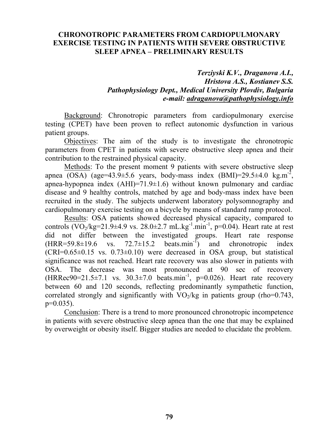#### **CHRONOTROPIC PARAMETERS FROM CARDIOPULMONARY EXERCISE TESTING IN PATIENTS WITH SEVERE OBSTRUCTIVE SLEEP APNEA – PRELIMINARY RESULTS**

*Terziyski K.V., Draganova A.I., Hristova A.S., Kostianev S.S. Pathophysiology Dept., Medical University Plovdiv, Bulgaria e-mail: adraganova@pathophysiology.info* 

Background: Chronotropic parameters from cardiopulmonary exercise testing (CPET) have been proven to reflect autonomic dysfunction in various patient groups.

Objectives: The aim of the study is to investigate the chronotropic parameters from CPET in patients with severe obstructive sleep apnea and their contribution to the restrained physical capacity.

Methods: To the present moment 9 patients with severe obstructive sleep apnea (OSA) (age=43.9 $\pm$ 5.6 years, body-mass index (BMI)=29.5 $\pm$ 4.0 kg.m<sup>-2</sup>, apnea-hypopnea index  $(AHI)=71.9\pm1.6$ ) without known pulmonary and cardiac disease and 9 healthy controls, matched by age and body-mass index have been recruited in the study. The subjects underwent laboratory polysomnography and cardiopulmonary exercise testing on a bicycle by means of standard ramp protocol.

Results: OSA patients showed decreased physical capacity, compared to controls (VO<sub>2</sub>/kg=21.9±4.9 vs. 28.0±2.7 mL.kg<sup>-1</sup>.min<sup>-1</sup>, p=0.04). Heart rate at rest did not differ between the investigated groups. Heart rate response  $(HRR=59.8\pm19.6 \text{ vs. } 72.7\pm15.2 \text{ beats.min}^{-1})$  and chronotropic index  $(CRI=0.65\pm0.15$  vs.  $0.73\pm0.10$ ) were decreased in OSA group, but statistical significance was not reached. Heart rate recovery was also slower in patients with OSA. The decrease was most pronounced at 90 sec of recovery (HRRec90=21.5±7.1 vs.  $30.3 \pm 7.0$  beats.min<sup>-1</sup>, p=0.026). Heart rate recovery between 60 and 120 seconds, reflecting predominantly sympathetic function, correlated strongly and significantly with  $VO_2/kg$  in patients group (rho=0.743,  $p=0.035$ ).

Conclusion: There is a trend to more pronounced chronotropic incompetence in patients with severe obstructive sleep apnea than the one that may be explained by overweight or obesity itself. Bigger studies are needed to elucidate the problem.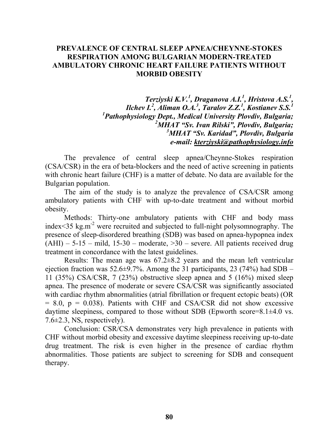#### **PREVALENCE OF CENTRAL SLEEP APNEA/CHEYNNE-STOKES RESPIRATION AMONG BULGARIAN MODERN-TREATED AMBULATORY CHRONIC HEART FAILURE PATIENTS WITHOUT MORBID OBESITY**

*Terziyski K.V.1 , Draganova A.I.1 , Hristova A.S.<sup>1</sup> , Ilchev I.<sup>2</sup> , Aliman O.A.<sup>3</sup> , Taralov Z.Z.<sup>1</sup> , Kostianev S.S.<sup>1</sup> 1 Pathophysiology Dept., Medical University Plovdiv, Bulgaria; 2 MHAT "Sv. Ivan Rilski", Plovdiv, Bulgaria; 3 MHAT "Sv. Karidad", Plovdiv, Bulgaria e-mail: kterziyski@pathophysiology.info* 

The prevalence of central sleep apnea/Cheynne-Stokes respiration (CSA/CSR) in the era of beta-blockers and the need of active screening in patients with chronic heart failure (CHF) is a matter of debate. No data are available for the Bulgarian population.

The aim of the study is to analyze the prevalence of CSA/CSR among ambulatory patients with CHF with up-to-date treatment and without morbid obesity.

Methods: Thirty-one ambulatory patients with CHF and body mass index $\leq$ 35 kg.m<sup>-2</sup> were recruited and subjected to full-night polysomnography. The presence of sleep-disordered breathing (SDB) was based on apnea-hypopnea index  $(AHI)$  – 5-15 – mild, 15-30 – moderate,  $>30$  – severe. All patients received drug treatment in concordance with the latest guidelines.

Results: The mean age was 67.2±8.2 years and the mean left ventricular ejection fraction was  $52.6\pm9.7\%$ . Among the 31 participants, 23 (74%) had SDB – 11 (35%) CSA/CSR, 7 (23%) obstructive sleep apnea and 5 (16%) mixed sleep apnea. The presence of moderate or severe CSA/CSR was significantly associated with cardiac rhythm abnormalities (atrial fibrillation or frequent ectopic beats) (OR  $= 8.0$ ,  $p = 0.038$ ). Patients with CHF and CSA/CSR did not show excessive daytime sleepiness, compared to those without SDB (Epworth score= $8.1\pm4.0$  vs. 7.6±2.3, NS, respectively).

Conclusion: CSR/CSA demonstrates very high prevalence in patients with CHF without morbid obesity and excessive daytime sleepiness receiving up-to-date drug treatment. The risk is even higher in the presence of cardiac rhythm abnormalities. Those patients are subject to screening for SDB and consequent therapy.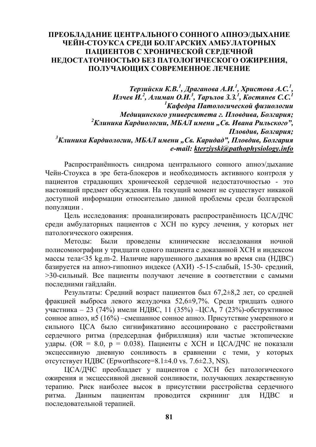#### **ПРЕОБЛАДАНИЕ ЦЕНТРАЛЬНОГО СОННОГО АПНОЭ/ДЫХАНИЕ ЧЕЙН-СТОУКСА СРЕДИ БОЛГАРСКИХ АМБУЛАТОРНЫХ ПАЦИЕНТОВ С ХРОНИЧЕСКОЙ СЕРДЕЧНОЙ НЕДОСТАТОЧНОСТЬЮ БЕЗ ПАТОЛОГИЧЕСКОГО ОЖИРЕНИЯ, ПОЛУЧАЮЩИХ СОВРЕМЕННОЕ ЛЕЧЕНИЕ**

*Терзийски К.В. 1 , Драганова А.И. 1 , Христова А.С. 1 ,*  Илчев И.<sup>2</sup>, Алиман О.И.<sup>3</sup>, Тарълов 3.3.<sup>1</sup>, Костянев С.С.<sup>1</sup> *1 Кафедра Патологической физиологии Медицинского университета г. Пловдива, Болгария; 2 Клиника Кардиологии, МБАЛ имени "Св. Ивана Рильского", Пловдив, Болгария; 3 Клиника Кардиологии, МБАЛ имени "Св. Каридад", Пловдив, Болгария e-mail: kterziyski@pathophysiology.info* 

Распространённость синдрома центрального сонного апноэ/дыхание Чейн-Стоукса в эре бета-блокеров и необходимость активного контроля у пациентов страдающих хронической сердечной недостаточностью - это настоящий предмет обсуждения. На текущий момент не существует никакой доступной информации относительно данной проблемы среди болгарской популяции .

Цель исследования: проанализировать распространённость ЦСА/ДЧС среди амбулаторных пациентов с ХСН по курсу лечения, у которых нет патологического ожирения.

Методы: Были проведены клинические исследования ночной полисомнографии у тридцати одного пациента с доказанной ХСН и индексом массы тела<35 kg.m-2. Наличие нарушенного дыхания во время сна (НДВС) базируется на апноэ-гипопноэ индексе (АХИ) -5-15-слабый, 15-30- средний, >30-сильный. Все пациенты получают лечение в соответствии с самыми последними гайдлайн.

Результаты: Средний возраст пациентов был 67,2±8,2 лет, со средней фракцией выброса левого желудочка 52,6±9,7%. Среди тридцать одного участника – 23 (74%) имели НДВС, 11 (35%) –ЦСА, 7 (23%)-обструктивное сонное апноэ, и5 (16%) –смешанное сонное апноэ. Присутствие умеренного и сильного ЦСА было сигнификативно ассоциировано с расстройствами сердечного ритма (предсердная фибрилляция) или частые эктопические удары. (OR = 8.0,  $p = 0.038$ ). Пациенты с XCH и ЦСА/ДЧС не показали эксцессивную дневную сонливость в сравнении с теми, у которых отсутствует НДВС (Epworthscore=8.1 $\pm$ 4.0 vs. 7.6 $\pm$ 2.3, NS).

ЦСА/ДЧС преобладает у пациентов с ХСН без патологического ожирения и эксцессивной дневной сонливости, получающих лекарственную терапию. Риск наиболее высок в присутствии расстройства сердечного ритма. Данным пациентам проводится скрининг для НДВС и последовательной терапией.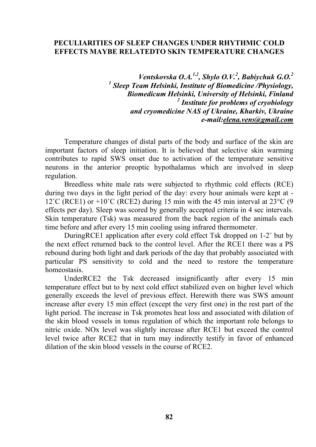#### **PECULIARITIES OF SLEEP CHANGES UNDER RHYTHMIC COLD EFFECTS MAYBE RELATEDTO SKIN TEMPERATURE CHANGES**

*Ventskovska O.A.1,2, Shylo O.V.2 , Babiychuk G.O.<sup>2</sup>* <sup>1</sup> Sleep Team Helsinki, Institute of Biomedicine /Physiology, *Biomedicum Helsinki, University of Helsinki, Finland 2 Institute for problems of cryobiology and cryomedicine NAS of Ukraine, Kharkiv, Ukraine e-mail:elena.vens@gmail.com* 

Temperature changes of distal parts of the body and surface of the skin are important factors of sleep initiation. It is believed that selective skin warming contributes to rapid SWS onset due to activation of the temperature sensitive neurons in the anterior preoptic hypothalamus which are involved in sleep regulation.

Breedless white male rats were subjected to rhythmic cold effects (RCE) during two days in the light period of the day: every hour animals were kept at - 12°C (RCE1) or +10°C (RCE2) during 15 min with the 45 min interval at  $23^{\circ}$ C (9 effects per day). Sleep was scored by generally accepted criteria in 4 sec intervals. Skin temperature (Tsk) was measured from the back region of the animals each time before and after every 15 min cooling using infrared thermometer.

DuringRCE1 application after every cold effect Tsk dropped on 1-2˚ but by the next effect returned back to the control level. After the RCE1 there was a PS rebound during both light and dark periods of the day that probably associated with particular PS sensitivity to cold and the need to restore the temperature homeostasis.

UnderRCE2 the Tsk decreased insignificantly after every 15 min temperature effect but to by next cold effect stabilized even on higher level which generally exceeds the level of previous effect. Herewith there was SWS amount increase after every 15 min effect (except the very first one) in the rest part of the light period. The increase in Tsk promotes heat loss and associated with dilation of the skin blood vessels in tonus regulation of which the important role belongs to nitric oxide. NOx level was slightly increase after RCE1 but exceed the control level twice after RCE2 that in turn may indirectly testify in favor of enhanced dilation of the skin blood vessels in the course of RCE2.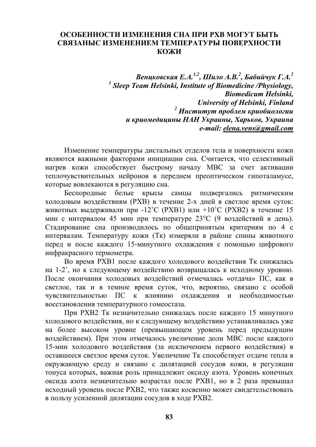#### **ОСОБЕННОСТИ ИЗМЕНЕНИЯ СНА ПРИ РХВ МОГУТ БЫТЬ СВЯЗАНЫС ИЗМЕНЕНИЕМ ТЕМПЕРАТУРЫ ПОВЕРХНОСТИ КОЖИ**

*Венцковская Е.А. 1,2, Шило А.В. 2 , Бабийчук Г.А. 2* <sup>1</sup> Sleep Team Helsinki, Institute of Biomedicine /Physiology, *Biomedicum Helsinki, University of Helsinki, Finland <sup>2</sup> Институт проблем криобиологии и криомедицины НАН Украины, Харьков, Украина e-mail: elena.vens@gmail.com* 

Изменение температуры дистальных отделов тела и поверхности кожи являются важными факторами инициации сна. Считается, что селективный нагрев кожи способствует быстрому началу МВС за счет активации теплочувствительных нейронов в переднем преоптическом гипоталамусе, которые вовлекаются в регуляцию сна.

Беспородные белые крысы самцы подвергались ритмическим холодовым воздействиям (РХВ) в течение 2-х дней в светлое время суток: животных выдерживали при -12˚C (РХВ1) или +10˚C (РХВ2) в течение 15 мин с интервалом 45 мин при температуре 23°C (9 воздействий в день). Стадирование сна производилось по общепринятым критериям по 4 с интервалам. Температуру кожи (Тк) измеряли в районе спины животного перед и после каждого 15-минутного охлаждения с помощью цифрового инфракрасного термометра.

Во время РХВ1 после каждого холодового воздействия Тк снижалась на 1-2˚, но к следующему воздействию возвращалась к исходному уровню. После окончания холодовых воздействий отмечалась «отдача» ПС, как в светлое, так и в темное время суток, что, вероятно, связано с особой чувствительностью ПС к влиянию охлаждения и необходимостью восстановления температурного гомеостаза.

При РХВ2 Тк незначительно снижалась после каждого 15 минутного холодового воздействия, но к следующему воздействию устанавливалась уже на более высоком уровне (превышающем уровень перед предыдущим воздействием). При этом отмечалось увеличение доли МВС после каждого 15-мин холодового воздействия (за исключением первого воздействия) в оставшееся светлое время суток. Увеличение Тк способствует отдаче тепла в окружающую среду и связано с дилятацией сосудов кожи, в регуляции тонуса которых, важная роль принадлежит оксиду азота. Уровень конечных оксида азота незначительно возрастал после РХВ1, но в 2 раза превышал исходный уровень после РХВ2, что также косвенно может свидетельствовать в пользу усиленной дилятации сосудов в ходе РХВ2.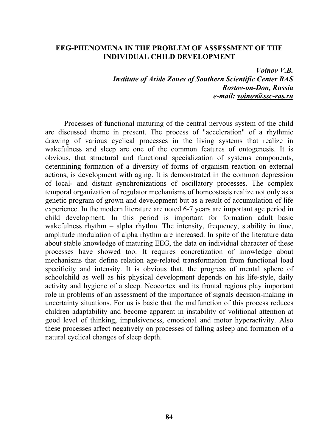#### **EEG-PHENOMENA IN THE PROBLEM OF ASSESSMENT OF THE INDIVIDUAL CHILD DEVELOPMENT**

*Voinov V.B. Institute of Aride Zones of Southern Scientific Center RAS Rostov-on-Don, Russia e-mail: voinov@ssc-ras.ru* 

Processes of functional maturing of the central nervous system of the child are discussed theme in present. The process of "acceleration" of a rhythmic drawing of various cyclical processes in the living systems that realize in wakefulness and sleep are one of the common features of ontogenesis. It is obvious, that structural and functional specialization of systems components, determining formation of a diversity of forms of organism reaction on external actions, is development with aging. It is demonstrated in the common depression of local- and distant synchronizations of oscillatory processes. The complex temporal organization of regulator mechanisms of homeostasis realize not only as a genetic program of grown and development but as a result of accumulation of life experience. In the modern literature are noted 6-7 years are important age period in child development. In this period is important for formation adult basic wakefulness rhythm – alpha rhythm. The intensity, frequency, stability in time, amplitude modulation of alpha rhythm are increased. In spite of the literature data about stable knowledge of maturing EEG, the data on individual character of these processes have showed too. It requires concretization of knowledge about mechanisms that define relation age-related transformation from functional load specificity and intensity. It is obvious that, the progress of mental sphere of schoolchild as well as his physical development depends on his life-style, daily activity and hygiene of a sleep. Neocortex and its frontal regions play important role in problems of an assessment of the importance of signals decision-making in uncertainty situations. For us is basic that the malfunction of this process reduces children adaptability and become apparent in instability of volitional attention at good level of thinking, impulsiveness, emotional and motor hyperactivity. Also these processes affect negatively on processes of falling asleep and formation of a natural cyclical changes of sleep depth.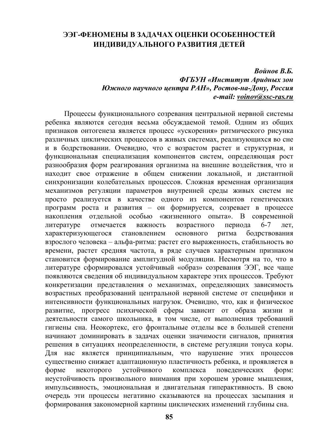### **ЭЭГ-ФЕНОМЕНЫ В ЗАДАЧАХ ОЦЕНКИ ОСОБЕННОСТЕЙ ИНДИВИДУАЛЬНОГО РАЗВИТИЯ ДЕТЕЙ**

#### *Войнов В.Б. ФГБУН «Институт Аридных зон Южного научного центра РАН», Ростов-на-Дону, Россия e-mail: voinov@ssc-ras.ru*

Процессы функционального созревания центральной нервной системы ребенка являются сегодня весьма обсуждаемой темой. Одним из общих признаков онтогенеза является процесс «ускорения» ритмического рисунка различных циклических процессов в живых системах, реализующихся во сне и в бодрствовании. Очевидно, что с возрастом растет и структурная, и функциональная специализация компонентов систем, определяющая рост разнообразия форм реагирования организма на внешние воздействия, что и находит свое отражение в общем снижении локальной, и дистантной синхронизации колебательных процессов. Сложная временная организация механизмов регуляции параметров внутренней среды живых систем не просто реализуется в качестве одного из компонентов генетических программ роста и развития – он формируется, созревает в процессе накопления отдельной особью «жизненного опыта». В современной литературе отмечается важность возрастного периода 6-7 лет, характеризующегося становлением основного ритма бодрствования взрослого человека – альфа-ритма: растет его выраженность, стабильность во времени, растет средняя частота, в ряде случаев характерным признаком становится формирование амплитудной модуляции. Несмотря на то, что в литературе сформировался устойчивый «образ» созревания ЭЭГ, все чаще появляются сведения об индивидуальном характере этих процессов. Требуют конкретизации представления о механизмах, определяющих зависимость возрастных преобразований центральной нервной системе от специфики и интенсивности функциональных нагрузок. Очевидно, что, как и физическое развитие, прогресс психической сферы зависит от образа жизни и деятельности самого школьника, в том числе, от выполнения требований гигиены сна. Неокортекс, его фронтальные отделы все в большей степени начинают доминировать в задачах оценки значимости сигналов, принятия решения в ситуациях неопределенности, в системе регуляции тонуса коры. Для нас является принципиальным, что нарушение этих процессов существенно снижает адаптационную пластичность ребенка, и проявляется в форме некоторого устойчивого комплекса поведенческих форм: неустойчивость произвольного внимания при хорошем уровне мышления, импульсивность, эмоциональная и двигательная гиперактивность. В свою очередь эти процессы негативно сказываются на процессах засыпания и формирования закономерной картины циклических изменений глубины сна.

**85**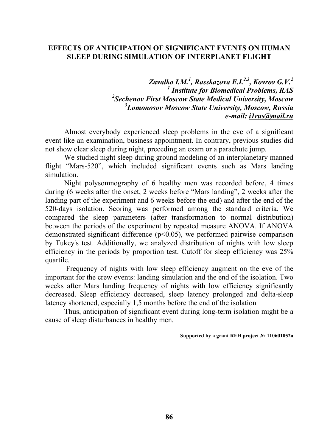#### **EFFECTS OF ANTICIPATION OF SIGNIFICANT EVENTS ON HUMAN SLEEP DURING SIMULATION OF INTERPLANET FLIGHT**

*Zavalko I.M.1 , Rasskazova E.I.2,3, Kovrov G.V.2 1 Institute for Biomedical Problems, RAS 2 Sechenov First Moscow State Medical University, Moscow 3 Lomonosov Moscow State University, Moscow, Russia e-mail: i1rus@mail.ru* 

Almost everybody experienced sleep problems in the eve of a significant event like an examination, business appointment. In contrary, previous studies did not show clear sleep during night, preceding an exam or a parachute jump.

We studied night sleep during ground modeling of an interplanetary manned flight "Mars-520", which included significant events such as Mars landing simulation.

Night polysomnography of 6 healthy men was recorded before, 4 times during (6 weeks after the onset, 2 weeks before "Mars landing", 2 weeks after the landing part of the experiment and 6 weeks before the end) and after the end of the 520-days isolation. Scoring was performed among the standard criteria. We compared the sleep parameters (after transformation to normal distribution) between the periods of the experiment by repeated measure ANOVA. If ANOVA demonstrated significant difference (p<0.05), we performed pairwise comparison by Tukey's test. Additionally, we analyzed distribution of nights with low sleep efficiency in the periods by proportion test. Cutoff for sleep efficiency was 25% quartile.

 Frequency of nights with low sleep efficiency augment on the eve of the important for the crew events: landing simulation and the end of the isolation. Two weeks after Mars landing frequency of nights with low efficiency significantly decreased. Sleep efficiency decreased, sleep latency prolonged and delta-sleep latency shortened, especially 1,5 months before the end of the isolation

Thus, anticipation of significant event during long-term isolation might be a cause of sleep disturbances in healthy men.

**Supported by a grant RFH project № 110601052а**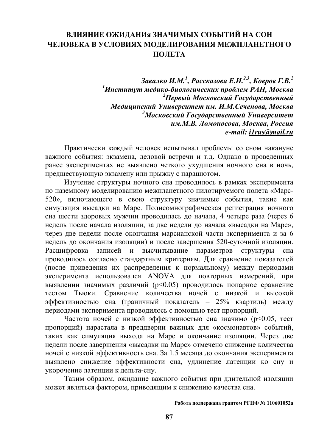## **ВЛИЯНИЕ ОЖИДАНИя ЗНАЧИМЫХ СОБЫТИЙ НА СОН ЧЕЛОВЕКА В УСЛОВИЯХ МОДЕЛИРОВАНИЯ МЕЖПЛАНЕТНОГО ПОЛЕТА**

*Завалко И.М. 1 , Рассказова Е.И. 2,3, Ковров Г.В. 2 1 Институт медико-биологических проблем РАН, Москва 2 Первый Московский Государственный Медицинский Университет им. И.М.Сеченова, Москва 3 Московский Государственный Университет им.М.В. Ломоносова, Москва, Россия e-mail: i1rus@mail.ru* 

Практически каждый человек испытывал проблемы со сном накануне важного события: экзамена, деловой встречи и т.д. Однако в проведенных ранее экспериментах не выявлено четкого ухудшения ночного сна в ночь, предшествующую экзамену или прыжку с парашютом.

Изучение структуры ночного сна проводилось в рамках эксперимента по наземному моделированию межпланетного пилотируемого полета «Марс-520», включающего в свою структуру значимые события, такие как симуляция высадки на Марс. Полисомнографическая регистрация ночного сна шести здоровых мужчин проводилась до начала, 4 четыре раза (через 6 недель после начала изоляции, за две недели до начала «высадки на Марс», через две недели после окончания марсианской части эксперимента и за 6 недель до окончания изоляции) и после завершения 520-суточной изоляции. Расшифровка записей и высчитывание параметров структуры сна проводилось согласно стандартным критериям. Для сравнение показателей (после приведения их распределения к нормальному) между периодами эксперимента использовался ANOVA для повторных измерений, при выявлении значимых различий (p<0.05) проводилось попарное сравнение тестом Тьюки. Сравнение количества ночей с низкой и высокой эффективностью сна (граничный показатель – 25% квартиль) между периодами эксперимента проводилось с помощью тест пропорций.

Частота ночей с низкой эффективностью сна значимо (p<0.05, тест пропорций) нарастала в преддверии важных для «космонавтов» событий, таких как симуляция выхода на Марс и окончание изоляции. Через две недели после завершения «высадки на Марс» отмечено снижение количества ночей с низкой эффективность сна. За 1.5 месяца до окончания эксперимента выявлено снижение эффективности сна, удлинение латенции ко сну и укорочение латенции к дельта-сну.

Таким образом, ожидание важного события при длительной изоляции может являться фактором, приводящим к снижению качества сна.

#### **Работа поддержана грантом РГНФ № 110601052а**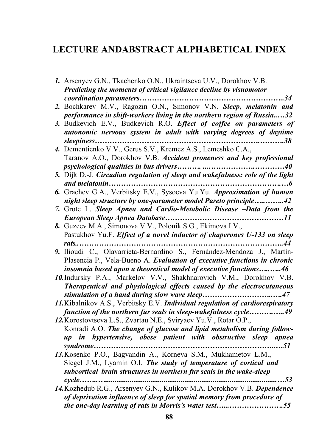## **LECTURE ANDABSTRACT ALPHABETICAL INDEX**

| 1. Arsenyev G.N., Tkachenko O.N., Ukraintseva U.V., Dorokhov V.B.              |
|--------------------------------------------------------------------------------|
| Predicting the moments of critical vigilance decline by visuomotor             |
|                                                                                |
| 2. Bochkarev M.V., Ragozin O.N., Simonov V.N. Sleep, melatonin and             |
| performance in shift-workers living in the northern region of Russia32         |
| 3. Budkevich E.V., Budkevich R.O. Effect of coffee on parameters of            |
| autonomic nervous system in adult with varying degrees of daytime              |
|                                                                                |
| 4. Dementienko V.V., Gerus S.V., Kremez A.S., Lemeshko C.A.,                   |
| Taranov A.O., Dorokhov V.B. Accident proneness and key professional            |
|                                                                                |
| 5. Dijk D.-J. Circadian regulation of sleep and wakefulness: role of the light |

- *and melatonin…………………………………………………………….…6 6.* Grachev G.A., Verbitsky E.V., Sysoeva Yu.Yu. *Approximation of human night sleep structure by one-parameter model Pareto principle…..……..42*
- *7.* Grote L. *Sleep Apnea and Cardio-Metabolic Disease –Data from the European Sleep Apnea Database…………………………………………11*
- *8.* Guzeev M.A., Simonova V.V., Polonik S.G., Ekimova I.V., Pastukhov Yu.F. *Effect of a novel inductor of chaperones U-133 on sleep rats..………………………………………………………………………..44*
- *9.* Ilioudi C., Olavarrieta-Bernardino S., Fernández-Mendoza J., Martín-Plasencia P., Vela-Bueno A. *Evaluation of executive functions in chronic insomnia based upon a theoretical model of executive functions…..…..46*
- *10.*Indursky P.A., Markelov V.V., Shakhnarovich V.M., Dorokhov V.B. *Therapeutical and physiological effects caused by the electrocutaneous stimulation of a hand during slow wave sleep………………………..….47*
- *11.*Kibalnikov A.S., Verbitsky E.V. *Individual regulation of cardiorespiratory function of the northern fur seals in sleep-wakefulness cycle……….…..49*
- *12.*Korostovtseva L.S., Zvartau N.E., Sviryaev Yu.V., Rotar O.P., Konradi A.O. *The change of glucose and lipid metabolism during followup in hypertensive, obese patient with obstructive sleep apnea syndrome………………………………………………………………..…51*
- *13.*Kosenko P.O., Bagvandin A., Korneva S.M., Mukhametov L.M., Siegel J.M., Lyamin O.I. *The study of temperature of cortical and subcortical brain structures in northern fur seals in the wake-sleep cycle……..…...........................................................................................…53*
- *14.*Kozhedub R.G., Arsenyev G.N., Kulikov M.A. Dorokhov V.B. *Dependence of deprivation influence of sleep for spatial memory from procedure of the one-day learning of rats in Morris's water test…...………………….55*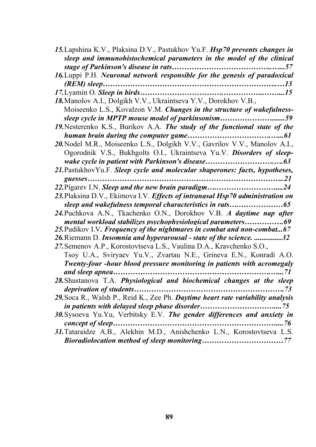| 15. Lapshina K.V., Plaksina D.V., Pastukhov Yu.F. <i>Hsp70 prevents changes in</i>   |
|--------------------------------------------------------------------------------------|
| sleep and immunohistochemical parameters in the model of the clinical                |
|                                                                                      |
| 16. Luppi P.H. Neuronal network responsible for the genesis of paradoxical           |
|                                                                                      |
|                                                                                      |
| 18. Manolov A.I., Dolgikh V.V., Ukraintseva Y.V., Dorokhov V.B.,                     |
| Moiseenko L.S., Kovalzon V.M. Changes in the structure of wakefulness-               |
| sleep cycle in MPTP mouse model of parkinsonism59                                    |
| 19. Nesterenko K.S., Burikov A.A. The study of the functional state of the           |
|                                                                                      |
| 20. Nodel M.R., Moiseenko L.S., Dolgikh V.V., Gavrilov V.V., Manolov A.I.,           |
| Ogorodnik V.S., Bukhgolts O.I., Ukraintseva Yu.V. Disorders of sleep-                |
|                                                                                      |
| 21. PastukhovYu.F. Sleep cycle and molecular shaperones: facts, hypotheses,          |
|                                                                                      |
|                                                                                      |
| 23. Plaksina D.V., Ekimova I.V. <i>Effects of intranasal Hsp70 administration on</i> |
|                                                                                      |
| 24. Puchkova A.N., Tkachenko O.N., Dorokhov V.B. A daytime nap after                 |
| mental workload stabilizes psychophysiological parameters69                          |
| 25. Pudikov I.V. Frequency of the nightmares in combat and non-combat67              |
| 26. Riemann D. Insomnia and hyperarousal - state of the science. 32                  |
| 27. Semenov A.P., Korostovtseva L.S., Vaulina D.A., Kravchenko S.O.,                 |
| Tsoy U.A., Sviryaev Yu.V., Zvartau N.E., Grineva E.N., Konradi A.O.                  |
| Twenty-four -hour blood pressure monitoring in patients with acromegaly              |
| . 71                                                                                 |
| 28. Shustanova T.A. Physiological and biochemical changes at the sleep               |
|                                                                                      |
| 29. Soca R., Walsh P., Reid K., Zee Ph. Daytime heart rate variability analysis      |
|                                                                                      |
| 30. Sysoeva Yu. Yu, Verbitsky E.V. The gender differences and anxiety in             |
|                                                                                      |
| 31. Tataraidze A.B., Alekhin M.D., Anishchenko L.N., Korostovtseva L.S.              |
|                                                                                      |
|                                                                                      |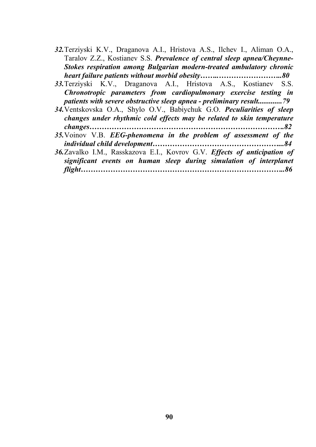- *32.*Terziyski K.V., Draganova A.I., Hristova A.S., Ilchev I., Aliman O.A., Taralov Z.Z., Kostianev S.S. *Prevalence of central sleep apnea/Cheynne-Stokes respiration among Bulgarian modern-treated ambulatory chronic heart failure patients without morbid obesity……..……………………..80*
- *33.*Terziyski K.V., Draganova A.I., Hristova A.S., Kostianev S.S. *Chronotropic parameters from cardiopulmonary exercise testing in patients with severe obstructive sleep apnea - preliminary result.............79*
- *34.*Ventskovska O.A., Shylo O.V., Babiychuk G.O. *Peculiarities of sleep changes under rhythmic cold effects may be related to skin temperature changes…………………………………………………………………….82*
- *35.*Voinov V.B. *EEG-phenomena in the problem of assessment of the individual child development……………………………………………...84*
- *36.*Zavalko I.M., Rasskazova E.I., Kovrov G.V. *Effects of anticipation of significant events on human sleep during simulation of interplanet flight………………………………………………………………………..86*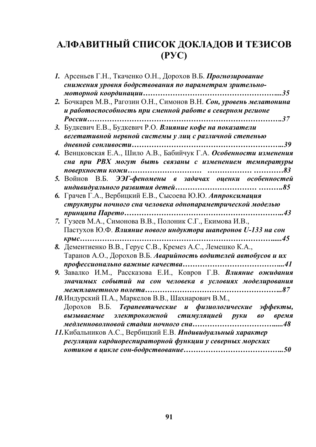# **АЛФАВИТНЫЙ СПИСОК ДОКЛАДОВ И ТЕЗИСОВ (РУС)**

|    | 1. Арсеньев Г.Н., Ткаченко О.Н., Дорохов В.Б. Прогнозирование       |
|----|---------------------------------------------------------------------|
|    | снижения уровня бодрствования по параметрам зрительно-              |
|    |                                                                     |
| 2. | Бочкарев М.В., Рагозин О.Н., Симонов В.Н. Сон, уровень мелатонина   |
|    | и работоспособность при сменной работе в северном регионе           |
|    |                                                                     |
|    | 3. Будкевич Е.В., Будкевич Р.О. Влияние кофе на показатели          |
|    | вегетативной нервной системы у лиц с различной степенью             |
|    |                                                                     |
|    | 4. Венцковская Е.А., Шило А.В., Бабийчук Г.А. Особенности изменения |
|    | сна при РВХ могут быть связаны с изменением температуры             |
|    |                                                                     |
|    | 5. Войнов В.Б. ЭЭГ-феномены в задачах оценки особенностей           |
|    |                                                                     |
|    | 6. Грачев Г.А., Вербицкий Е.В., Сысоева Ю.Ю. Аппроксимация          |
|    | структуры ночного сна человека однопараметрической моделью          |
|    |                                                                     |
|    | 7. Гузеев М.А., Симонова В.В., Полоник С.Г., Екимова И.В.,          |
|    | Пастухов Ю.Ф. Влияние нового индуктора шаперонов U-133 на сон       |
|    | $Kpblc$                                                             |
| 8. | Дементиенко В.В., Герус С.В., Кремез А.С., Лемешко К.А.,            |
|    | Таранов А.О., Дорохов В.Б. Аварийность водителей автобусов и их     |
|    |                                                                     |
|    | 9. Завалко И.М., Рассказова Е.И., Ковров Г.В. Влияние ожидания      |
|    | значимых событий на сон человека в условиях моделирования           |
|    |                                                                     |
|    | 10. Индурский П.А., Маркелов В.В., Шахнарович В.М.,                 |
|    | Дорохов В.Б. Терапевтические и физиологические эффекты,             |
|    | вызываемые электрокожной стимуляцией руки во время                  |
|    |                                                                     |
|    | 11. Кибальников А.С., Вербицкий Е.В. Индивидуальный характер        |
|    | регуляции кардиореспираторной функции у северных морских            |
|    |                                                                     |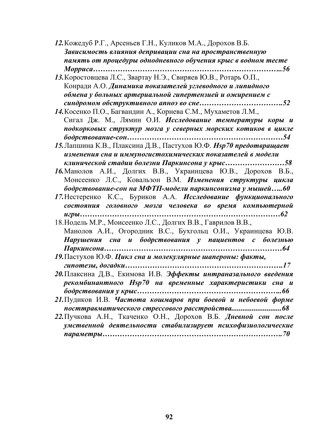*12.*Кожедуб Р.Г., Арсеньев Г.Н., Куликов М.А., Дорохов В.Б. *Зависимость влияния депривации сна на пространственную память от процедуры однодневного обучения крыс в водном тесте Морриса…………………………………………………………………..56* 

*13.*Коростовцева Л.С., Звартау Н.Э., Свиряев Ю.В., Ротарь О.П., Конради А.О. *Динамика показателей углеводного и липидного обмена у больных артериальной гипертензией и ожирением с синдромом обструктивного апноэ во сне…………………………….52* 

*14.*Косенко П.О., Багвандин А., Корнева С.М., Мухаметов Л.М., Сигал Дж. М., Лямин О.И. *Исследование температуры коры и подкорковых структур мозга у северных морских котиков в цикле бодрствование-сон………………………………………………………54* 

*15.*Лапшина К.В., Плаксина Д.В., Пастухов Ю.Ф. *Hsp70 предотвращает изменения сна и иммуногистохимических показателей в модели клинической стадии болезни Паркинсона у крыс……………………58* 

*16.*Манолов А.И., Долгих В.В., Украинцева Ю.В., Дорохов В.Б., Моисеенко Л.С., Ковальзон В.М. *Изменения структуры цикла бодрствование-сон на МФТП-модели паркинсонизма у мышей…..60* 

*17.*Нестеренко К.С., Буриков А.А. *Исследование функционального состояния головного мозга человека во время компьютерной игры………………………………………………………………………62* 

18.Нодель М.Р., Моисеенко Л.С., Долгих В.В., Гаврилов В.В., Манолов А.И., Огородник В.С., Бухгольц О.И., Украинцева Ю.В. *Нарушения сна и бодрствования у пациентов с болезнью Паркинсона………………………………………………………………64*

*19.*Пастухов Ю.Ф. *Цикл сна и молекулярные шапероны: факты, гипотезы, догадки……………………………………………………….17* 

- *20.*Плаксина Д.В., Екимова И.В. *Эффекты интраназального введения рекомбинантного Hsp70 на временные характеристики сна и бодрствования у крыс…………………………………………………..66*
- *21.*Пудиков И.В. *Частота кошмаров при боевой и небоевой форме посттравматического стрессового расстройства...........................68*
- *22.*Пучкова А.Н., Ткаченко О.Н., Дорохов В.Б. *Дневной сон после умственной деятельности стабилизирует психофизиологические параметры……………………………………………………………….70*